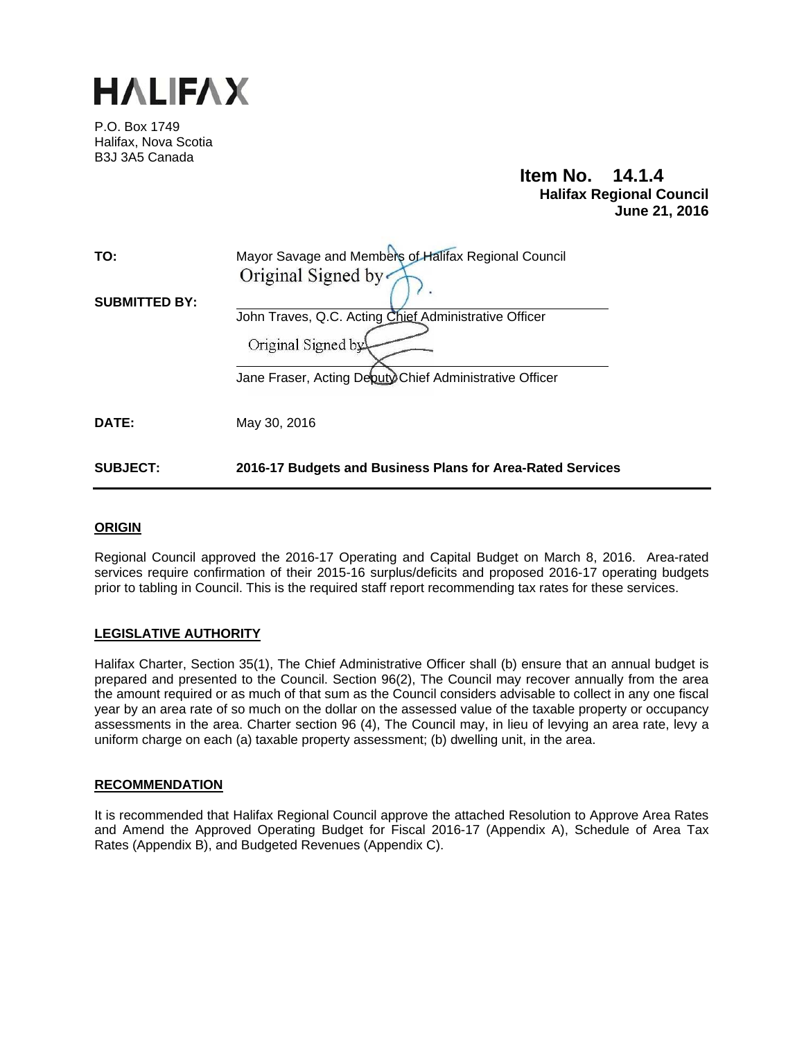

P.O. Box 1749 Halifax, Nova Scotia B3J 3A5 Canada

#### **Item No. 14.1.4 Halifax Regional Council June 21, 2016**

| TO:                  | Mayor Savage and Members of Halifax Regional Council<br>Original Signed by                                                             |
|----------------------|----------------------------------------------------------------------------------------------------------------------------------------|
| <b>SUBMITTED BY:</b> | John Traves, Q.C. Acting Chief Administrative Officer<br>Original Signed by<br>Jane Fraser, Acting Deputy Chief Administrative Officer |
| <b>DATE:</b>         | May 30, 2016                                                                                                                           |
| <b>SUBJECT:</b>      | 2016-17 Budgets and Business Plans for Area-Rated Services                                                                             |

#### **ORIGIN**

Regional Council approved the 2016-17 Operating and Capital Budget on March 8, 2016. Area-rated services require confirmation of their 2015-16 surplus/deficits and proposed 2016-17 operating budgets prior to tabling in Council. This is the required staff report recommending tax rates for these services.

#### **LEGISLATIVE AUTHORITY**

Halifax Charter, Section 35(1), The Chief Administrative Officer shall (b) ensure that an annual budget is prepared and presented to the Council. Section 96(2), The Council may recover annually from the area the amount required or as much of that sum as the Council considers advisable to collect in any one fiscal year by an area rate of so much on the dollar on the assessed value of the taxable property or occupancy assessments in the area. Charter section 96 (4), The Council may, in lieu of levying an area rate, levy a uniform charge on each (a) taxable property assessment; (b) dwelling unit, in the area.

#### **RECOMMENDATION**

It is recommended that Halifax Regional Council approve the attached Resolution to Approve Area Rates and Amend the Approved Operating Budget for Fiscal 2016-17 (Appendix A), Schedule of Area Tax Rates (Appendix B), and Budgeted Revenues (Appendix C).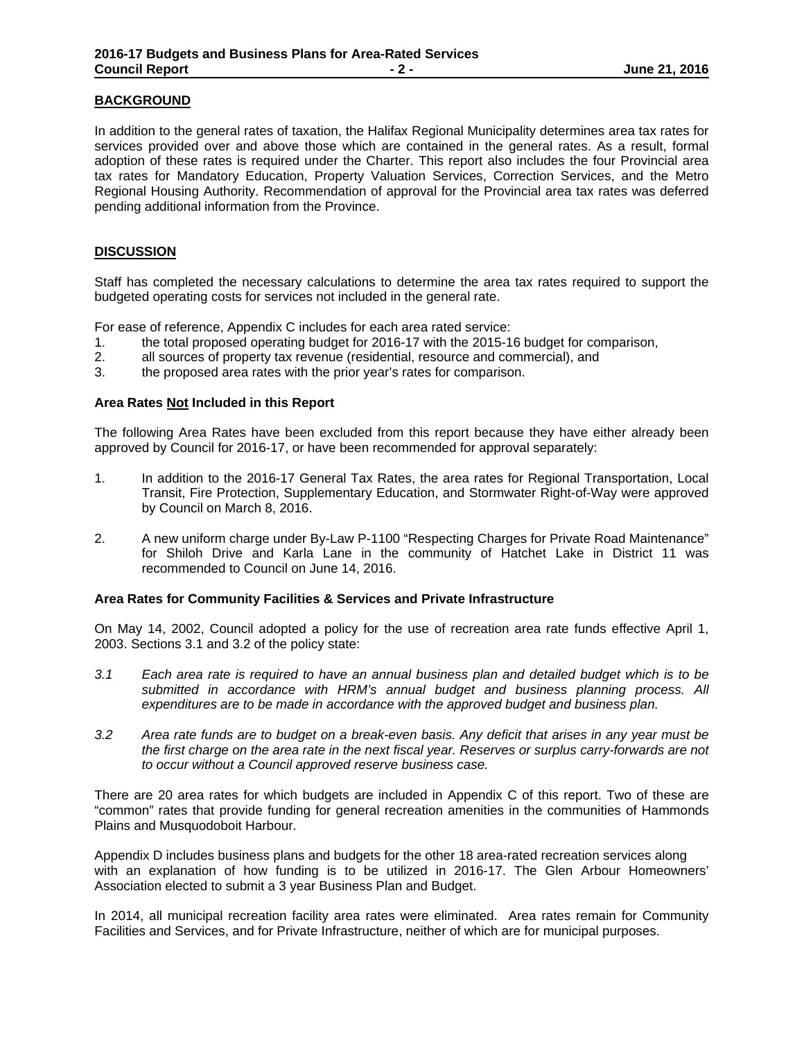#### **BACKGROUND**

In addition to the general rates of taxation, the Halifax Regional Municipality determines area tax rates for services provided over and above those which are contained in the general rates. As a result, formal adoption of these rates is required under the Charter. This report also includes the four Provincial area tax rates for Mandatory Education, Property Valuation Services, Correction Services, and the Metro Regional Housing Authority. Recommendation of approval for the Provincial area tax rates was deferred pending additional information from the Province.

#### **DISCUSSION**

Staff has completed the necessary calculations to determine the area tax rates required to support the budgeted operating costs for services not included in the general rate.

For ease of reference, Appendix C includes for each area rated service:

- 1. the total proposed operating budget for 2016-17 with the 2015-16 budget for comparison,
- 2. all sources of property tax revenue (residential, resource and commercial), and
- 3. the proposed area rates with the prior year's rates for comparison.

#### **Area Rates Not Included in this Report**

The following Area Rates have been excluded from this report because they have either already been approved by Council for 2016-17, or have been recommended for approval separately:

- 1. In addition to the 2016-17 General Tax Rates, the area rates for Regional Transportation, Local Transit, Fire Protection, Supplementary Education, and Stormwater Right-of-Way were approved by Council on March 8, 2016.
- 2. A new uniform charge under By-Law P-1100 "Respecting Charges for Private Road Maintenance" for Shiloh Drive and Karla Lane in the community of Hatchet Lake in District 11 was recommended to Council on June 14, 2016.

#### **Area Rates for Community Facilities & Services and Private Infrastructure**

On May 14, 2002, Council adopted a policy for the use of recreation area rate funds effective April 1, 2003. Sections 3.1 and 3.2 of the policy state:

- *3.1 Each area rate is required to have an annual business plan and detailed budget which is to be submitted in accordance with HRM's annual budget and business planning process. All expenditures are to be made in accordance with the approved budget and business plan.*
- *3.2 Area rate funds are to budget on a break-even basis. Any deficit that arises in any year must be the first charge on the area rate in the next fiscal year. Reserves or surplus carry-forwards are not to occur without a Council approved reserve business case.*

There are 20 area rates for which budgets are included in Appendix C of this report. Two of these are "common" rates that provide funding for general recreation amenities in the communities of Hammonds Plains and Musquodoboit Harbour.

Appendix D includes business plans and budgets for the other 18 area-rated recreation services along with an explanation of how funding is to be utilized in 2016-17. The Glen Arbour Homeowners' Association elected to submit a 3 year Business Plan and Budget.

In 2014, all municipal recreation facility area rates were eliminated. Area rates remain for Community Facilities and Services, and for Private Infrastructure, neither of which are for municipal purposes.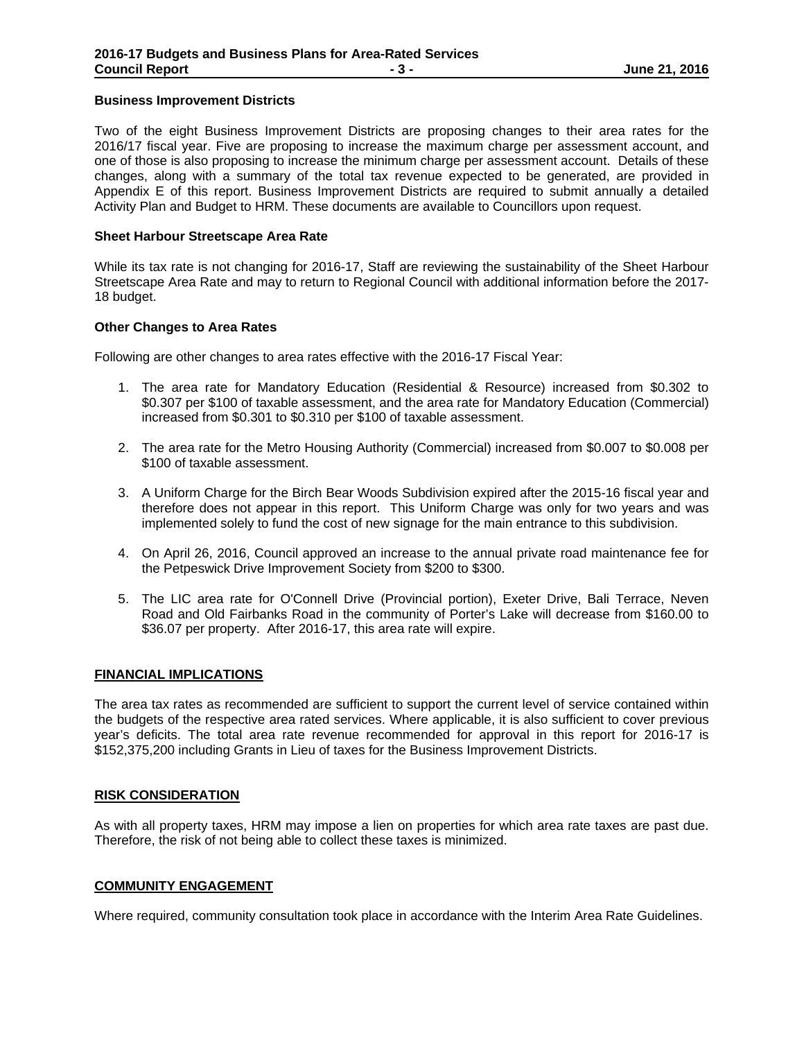#### **Business Improvement Districts**

Two of the eight Business Improvement Districts are proposing changes to their area rates for the 2016/17 fiscal year. Five are proposing to increase the maximum charge per assessment account, and one of those is also proposing to increase the minimum charge per assessment account. Details of these changes, along with a summary of the total tax revenue expected to be generated, are provided in Appendix E of this report. Business Improvement Districts are required to submit annually a detailed Activity Plan and Budget to HRM. These documents are available to Councillors upon request.

#### **Sheet Harbour Streetscape Area Rate**

While its tax rate is not changing for 2016-17, Staff are reviewing the sustainability of the Sheet Harbour Streetscape Area Rate and may to return to Regional Council with additional information before the 2017- 18 budget.

#### **Other Changes to Area Rates**

Following are other changes to area rates effective with the 2016-17 Fiscal Year:

- 1. The area rate for Mandatory Education (Residential & Resource) increased from \$0.302 to \$0.307 per \$100 of taxable assessment, and the area rate for Mandatory Education (Commercial) increased from \$0.301 to \$0.310 per \$100 of taxable assessment.
- 2. The area rate for the Metro Housing Authority (Commercial) increased from \$0.007 to \$0.008 per \$100 of taxable assessment.
- 3. A Uniform Charge for the Birch Bear Woods Subdivision expired after the 2015-16 fiscal year and therefore does not appear in this report. This Uniform Charge was only for two years and was implemented solely to fund the cost of new signage for the main entrance to this subdivision.
- 4. On April 26, 2016, Council approved an increase to the annual private road maintenance fee for the Petpeswick Drive Improvement Society from \$200 to \$300.
- 5. The LIC area rate for O'Connell Drive (Provincial portion), Exeter Drive, Bali Terrace, Neven Road and Old Fairbanks Road in the community of Porter's Lake will decrease from \$160.00 to \$36.07 per property. After 2016-17, this area rate will expire.

#### **FINANCIAL IMPLICATIONS**

The area tax rates as recommended are sufficient to support the current level of service contained within the budgets of the respective area rated services. Where applicable, it is also sufficient to cover previous year's deficits. The total area rate revenue recommended for approval in this report for 2016-17 is \$152,375,200 including Grants in Lieu of taxes for the Business Improvement Districts.

#### **RISK CONSIDERATION**

As with all property taxes, HRM may impose a lien on properties for which area rate taxes are past due. Therefore, the risk of not being able to collect these taxes is minimized.

#### **COMMUNITY ENGAGEMENT**

Where required, community consultation took place in accordance with the Interim Area Rate Guidelines.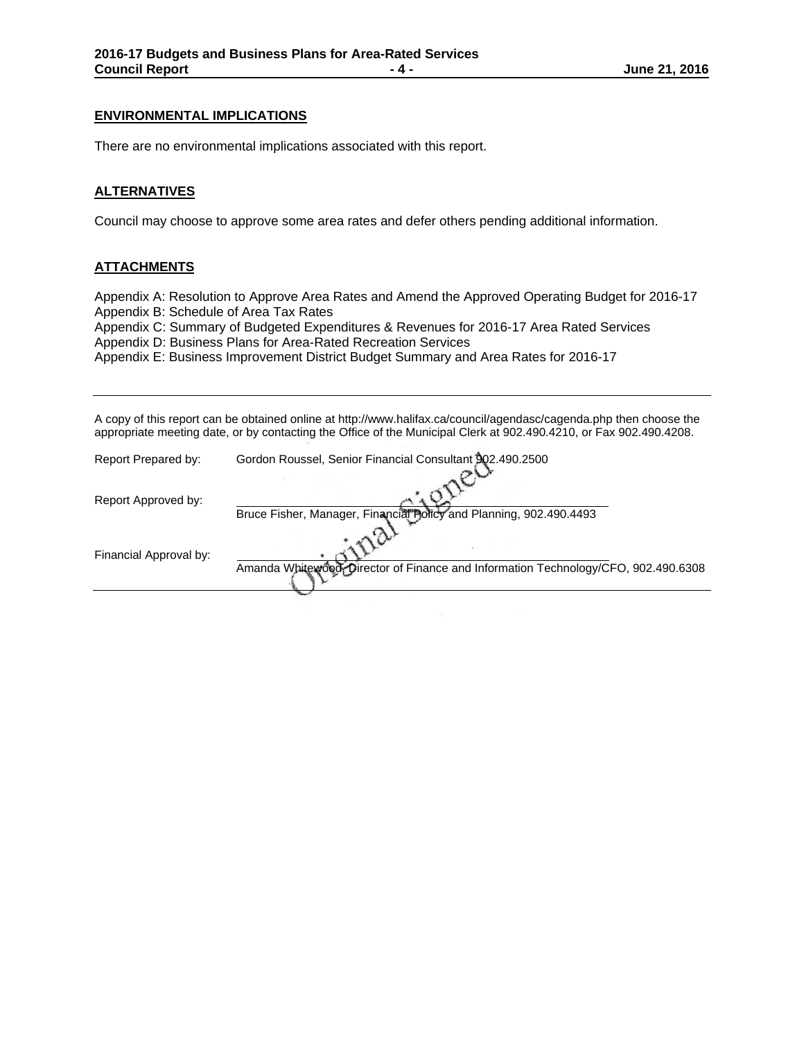#### **ENVIRONMENTAL IMPLICATIONS**

There are no environmental implications associated with this report.

#### **ALTERNATIVES**

Council may choose to approve some area rates and defer others pending additional information.

#### **ATTACHMENTS**

Appendix A: Resolution to Approve Area Rates and Amend the Approved Operating Budget for 2016-17 Appendix B: Schedule of Area Tax Rates

Appendix C: Summary of Budgeted Expenditures & Revenues for 2016-17 Area Rated Services Appendix D: Business Plans for Area-Rated Recreation Services

Appendix E: Business Improvement District Budget Summary and Area Rates for 2016-17

A copy of this report can be obtained online at http://www.halifax.ca/council/agendasc/cagenda.php then choose the appropriate meeting date, or by contacting the Office of the Municipal Clerk at 902.490.4210, or Fax 902.490.4208.

| Report Prepared by:    | Gordon Roussel, Senior Financial Consultant 902.490.2500                           |  |  |  |  |  |
|------------------------|------------------------------------------------------------------------------------|--|--|--|--|--|
| Report Approved by:    |                                                                                    |  |  |  |  |  |
|                        | Bruce Fisher, Manager, Financial Policy and Planning, 902.490.4493                 |  |  |  |  |  |
| Financial Approval by: |                                                                                    |  |  |  |  |  |
|                        | Amanda Whitewood, Director of Finance and Information Technology/CFO, 902.490.6308 |  |  |  |  |  |
|                        |                                                                                    |  |  |  |  |  |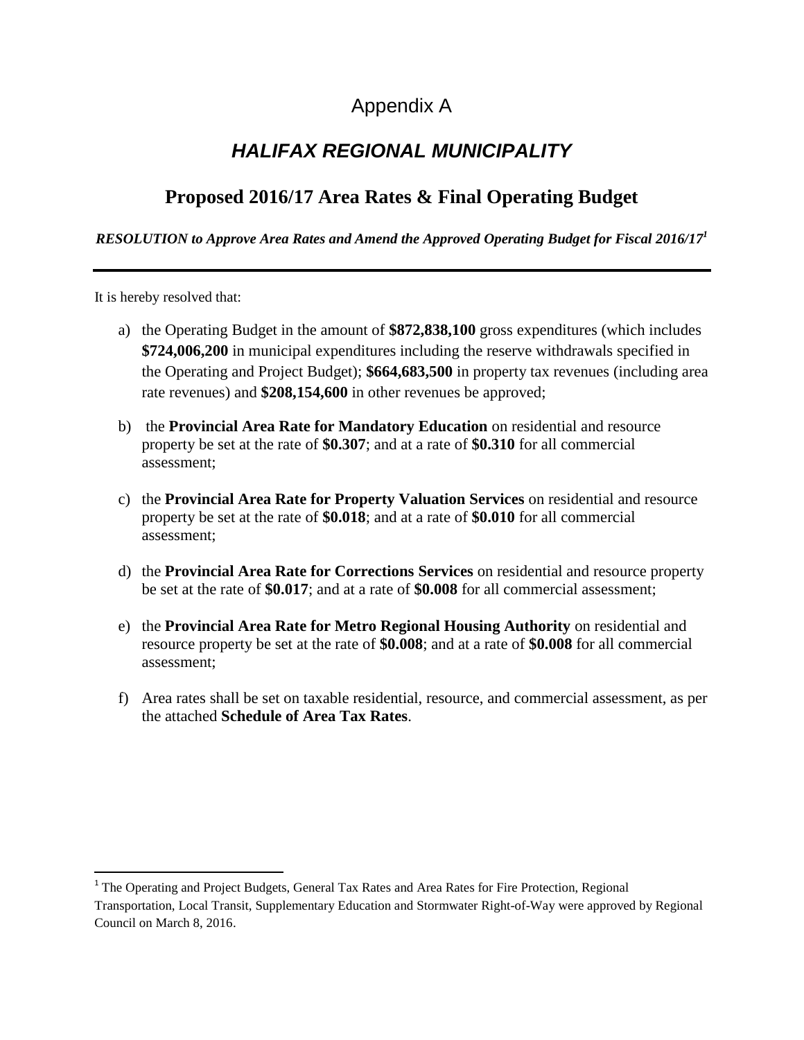# Appendix A

# *HALIFAX REGIONAL MUNICIPALITY*

# **Proposed 2016/17 Area Rates & Final Operating Budget**

#### *RESOLUTION to Approve Area Rates and Amend the Approved Operating Budget for Fiscal 2016/17<sup>1</sup>*

It is hereby resolved that:

 $\overline{\phantom{a}}$ 

- a) the Operating Budget in the amount of **\$872,838,100** gross expenditures (which includes **\$724,006,200** in municipal expenditures including the reserve withdrawals specified in the Operating and Project Budget); **\$664,683,500** in property tax revenues (including area rate revenues) and **\$208,154,600** in other revenues be approved;
- b) the **Provincial Area Rate for Mandatory Education** on residential and resource property be set at the rate of **\$0.307**; and at a rate of **\$0.310** for all commercial assessment;
- c) the **Provincial Area Rate for Property Valuation Services** on residential and resource property be set at the rate of **\$0.018**; and at a rate of **\$0.010** for all commercial assessment;
- d) the **Provincial Area Rate for Corrections Services** on residential and resource property be set at the rate of **\$0.017**; and at a rate of **\$0.008** for all commercial assessment;
- e) the **Provincial Area Rate for Metro Regional Housing Authority** on residential and resource property be set at the rate of **\$0.008**; and at a rate of **\$0.008** for all commercial assessment;
- f) Area rates shall be set on taxable residential, resource, and commercial assessment, as per the attached **Schedule of Area Tax Rates**.

<sup>&</sup>lt;sup>1</sup> The Operating and Project Budgets, General Tax Rates and Area Rates for Fire Protection, Regional Transportation, Local Transit, Supplementary Education and Stormwater Right-of-Way were approved by Regional Council on March 8, 2016.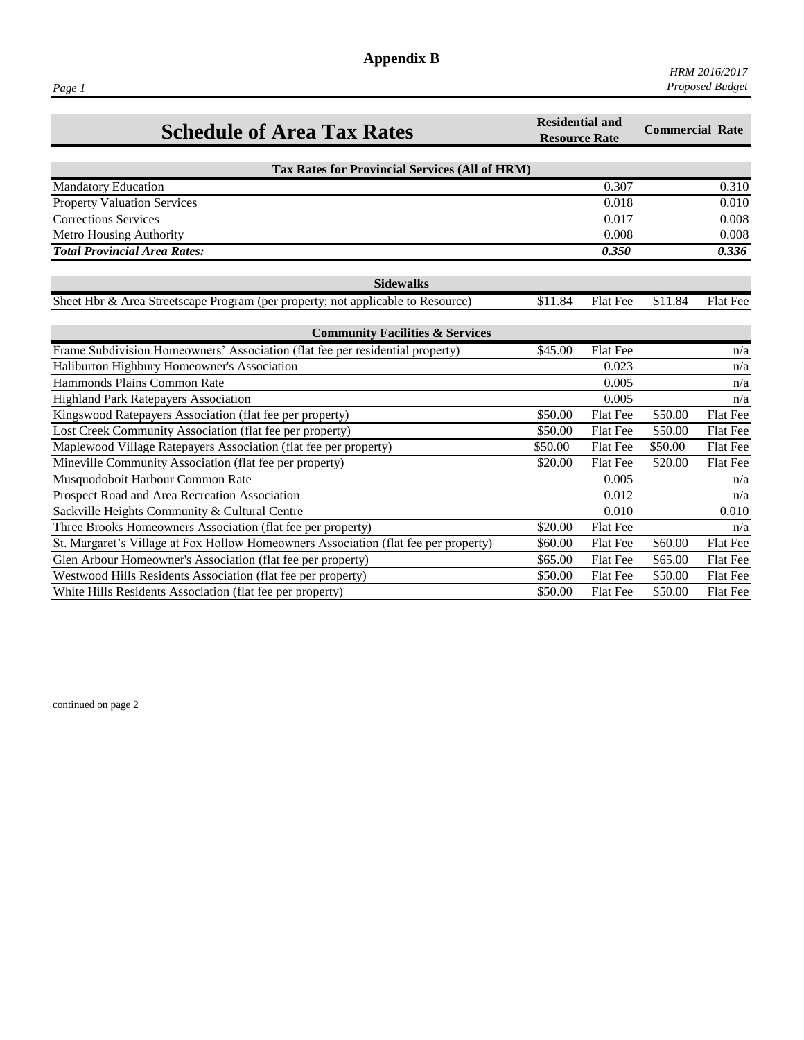**Appendix B**

| <b>Schedule of Area Tax Rates</b>                                                   | <b>Residential and</b><br><b>Resource Rate</b> |                 | <b>Commercial Rate</b> |                 |
|-------------------------------------------------------------------------------------|------------------------------------------------|-----------------|------------------------|-----------------|
| <b>Tax Rates for Provincial Services (All of HRM)</b>                               |                                                |                 |                        |                 |
| <b>Mandatory Education</b>                                                          |                                                | 0.307           |                        | 0.310           |
| <b>Property Valuation Services</b>                                                  |                                                | 0.018           |                        | 0.010           |
| <b>Corrections Services</b>                                                         |                                                | 0.017           |                        | 0.008           |
| Metro Housing Authority                                                             |                                                | 0.008           |                        | 0.008           |
| <b>Total Provincial Area Rates:</b>                                                 |                                                | 0.350           |                        | 0.336           |
| <b>Sidewalks</b>                                                                    |                                                |                 |                        |                 |
| Sheet Hbr & Area Streetscape Program (per property; not applicable to Resource)     | \$11.84                                        | Flat Fee        | \$11.84                | Flat Fee        |
| <b>Community Facilities &amp; Services</b>                                          |                                                |                 |                        |                 |
| Frame Subdivision Homeowners' Association (flat fee per residential property)       | \$45.00                                        | Flat Fee        |                        | n/a             |
| Haliburton Highbury Homeowner's Association                                         |                                                | 0.023           |                        | n/a             |
| Hammonds Plains Common Rate                                                         |                                                | 0.005           |                        | n/a             |
| Highland Park Ratepayers Association                                                |                                                | 0.005           |                        | n/a             |
| Kingswood Ratepayers Association (flat fee per property)                            | \$50.00                                        | <b>Flat Fee</b> | \$50.00                | Flat Fee        |
| Lost Creek Community Association (flat fee per property)                            | \$50.00                                        | Flat Fee        | \$50.00                | <b>Flat Fee</b> |
| Maplewood Village Ratepayers Association (flat fee per property)                    | \$50.00                                        | Flat Fee        | \$50.00                | Flat Fee        |
| Mineville Community Association (flat fee per property)                             | \$20.00                                        | <b>Flat Fee</b> | \$20.00                | <b>Flat Fee</b> |
| Musquodoboit Harbour Common Rate                                                    |                                                | 0.005           |                        | n/a             |
| Prospect Road and Area Recreation Association                                       |                                                | 0.012           |                        | n/a             |
| Sackville Heights Community & Cultural Centre                                       |                                                | 0.010           |                        | 0.010           |
| Three Brooks Homeowners Association (flat fee per property)                         | \$20.00                                        | Flat Fee        |                        | n/a             |
| St. Margaret's Village at Fox Hollow Homeowners Association (flat fee per property) | \$60.00                                        | Flat Fee        | \$60.00                | Flat Fee        |
| Glen Arbour Homeowner's Association (flat fee per property)                         | \$65.00                                        | <b>Flat Fee</b> | \$65.00                | <b>Flat Fee</b> |
| Westwood Hills Residents Association (flat fee per property)                        | \$50.00                                        | <b>Flat Fee</b> | \$50.00                | <b>Flat Fee</b> |
| White Hills Residents Association (flat fee per property)                           | \$50.00                                        | <b>Flat Fee</b> | \$50.00                | Flat Fee        |

continued on page 2

*Page 1*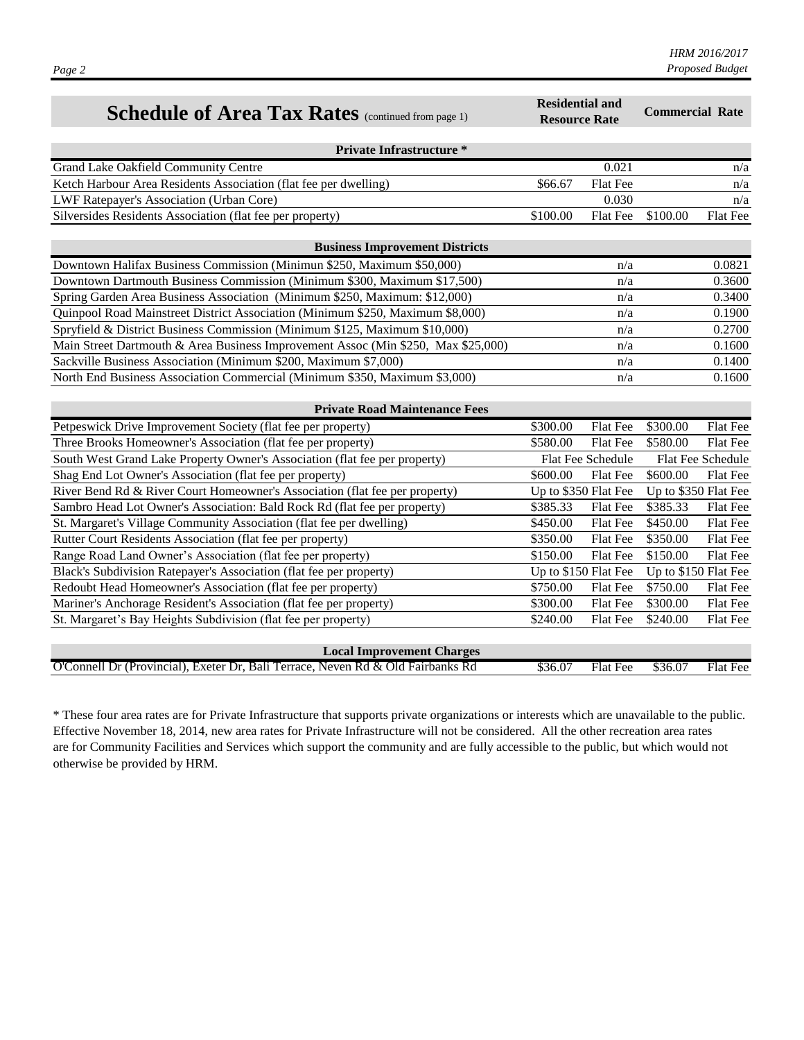| Schedule of Area Tax Rates (continued from page 1)                                         | <b>Residential and</b><br><b>Resource Rate</b> |                   | <b>Commercial Rate</b> |                      |  |  |  |  |  |
|--------------------------------------------------------------------------------------------|------------------------------------------------|-------------------|------------------------|----------------------|--|--|--|--|--|
| <b>Private Infrastructure *</b>                                                            |                                                |                   |                        |                      |  |  |  |  |  |
| Grand Lake Oakfield Community Centre                                                       |                                                | 0.021             |                        | n/a                  |  |  |  |  |  |
| Ketch Harbour Area Residents Association (flat fee per dwelling)                           | \$66.67                                        | Flat Fee          |                        | n/a                  |  |  |  |  |  |
| LWF Ratepayer's Association (Urban Core)                                                   |                                                | 0.030             |                        | n/a                  |  |  |  |  |  |
| Silversides Residents Association (flat fee per property)                                  | \$100.00                                       | Flat Fee          | \$100.00               | Flat Fee             |  |  |  |  |  |
| <b>Business Improvement Districts</b>                                                      |                                                |                   |                        |                      |  |  |  |  |  |
| Downtown Halifax Business Commission (Minimun \$250, Maximum \$50,000)                     |                                                | n/a               |                        | 0.0821               |  |  |  |  |  |
| Downtown Dartmouth Business Commission (Minimum \$300, Maximum \$17,500)                   |                                                | n/a               |                        | 0.3600               |  |  |  |  |  |
| Spring Garden Area Business Association (Minimum \$250, Maximum: \$12,000)                 |                                                | n/a               |                        | 0.3400               |  |  |  |  |  |
| Quinpool Road Mainstreet District Association (Minimum \$250, Maximum \$8,000)             |                                                | n/a               |                        | 0.1900               |  |  |  |  |  |
| Spryfield & District Business Commission (Minimum \$125, Maximum \$10,000)                 |                                                | n/a               |                        | 0.2700               |  |  |  |  |  |
| Main Street Dartmouth & Area Business Improvement Assoc (Min \$250, Max \$25,000)          |                                                | n/a               |                        | 0.1600               |  |  |  |  |  |
| Sackville Business Association (Minimum \$200, Maximum \$7,000)                            |                                                | n/a               |                        | 0.1400               |  |  |  |  |  |
| North End Business Association Commercial (Minimum \$350, Maximum \$3,000)                 |                                                | n/a               |                        | 0.1600               |  |  |  |  |  |
| <b>Private Road Maintenance Fees</b>                                                       |                                                |                   |                        |                      |  |  |  |  |  |
| Petpeswick Drive Improvement Society (flat fee per property)                               | \$300.00                                       | Flat Fee          | \$300.00               | Flat Fee             |  |  |  |  |  |
| Three Brooks Homeowner's Association (flat fee per property)                               | \$580.00                                       | Flat Fee          | \$580.00               | Flat Fee             |  |  |  |  |  |
| South West Grand Lake Property Owner's Association (flat fee per property)                 |                                                | Flat Fee Schedule |                        | Flat Fee Schedule    |  |  |  |  |  |
| Shag End Lot Owner's Association (flat fee per property)                                   | \$600.00                                       | Flat Fee          | \$600.00               | Flat Fee             |  |  |  |  |  |
| River Bend Rd & River Court Homeowner's Association (flat fee per property)                | Up to \$350 Flat Fee                           |                   |                        | Up to \$350 Flat Fee |  |  |  |  |  |
| Sambro Head Lot Owner's Association: Bald Rock Rd (flat fee per property)                  | \$385.33                                       | Flat Fee          | \$385.33               | Flat Fee             |  |  |  |  |  |
| St. Margaret's Village Community Association (flat fee per dwelling)                       | \$450.00                                       | Flat Fee          | \$450.00               | Flat Fee             |  |  |  |  |  |
| Rutter Court Residents Association (flat fee per property)                                 | \$350.00                                       | Flat Fee          | \$350.00               | Flat Fee             |  |  |  |  |  |
| Range Road Land Owner's Association (flat fee per property)                                | \$150.00                                       | Flat Fee          | \$150.00               | Flat Fee             |  |  |  |  |  |
| Black's Subdivision Ratepayer's Association (flat fee per property)                        | Up to \$150 Flat Fee                           |                   |                        | Up to \$150 Flat Fee |  |  |  |  |  |
| Redoubt Head Homeowner's Association (flat fee per property)                               | \$750.00                                       | Flat Fee          | \$750.00               | Flat Fee             |  |  |  |  |  |
| Mariner's Anchorage Resident's Association (flat fee per property)                         | \$300.00                                       | Flat Fee          | \$300.00               | Flat Fee             |  |  |  |  |  |
| St. Margaret's Bay Heights Subdivision (flat fee per property)                             | \$240.00                                       | Flat Fee          | \$240.00               | Flat Fee             |  |  |  |  |  |
| <b>Local Improvement Charges</b>                                                           |                                                |                   |                        |                      |  |  |  |  |  |
| <b>O'Connell Dr (Provincial), Exeter Dr, Bali Terrace, Neven Rd &amp; Old Fairbanks Rd</b> | \$36.07                                        | Flat Fee          | \$36.07                | Flat Fee             |  |  |  |  |  |

*HRM 2016/2017 Proposed Budget*

\* These four area rates are for Private Infrastructure that supports private organizations or interests which are unavailable to the public. Effective November 18, 2014, new area rates for Private Infrastructure will not be considered. All the other recreation area rates are for Community Facilities and Services which support the community and are fully accessible to the public, but which would not otherwise be provided by HRM.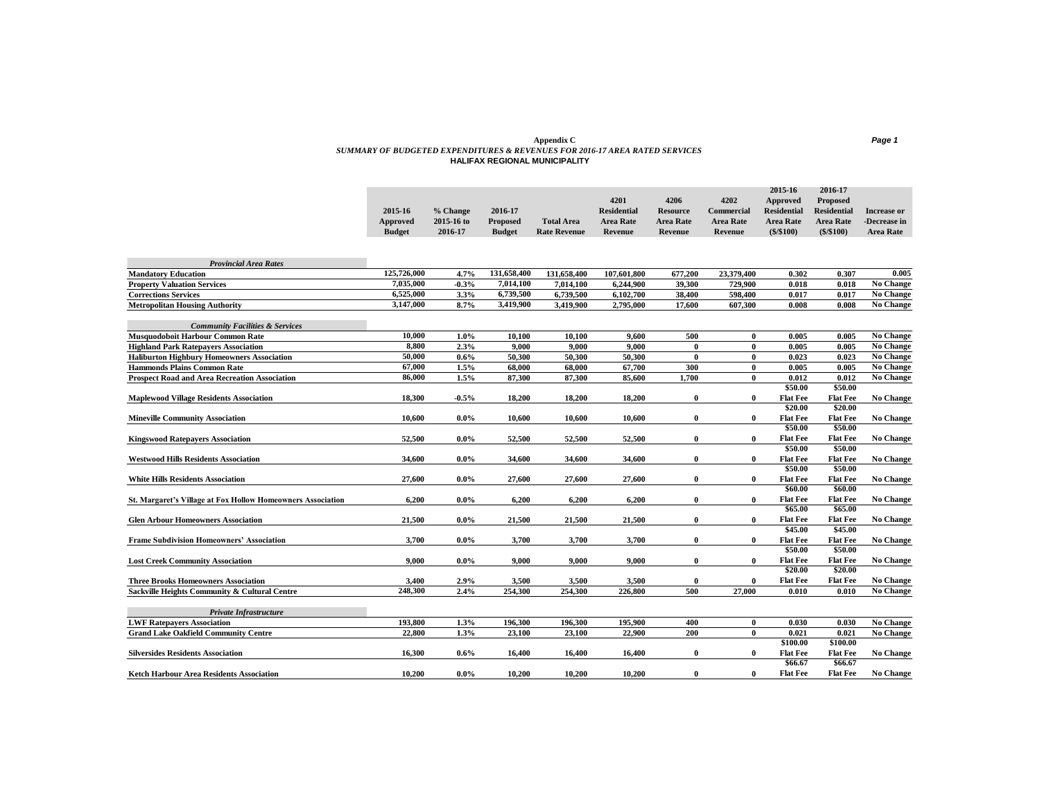#### **Appendix C** *Page 1 SUMMARY OF BUDGETED EXPENDITURES & REVENUES FOR 2016-17 AREA RATED SERVICES* **HALIFAX REGIONAL MUNICIPALITY**

|               |            |                 |                     |                    |                  |            | 2015-16            | 2016-17            |              |
|---------------|------------|-----------------|---------------------|--------------------|------------------|------------|--------------------|--------------------|--------------|
|               |            |                 |                     | 4201               | 4206             | 4202       | Approved           | <b>Proposed</b>    |              |
| 2015-16       | % Change   | 2016-17         |                     | <b>Residential</b> | <b>Resource</b>  | Commercial | <b>Residential</b> | <b>Residential</b> | Increase or  |
| Approved      | 2015-16 to | <b>Proposed</b> | <b>Total Area</b>   | Area Rate          | <b>Area Rate</b> | Area Rate  | <b>Area Rate</b>   | <b>Area Rate</b>   | -Decrease in |
| <b>Budget</b> | 2016-17    | <b>Budget</b>   | <b>Rate Revenue</b> | Revenue            | Revenue          | Revenue    | (S/S100)           | $($ \$/\$100)      | Area Rate    |
|               |            |                 |                     |                    |                  |            |                    |                    |              |

| <b>Provincial Area Rates</b>                                       |             |         |             |             |             |          |              |                 |                 |                  |
|--------------------------------------------------------------------|-------------|---------|-------------|-------------|-------------|----------|--------------|-----------------|-----------------|------------------|
| <b>Mandatory Education</b>                                         | 125,726,000 | 4.7%    | 131,658,400 | 131,658,400 | 107,601,800 | 677,200  | 23,379,400   | 0.302           | 0.307           | 0.005            |
| <b>Property Valuation Services</b>                                 | 7,035,000   | $-0.3%$ | 7.014.100   | 7.014.100   | 6.244.900   | 39.300   | 729,900      | 0.018           | 0.018           | No Change        |
| <b>Corrections Services</b>                                        | 6,525,000   | 3.3%    | 6,739,500   | 6,739,500   | 6,102,700   | 38,400   | 598,400      | 0.017           | 0.017           | No Change        |
| <b>Metropolitan Housing Authority</b>                              | 3,147,000   | 8.7%    | 3,419,900   | 3,419,900   | 2,795,000   | 17,600   | 607,300      | 0.008           | 0.008           | <b>No Change</b> |
| <b>Community Facilities &amp; Services</b>                         |             |         |             |             |             |          |              |                 |                 |                  |
| Musquodoboit Harbour Common Rate                                   | 10,000      | $1.0\%$ | 10,100      | 10,100      | 9,600       | 500      | $\bf{0}$     | 0.005           | 0.005           | No Change        |
| <b>Highland Park Ratepavers Association</b>                        | 8,800       | 2.3%    | 9.000       | 9.000       | 9.000       | 0        | $\bf{0}$     | 0.005           | 0.005           | No Change        |
| <b>Haliburton Highbury Homeowners Association</b>                  | 50,000      | 0.6%    | 50,300      | 50,300      | 50,300      | $\bf{0}$ | $\mathbf{0}$ | 0.023           | 0.023           | No Change        |
| <b>Hammonds Plains Common Rate</b>                                 | 67,000      | 1.5%    | 68,000      | 68,000      | 67,700      | 300      | $\mathbf{0}$ | 0.005           | 0.005           | No Change        |
| <b>Prospect Road and Area Recreation Association</b>               | 86,000      | 1.5%    | 87,300      | 87.300      | 85,600      | 1,700    | $\mathbf{0}$ | 0.012           | 0.012           | No Change        |
|                                                                    |             |         |             |             |             |          |              | \$50.00         | \$50.00         |                  |
| <b>Maplewood Village Residents Association</b>                     | 18.300      | $-0.5%$ | 18,200      | 18,200      | 18,200      | 0        | $\mathbf{0}$ | <b>Flat Fee</b> | <b>Flat Fee</b> | No Change        |
|                                                                    |             |         |             |             |             |          |              | \$20.00         | \$20.00         |                  |
| <b>Mineville Community Association</b>                             | 10,600      | $0.0\%$ | 10,600      | 10,600      | 10,600      | 0        | $\mathbf{0}$ | <b>Flat Fee</b> | <b>Flat Fee</b> | No Change        |
|                                                                    |             |         |             |             |             |          |              | \$50.00         | \$50.00         |                  |
| <b>Kingswood Ratepavers Association</b>                            | 52,500      | $0.0\%$ | 52,500      | 52,500      | 52,500      | 0        | $\bf{0}$     | <b>Flat Fee</b> | <b>Flat Fee</b> | No Change        |
|                                                                    |             |         |             |             |             |          |              | \$50.00         | \$50.00         |                  |
| <b>Westwood Hills Residents Association</b>                        | 34,600      | $0.0\%$ | 34,600      | 34,600      | 34,600      | 0        | $\mathbf{0}$ | <b>Flat Fee</b> | <b>Flat Fee</b> | <b>No Change</b> |
|                                                                    |             |         |             |             |             |          |              | \$50.00         | \$50.00         |                  |
| <b>White Hills Residents Association</b>                           | 27,600      | $0.0\%$ | 27,600      | 27,600      | 27,600      | 0        | $\mathbf{0}$ | <b>Flat Fee</b> | <b>Flat Fee</b> | No Change        |
|                                                                    |             |         |             |             |             |          |              | \$60.00         | \$60.00         |                  |
| <b>St. Margaret's Village at Fox Hollow Homeowners Association</b> | 6.200       | $0.0\%$ | 6,200       | 6,200       | 6,200       | 0        | $\mathbf{0}$ | <b>Flat Fee</b> | <b>Flat Fee</b> | No Change        |
|                                                                    |             |         |             |             |             |          |              | \$65.00         | \$65.00         |                  |
| <b>Glen Arbour Homeowners Association</b>                          | 21,500      | $0.0\%$ | 21,500      | 21,500      | 21,500      | 0        | $\mathbf{0}$ | <b>Flat Fee</b> | <b>Flat Fee</b> | No Change        |
|                                                                    |             |         |             |             |             |          |              | \$45.00         | \$45.00         |                  |
| <b>Frame Subdivision Homeowners' Association</b>                   | 3,700       | $0.0\%$ | 3,700       | 3,700       | 3,700       | $\bf{0}$ | $\bf{0}$     | <b>Flat Fee</b> | <b>Flat Fee</b> | No Change        |
|                                                                    |             |         |             |             |             |          |              | \$50.00         | \$50.00         |                  |
| <b>Lost Creek Community Association</b>                            | 9.000       | $0.0\%$ | 9.000       | 9.000       | 9.000       | 0        | $\mathbf{0}$ | <b>Flat Fee</b> | <b>Flat Fee</b> | No Change        |
|                                                                    |             |         |             |             |             |          |              | \$20.00         | \$20.00         |                  |
| <b>Three Brooks Homeowners Association</b>                         | 3,400       | 2.9%    | 3,500       | 3,500       | 3,500       | 0        | 0            | <b>Flat Fee</b> | <b>Flat Fee</b> | No Change        |
| Sackville Heights Community & Cultural Centre                      | 248,300     | 2.4%    | 254,300     | 254,300     | 226,800     | 500      | 27,000       | 0.010           | 0.010           | No Change        |
| <b>Private Infrastructure</b>                                      |             |         |             |             |             |          |              |                 |                 |                  |
| <b>LWF Ratepavers Association</b>                                  | 193,800     | 1.3%    | 196.300     | 196.300     | 195,900     | 400      | $\mathbf{0}$ | 0.030           | 0.030           | No Change        |
| <b>Grand Lake Oakfield Community Centre</b>                        | 22,800      | 1.3%    | 23,100      | 23,100      | 22,900      | 200      | $\bf{0}$     | 0.021           | 0.021           | <b>No Change</b> |
|                                                                    |             |         |             |             |             |          |              | \$100.00        | \$100.00        |                  |
| <b>Silversides Residents Association</b>                           | 16.300      | $0.6\%$ | 16,400      | 16,400      | 16.400      | 0        | 0            | <b>Flat Fee</b> | <b>Flat Fee</b> | No Change        |
|                                                                    |             |         |             |             |             |          |              | \$66.67         | \$66.67         |                  |
| Ketch Harbour Area Residents Association                           | 10,200      | $0.0\%$ | 10,200      | 10,200      | 10,200      | 0        | $\mathbf{0}$ | <b>Flat Fee</b> | <b>Flat Fee</b> | No Change        |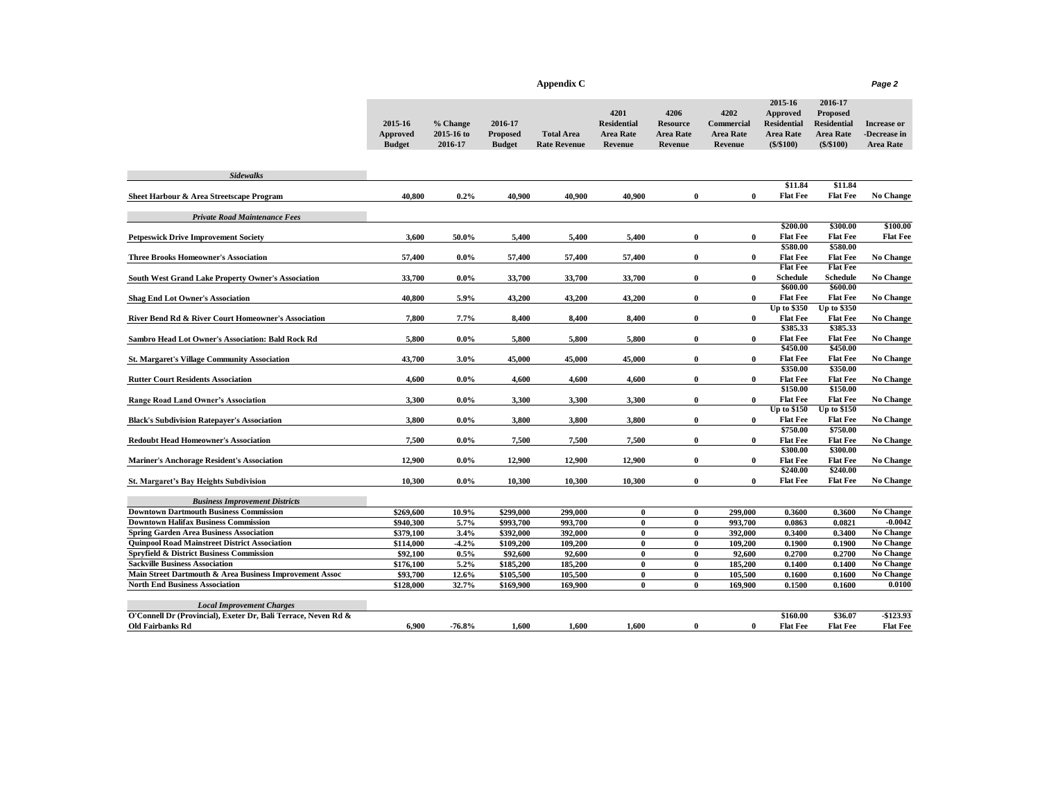| Appendix C | Page 2 |
|------------|--------|
|------------|--------|

|--|

|                                                                                   | 2015-16<br>Approved<br><b>Budget</b> | % Change<br>2015-16 to<br>2016-17 | 2016-17<br><b>Proposed</b><br><b>Budget</b> | <b>Total Area</b><br><b>Rate Revenue</b> | 4201<br><b>Residential</b><br><b>Area Rate</b><br>Revenue | 4206<br><b>Resource</b><br><b>Area Rate</b><br>Revenue | 4202<br>Commercial<br><b>Area Rate</b><br>Revenue | 2015-16<br>Approved<br><b>Residential</b><br><b>Area Rate</b><br>$(\$$ /\$100) | 2016-17<br><b>Proposed</b><br><b>Residential</b><br><b>Area Rate</b><br>$(\$$ /\$100) | <b>Increase or</b><br>-Decrease in<br><b>Area Rate</b> |
|-----------------------------------------------------------------------------------|--------------------------------------|-----------------------------------|---------------------------------------------|------------------------------------------|-----------------------------------------------------------|--------------------------------------------------------|---------------------------------------------------|--------------------------------------------------------------------------------|---------------------------------------------------------------------------------------|--------------------------------------------------------|
| <b>Sidewalks</b>                                                                  |                                      |                                   |                                             |                                          |                                                           |                                                        |                                                   |                                                                                |                                                                                       |                                                        |
| Sheet Harbour & Area Streetscape Program                                          | 40.800                               | 0.2%                              | 40.900                                      | 40.900                                   | 40.900                                                    | $\bf{0}$                                               | $\bf{0}$                                          | \$11.84<br><b>Flat Fee</b>                                                     | \$11.84<br><b>Flat Fee</b>                                                            | No Change                                              |
|                                                                                   |                                      |                                   |                                             |                                          |                                                           |                                                        |                                                   |                                                                                |                                                                                       |                                                        |
| <b>Private Road Maintenance Fees</b>                                              |                                      |                                   |                                             |                                          |                                                           |                                                        |                                                   |                                                                                |                                                                                       |                                                        |
|                                                                                   |                                      |                                   |                                             |                                          |                                                           |                                                        |                                                   | \$200.00                                                                       | \$300.00                                                                              | \$100.00                                               |
| <b>Petpeswick Drive Improvement Society</b>                                       | 3,600                                | 50.0%                             | 5,400                                       | 5,400                                    | 5,400                                                     | $\bf{0}$                                               | $\bf{0}$                                          | <b>Flat Fee</b><br>\$580.00                                                    | <b>Flat Fee</b><br>\$580.00                                                           | <b>Flat Fee</b>                                        |
| <b>Three Brooks Homeowner's Association</b>                                       | 57,400                               | $0.0\%$                           | 57,400                                      | 57,400                                   | 57,400                                                    | $\bf{0}$                                               | $\bf{0}$                                          | <b>Flat Fee</b>                                                                | <b>Flat Fee</b>                                                                       | <b>No Change</b>                                       |
|                                                                                   |                                      |                                   |                                             |                                          |                                                           |                                                        |                                                   | <b>Flat Fee</b>                                                                | <b>Flat Fee</b>                                                                       |                                                        |
| <b>South West Grand Lake Property Owner's Association</b>                         | 33,700                               | $0.0\%$                           | 33,700                                      | 33,700                                   | 33,700                                                    | $\bf{0}$                                               | $\bf{0}$                                          | <b>Schedule</b>                                                                | <b>Schedule</b>                                                                       | <b>No Change</b>                                       |
|                                                                                   |                                      |                                   |                                             |                                          |                                                           |                                                        |                                                   | \$600.00                                                                       | \$600.00                                                                              |                                                        |
| <b>Shag End Lot Owner's Association</b>                                           | 40,800                               | 5.9%                              | 43,200                                      | 43,200                                   | 43,200                                                    | $\bf{0}$                                               | $\bf{0}$                                          | <b>Flat Fee</b>                                                                | <b>Flat Fee</b>                                                                       | No Change                                              |
|                                                                                   |                                      |                                   |                                             |                                          |                                                           |                                                        |                                                   | <b>Up to \$350</b>                                                             | Up to \$350                                                                           |                                                        |
| River Bend Rd & River Court Homeowner's Association                               | 7,800                                | 7.7%                              | 8,400                                       | 8,400                                    | 8,400                                                     | 0                                                      | $\mathbf{0}$                                      | <b>Flat Fee</b><br>\$385.33                                                    | <b>Flat Fee</b><br>\$385.33                                                           | No Change                                              |
| Sambro Head Lot Owner's Association: Bald Rock Rd                                 | 5,800                                | $0.0\%$                           | 5,800                                       | 5,800                                    | 5,800                                                     | $\bf{0}$                                               | $\bf{0}$                                          | <b>Flat Fee</b>                                                                | <b>Flat Fee</b>                                                                       |                                                        |
|                                                                                   |                                      |                                   |                                             |                                          |                                                           |                                                        |                                                   | \$450.00                                                                       | \$450.00                                                                              | <b>No Change</b>                                       |
| <b>St. Margaret's Village Community Association</b>                               | 43,700                               | 3.0%                              | 45,000                                      | 45,000                                   | 45,000                                                    | $\bf{0}$                                               | $\bf{0}$                                          | <b>Flat Fee</b>                                                                | <b>Flat Fee</b>                                                                       | No Change                                              |
|                                                                                   |                                      |                                   |                                             |                                          |                                                           |                                                        |                                                   | \$350.00                                                                       | \$350.00                                                                              |                                                        |
| <b>Rutter Court Residents Association</b>                                         | 4.600                                | $0.0\%$                           | 4,600                                       | 4,600                                    | 4,600                                                     | 0                                                      | $\mathbf{0}$                                      | <b>Flat Fee</b>                                                                | <b>Flat Fee</b>                                                                       | <b>No Change</b>                                       |
|                                                                                   |                                      |                                   |                                             |                                          |                                                           |                                                        |                                                   | \$150.00                                                                       | \$150.00                                                                              |                                                        |
| <b>Range Road Land Owner's Association</b>                                        | 3,300                                | $0.0\%$                           | 3,300                                       | 3,300                                    | 3,300                                                     | $\bf{0}$                                               | $\bf{0}$                                          | <b>Flat Fee</b>                                                                | <b>Flat Fee</b>                                                                       | No Change                                              |
|                                                                                   |                                      |                                   |                                             |                                          |                                                           |                                                        |                                                   | <b>Up to \$150</b>                                                             | <b>Up to \$150</b>                                                                    |                                                        |
| <b>Black's Subdivision Ratepayer's Association</b>                                | 3,800                                | $0.0\%$                           | 3,800                                       | 3,800                                    | 3,800                                                     | 0                                                      | $\bf{0}$                                          | <b>Flat Fee</b>                                                                | <b>Flat Fee</b>                                                                       | No Change                                              |
|                                                                                   |                                      |                                   |                                             |                                          |                                                           |                                                        |                                                   | \$750.00<br><b>Flat Fee</b>                                                    | \$750.00<br><b>Flat Fee</b>                                                           |                                                        |
| <b>Redoubt Head Homeowner's Association</b>                                       | 7,500                                | $0.0\%$                           | 7,500                                       | 7,500                                    | 7,500                                                     | $\bf{0}$                                               | $\bf{0}$                                          | \$300.00                                                                       | \$300.00                                                                              | <b>No Change</b>                                       |
| <b>Mariner's Anchorage Resident's Association</b>                                 | 12,900                               | $0.0\%$                           | 12,900                                      | 12,900                                   | 12,900                                                    | $\bf{0}$                                               | $\mathbf{0}$                                      | <b>Flat Fee</b>                                                                | <b>Flat Fee</b>                                                                       | No Change                                              |
|                                                                                   |                                      |                                   |                                             |                                          |                                                           |                                                        |                                                   | \$240.00                                                                       | \$240.00                                                                              |                                                        |
| <b>St. Margaret's Bay Heights Subdivision</b>                                     | 10,300                               | $0.0\%$                           | 10,300                                      | 10,300                                   | 10,300                                                    | $\bf{0}$                                               | $\mathbf{0}$                                      | <b>Flat Fee</b>                                                                | <b>Flat Fee</b>                                                                       | <b>No Change</b>                                       |
|                                                                                   |                                      |                                   |                                             |                                          |                                                           |                                                        |                                                   |                                                                                |                                                                                       |                                                        |
| <b>Business Improvement Districts</b>                                             |                                      |                                   |                                             |                                          |                                                           |                                                        |                                                   |                                                                                |                                                                                       |                                                        |
| <b>Downtown Dartmouth Business Commission</b>                                     | \$269,600                            | 10.9%                             | \$299,000                                   | 299,000                                  | $\bf{0}$                                                  | $\bf{0}$                                               | 299,000                                           | 0.3600                                                                         | 0.3600                                                                                | No Change                                              |
| <b>Downtown Halifax Business Commission</b>                                       | \$940.300                            | 5.7%                              | \$993,700                                   | 993,700                                  | $\bf{0}$                                                  | $\bf{0}$                                               | 993.700                                           | 0.0863                                                                         | 0.0821                                                                                | $-0.0042$                                              |
| <b>Spring Garden Area Business Association</b>                                    | \$379,100                            | 3.4%                              | \$392,000                                   | 392,000                                  | $\bf{0}$                                                  | 0                                                      | 392,000                                           | 0.3400                                                                         | 0.3400                                                                                | No Change                                              |
| <b>Quinpool Road Mainstreet District Association</b>                              | \$114.000                            | $-4.2%$                           | \$109,200                                   | 109,200                                  | $\bf{0}$                                                  | $\bf{0}$                                               | 109,200                                           | 0.1900                                                                         | 0.1900                                                                                | No Change                                              |
| Spryfield & District Business Commission<br><b>Sackville Business Association</b> | \$92,100<br>\$176,100                | 0.5%<br>5.2%                      | \$92,600<br>\$185,200                       | 92,600<br>185,200                        | $\bf{0}$<br>$\bf{0}$                                      | $\bf{0}$<br>$\bf{0}$                                   | 92,600<br>185,200                                 | 0.2700<br>0.1400                                                               | 0.2700<br>0.1400                                                                      | No Change                                              |
| Main Street Dartmouth & Area Business Improvement Assoc                           | \$93,700                             | 12.6%                             | \$105,500                                   | 105,500                                  | $\bf{0}$                                                  | $\bf{0}$                                               | 105,500                                           | 0.1600                                                                         | 0.1600                                                                                | No Change<br>No Change                                 |
| <b>North End Business Association</b>                                             | \$128,000                            | 32.7%                             | \$169,900                                   | 169,900                                  | 0                                                         | $\bf{0}$                                               | 169,900                                           | 0.1500                                                                         | 0.1600                                                                                | 0.0100                                                 |
|                                                                                   |                                      |                                   |                                             |                                          |                                                           |                                                        |                                                   |                                                                                |                                                                                       |                                                        |
| <b>Local Improvement Charges</b>                                                  |                                      |                                   |                                             |                                          |                                                           |                                                        |                                                   |                                                                                |                                                                                       |                                                        |
| O'Connell Dr (Provincial), Exeter Dr. Bali Terrace, Neven Rd &                    |                                      |                                   |                                             |                                          |                                                           |                                                        |                                                   | \$160.00                                                                       | \$36.07                                                                               | -\$123.93                                              |
| <b>Old Fairbanks Rd</b>                                                           | 6,900                                | $-76.8%$                          | 1.600                                       | 1,600                                    | 1,600                                                     | 0                                                      | $\mathbf{0}$                                      | <b>Flat Fee</b>                                                                | <b>Flat Fee</b>                                                                       | <b>Flat Fee</b>                                        |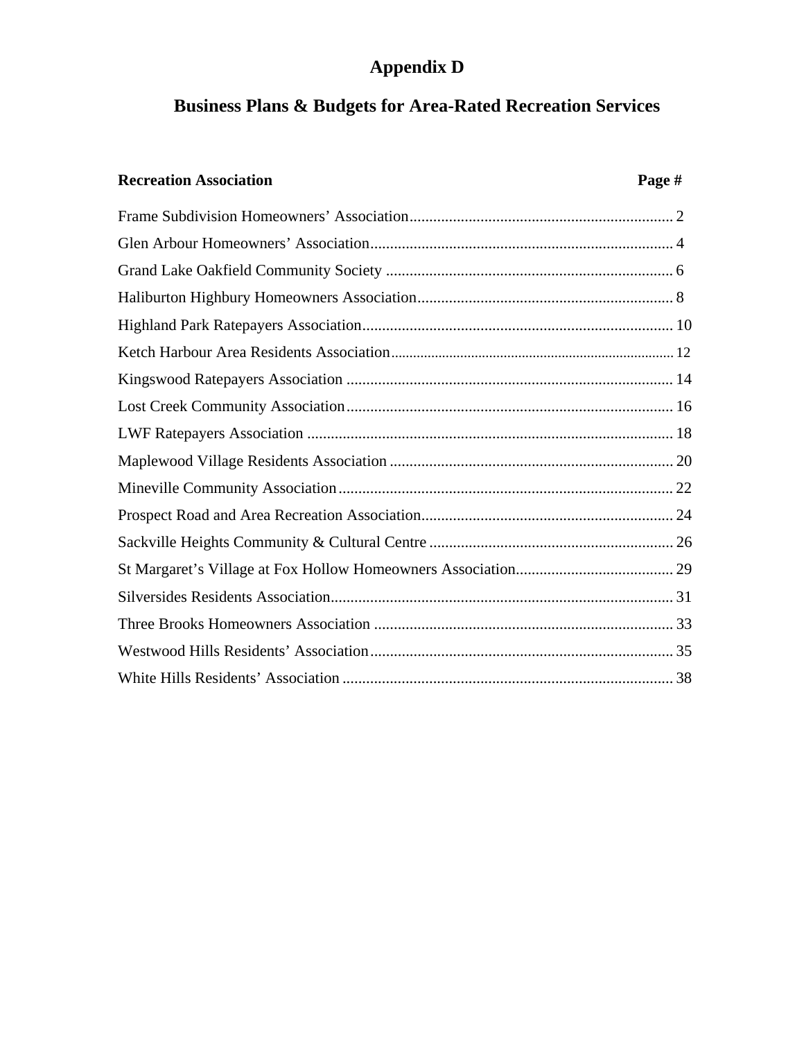# **Appendix D**

# **Business Plans & Budgets for Area-Rated Recreation Services**

## **Recreation Association Page #**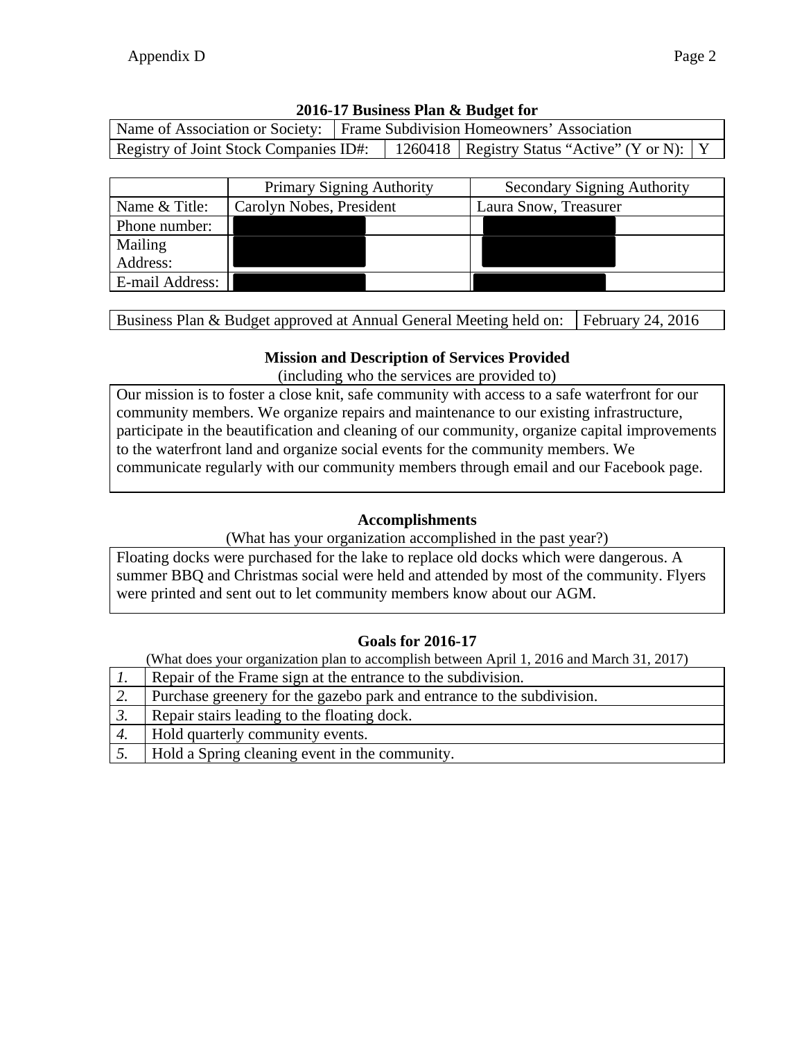|  | Name of Association or Society:   Frame Subdivision Homeowners' Association |                                                                                           |  |  |
|--|-----------------------------------------------------------------------------|-------------------------------------------------------------------------------------------|--|--|
|  |                                                                             | Registry of Joint Stock Companies ID#:   1260418   Registry Status "Active" (Y or N):   Y |  |  |

|                 | <b>Primary Signing Authority</b> | <b>Secondary Signing Authority</b> |  |  |  |
|-----------------|----------------------------------|------------------------------------|--|--|--|
| Name & Title:   | Carolyn Nobes, President         | Laura Snow, Treasurer              |  |  |  |
| Phone number:   |                                  |                                    |  |  |  |
| Mailing         |                                  |                                    |  |  |  |
| Address:        |                                  |                                    |  |  |  |
| E-mail Address: |                                  |                                    |  |  |  |

Business Plan & Budget approved at Annual General Meeting held on: February 24, 2016

#### **Mission and Description of Services Provided**

(including who the services are provided to)

Our mission is to foster a close knit, safe community with access to a safe waterfront for our community members. We organize repairs and maintenance to our existing infrastructure, participate in the beautification and cleaning of our community, organize capital improvements to the waterfront land and organize social events for the community members. We communicate regularly with our community members through email and our Facebook page.

#### **Accomplishments**

(What has your organization accomplished in the past year?)

Floating docks were purchased for the lake to replace old docks which were dangerous. A summer BBQ and Christmas social were held and attended by most of the community. Flyers were printed and sent out to let community members know about our AGM.

#### **Goals for 2016-17**

|    | Repair of the Frame sign at the entrance to the subdivision.           |
|----|------------------------------------------------------------------------|
| Ζ. | Purchase greenery for the gazebo park and entrance to the subdivision. |
|    | Repair stairs leading to the floating dock.                            |
| 4. | Hold quarterly community events.                                       |
|    | Hold a Spring cleaning event in the community.                         |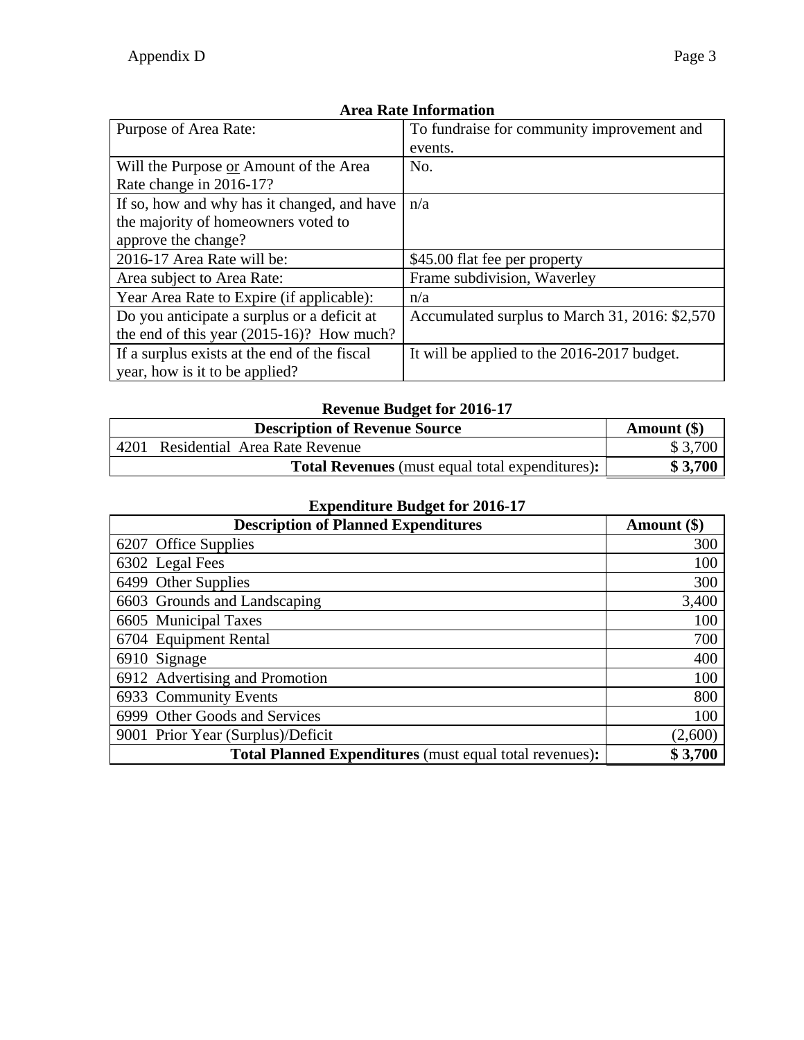| Purpose of Area Rate:                        | To fundraise for community improvement and     |
|----------------------------------------------|------------------------------------------------|
|                                              | events.                                        |
| Will the Purpose or Amount of the Area       | No.                                            |
| Rate change in 2016-17?                      |                                                |
| If so, how and why has it changed, and have  | n/a                                            |
| the majority of homeowners voted to          |                                                |
| approve the change?                          |                                                |
| 2016-17 Area Rate will be:                   | \$45.00 flat fee per property                  |
| Area subject to Area Rate:                   | Frame subdivision, Waverley                    |
| Year Area Rate to Expire (if applicable):    | n/a                                            |
| Do you anticipate a surplus or a deficit at  | Accumulated surplus to March 31, 2016: \$2,570 |
| the end of this year $(2015-16)$ ? How much? |                                                |
| If a surplus exists at the end of the fiscal | It will be applied to the 2016-2017 budget.    |
| year, how is it to be applied?               |                                                |

# **Revenue Budget for 2016-17**

|      | <b>Description of Revenue Source</b>                   | Amount $(\$)$ |
|------|--------------------------------------------------------|---------------|
| 4201 | Residential Area Rate Revenue                          | \$3,700       |
|      | <b>Total Revenues</b> (must equal total expenditures): | \$3,700       |

| <b>Description of Planned Expenditures</b>                     | Amount (\$) |
|----------------------------------------------------------------|-------------|
| 6207 Office Supplies                                           | 300         |
| 6302 Legal Fees                                                | 100         |
| 6499 Other Supplies                                            | 300         |
| 6603 Grounds and Landscaping                                   | 3,400       |
| 6605 Municipal Taxes                                           | 100         |
| 6704 Equipment Rental                                          | 700         |
| 6910 Signage                                                   | 400         |
| 6912 Advertising and Promotion                                 | 100         |
| 6933 Community Events                                          | 800         |
| 6999 Other Goods and Services                                  | 100         |
| 9001 Prior Year (Surplus)/Deficit                              | (2,600)     |
| <b>Total Planned Expenditures</b> (must equal total revenues): | \$3,700     |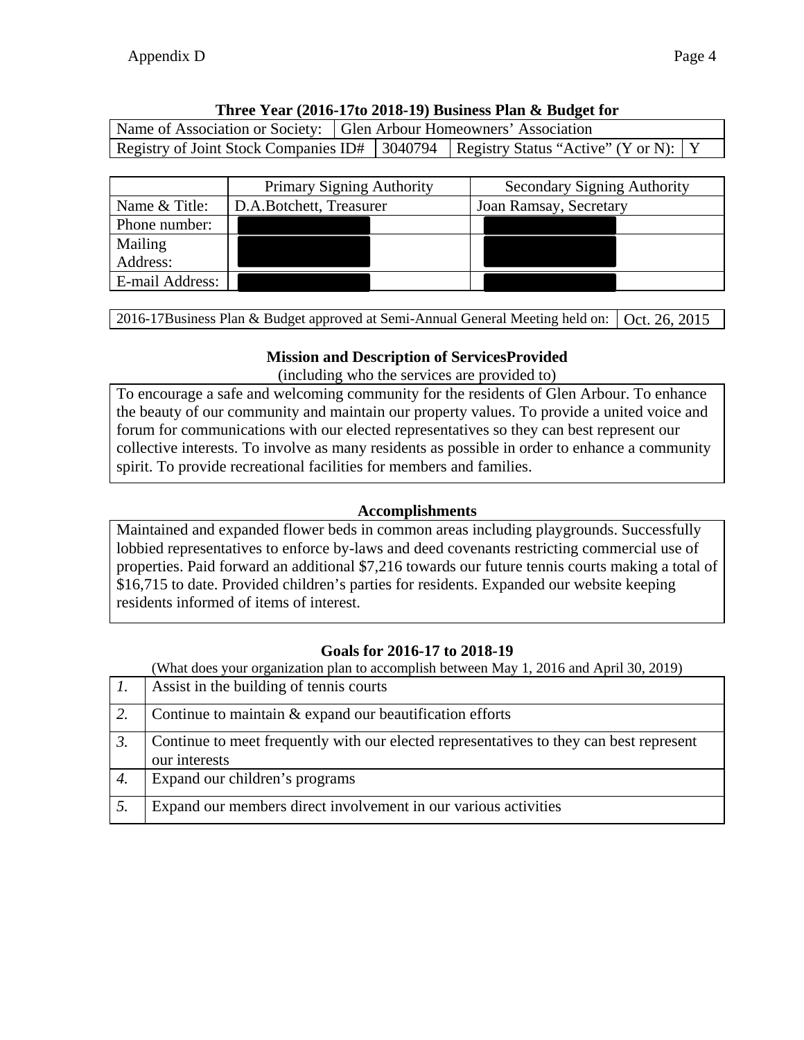### **Three Year (2016-17to 2018-19) Business Plan & Budget for**

| Name of Association or Society: Glen Arbour Homeowners' Association |  |                                                                                      |  |
|---------------------------------------------------------------------|--|--------------------------------------------------------------------------------------|--|
|                                                                     |  | Registry of Joint Stock Companies ID# 3040794   Registry Status "Active" (Y or N): Y |  |

|                 | <b>Primary Signing Authority</b> | <b>Secondary Signing Authority</b> |
|-----------------|----------------------------------|------------------------------------|
| Name & Title:   | D.A.Botchett, Treasurer          | Joan Ramsay, Secretary             |
| Phone number:   |                                  |                                    |
| Mailing         |                                  |                                    |
| Address:        |                                  |                                    |
| E-mail Address: |                                  |                                    |

2016-17Business Plan & Budget approved at Semi-Annual General Meeting held on: Oct. 26, 2015

## **Mission and Description of ServicesProvided**

(including who the services are provided to)

To encourage a safe and welcoming community for the residents of Glen Arbour. To enhance the beauty of our community and maintain our property values. To provide a united voice and forum for communications with our elected representatives so they can best represent our collective interests. To involve as many residents as possible in order to enhance a community spirit. To provide recreational facilities for members and families.

## **Accomplishments**

Maintained and expanded flower beds in common areas including playgrounds. Successfully lobbied representatives to enforce by-laws and deed covenants restricting commercial use of properties. Paid forward an additional \$7,216 towards our future tennis courts making a total of \$16,715 to date. Provided children's parties for residents. Expanded our website keeping residents informed of items of interest.

## **Goals for 2016-17 to 2018-19**

(What does your organization plan to accomplish between May 1, 2016 and April 30, 2019)

|                  | Assist in the building of tennis courts                                                                  |
|------------------|----------------------------------------------------------------------------------------------------------|
|                  | Continue to maintain & expand our beautification efforts                                                 |
| $\mathfrak{Z}$ . | Continue to meet frequently with our elected representatives to they can best represent<br>our interests |
| 4.               | Expand our children's programs                                                                           |
|                  | Expand our members direct involvement in our various activities                                          |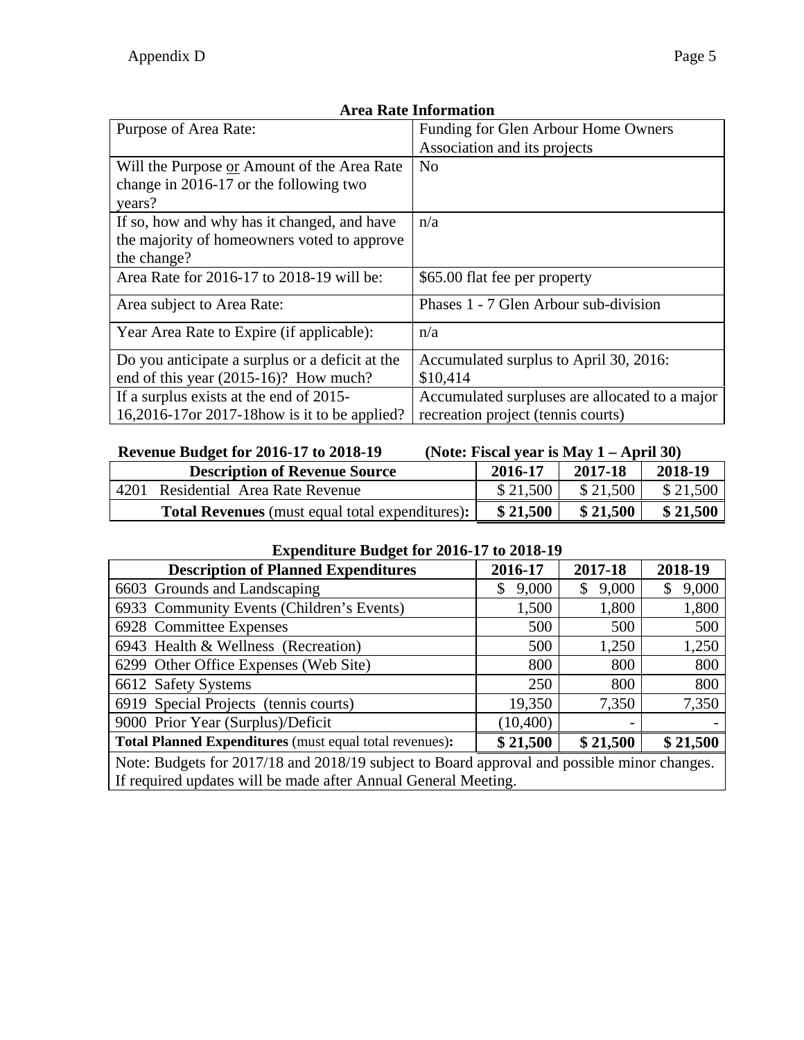| Purpose of Area Rate:                           | Funding for Glen Arbour Home Owners            |
|-------------------------------------------------|------------------------------------------------|
|                                                 | Association and its projects                   |
| Will the Purpose or Amount of the Area Rate     | N <sub>0</sub>                                 |
| change in 2016-17 or the following two          |                                                |
| years?                                          |                                                |
| If so, how and why has it changed, and have     | n/a                                            |
| the majority of homeowners voted to approve     |                                                |
| the change?                                     |                                                |
| Area Rate for 2016-17 to 2018-19 will be:       | \$65.00 flat fee per property                  |
| Area subject to Area Rate:                      | Phases 1 - 7 Glen Arbour sub-division          |
| Year Area Rate to Expire (if applicable):       | n/a                                            |
| Do you anticipate a surplus or a deficit at the | Accumulated surplus to April 30, 2016:         |
| end of this year $(2015-16)$ ? How much?        | \$10,414                                       |
| If a surplus exists at the end of 2015-         | Accumulated surpluses are allocated to a major |
| 16,2016-17 or 2017-18 how is it to be applied?  | recreation project (tennis courts)             |

#### **Revenue Budget for 2016-17 to 2018-19 (Note: Fiscal year is May 1 – April 30)**

|      | <b>Description of Revenue Source</b>                   | 2016-17  | 2017-18  | 2018-19  |
|------|--------------------------------------------------------|----------|----------|----------|
| 4201 | Residential Area Rate Revenue                          | \$21,500 | \$21,500 | \$21,500 |
|      | <b>Total Revenues</b> (must equal total expenditures): | \$21,500 | \$21,500 | \$21,500 |

#### **Expenditure Budget for 2016-17 to 2018-19**

| $20.80$ and $20.80$ and $20.80$ and $20.80$ and $20.80$ and $20.80$ and $20.80$ and $20.80$ and $20.80$ and $20.80$ and $20.80$ and $20.80$ and $20.80$ and $20.80$ and $20.80$ and $20.80$ and $20.80$ and $20.80$ and $20.8$ |             |              |          |
|--------------------------------------------------------------------------------------------------------------------------------------------------------------------------------------------------------------------------------|-------------|--------------|----------|
| <b>Description of Planned Expenditures</b>                                                                                                                                                                                     | 2016-17     | 2017-18      | 2018-19  |
| 6603 Grounds and Landscaping                                                                                                                                                                                                   | 9,000<br>\$ | 9,000<br>\$. | 9,000    |
| 6933 Community Events (Children's Events)                                                                                                                                                                                      | 1,500       | 1,800        | 1,800    |
| 6928 Committee Expenses                                                                                                                                                                                                        | 500         | 500          | 500      |
| 6943 Health & Wellness (Recreation)                                                                                                                                                                                            | 500         | 1,250        | 1,250    |
| 6299 Other Office Expenses (Web Site)                                                                                                                                                                                          | 800         | 800          | 800      |
| 6612 Safety Systems                                                                                                                                                                                                            | 250         | 800          | 800      |
| 6919 Special Projects (tennis courts)                                                                                                                                                                                          | 19,350      | 7,350        | 7,350    |
| 9000 Prior Year (Surplus)/Deficit                                                                                                                                                                                              | (10, 400)   |              |          |
| Total Planned Expenditures (must equal total revenues):                                                                                                                                                                        | \$21,500    | \$21,500     | \$21,500 |
| Note: Budgate for 2017/18 and 2018/10 subject to Board approval and possible minor changes                                                                                                                                     |             |              |          |

Note: Budgets for 2017/18 and 2018/19 subject to Board approval and possible minor changes. If required updates will be made after Annual General Meeting.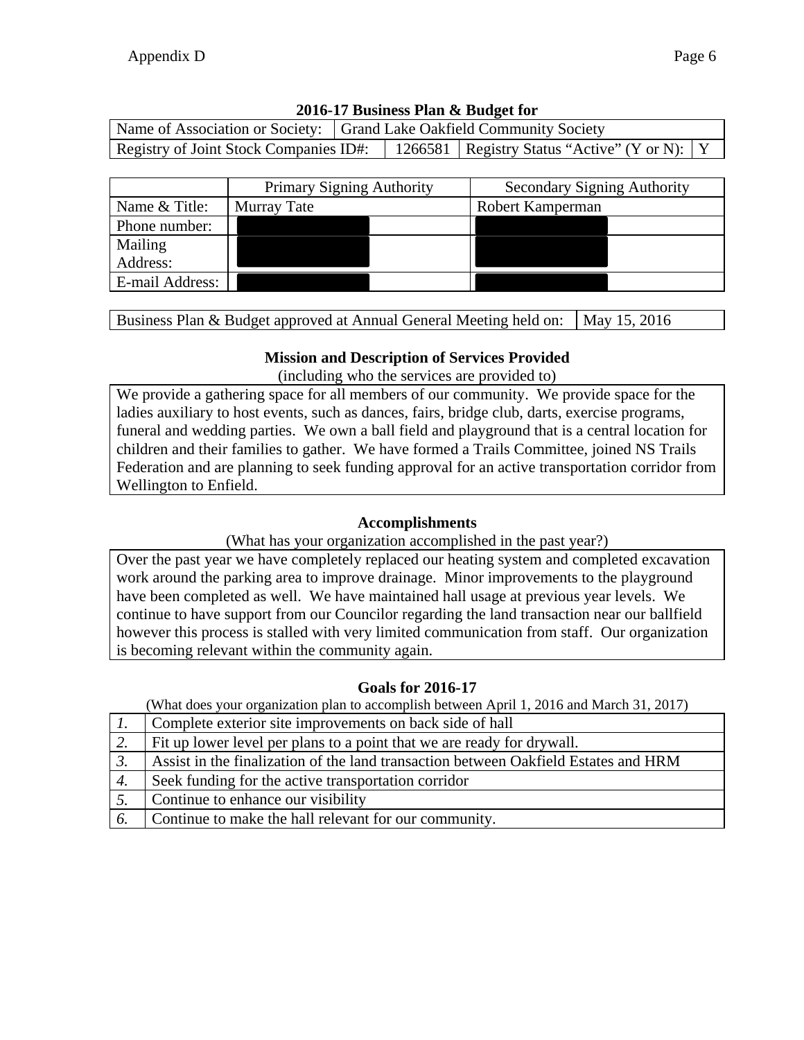| Name of Association or Society: Grand Lake Oakfield Community Society |  |  |                                                                                           |  |
|-----------------------------------------------------------------------|--|--|-------------------------------------------------------------------------------------------|--|
|                                                                       |  |  | Registry of Joint Stock Companies ID#:   1266581   Registry Status "Active" (Y or N):   Y |  |
|                                                                       |  |  |                                                                                           |  |

|                 | Primary Signing Authority |  | <b>Secondary Signing Authority</b> |  |  |
|-----------------|---------------------------|--|------------------------------------|--|--|
| Name & Title:   | Murray Tate               |  | Robert Kamperman                   |  |  |
| Phone number:   |                           |  |                                    |  |  |
| Mailing         |                           |  |                                    |  |  |
| Address:        |                           |  |                                    |  |  |
| E-mail Address: |                           |  |                                    |  |  |

Business Plan & Budget approved at Annual General Meeting held on:  $\vert$  May 15, 2016

### **Mission and Description of Services Provided**

(including who the services are provided to)

We provide a gathering space for all members of our community. We provide space for the ladies auxiliary to host events, such as dances, fairs, bridge club, darts, exercise programs, funeral and wedding parties. We own a ball field and playground that is a central location for children and their families to gather. We have formed a Trails Committee, joined NS Trails Federation and are planning to seek funding approval for an active transportation corridor from Wellington to Enfield.

#### **Accomplishments**

(What has your organization accomplished in the past year?)

Over the past year we have completely replaced our heating system and completed excavation work around the parking area to improve drainage. Minor improvements to the playground have been completed as well. We have maintained hall usage at previous year levels. We continue to have support from our Councilor regarding the land transaction near our ballfield however this process is stalled with very limited communication from staff. Our organization is becoming relevant within the community again.

### **Goals for 2016-17**

|    | Complete exterior site improvements on back side of hall                            |
|----|-------------------------------------------------------------------------------------|
| 2. | Fit up lower level per plans to a point that we are ready for drywall.              |
|    | Assist in the finalization of the land transaction between Oakfield Estates and HRM |
| 4. | Seek funding for the active transportation corridor                                 |
|    | Continue to enhance our visibility                                                  |
| 6. | Continue to make the hall relevant for our community.                               |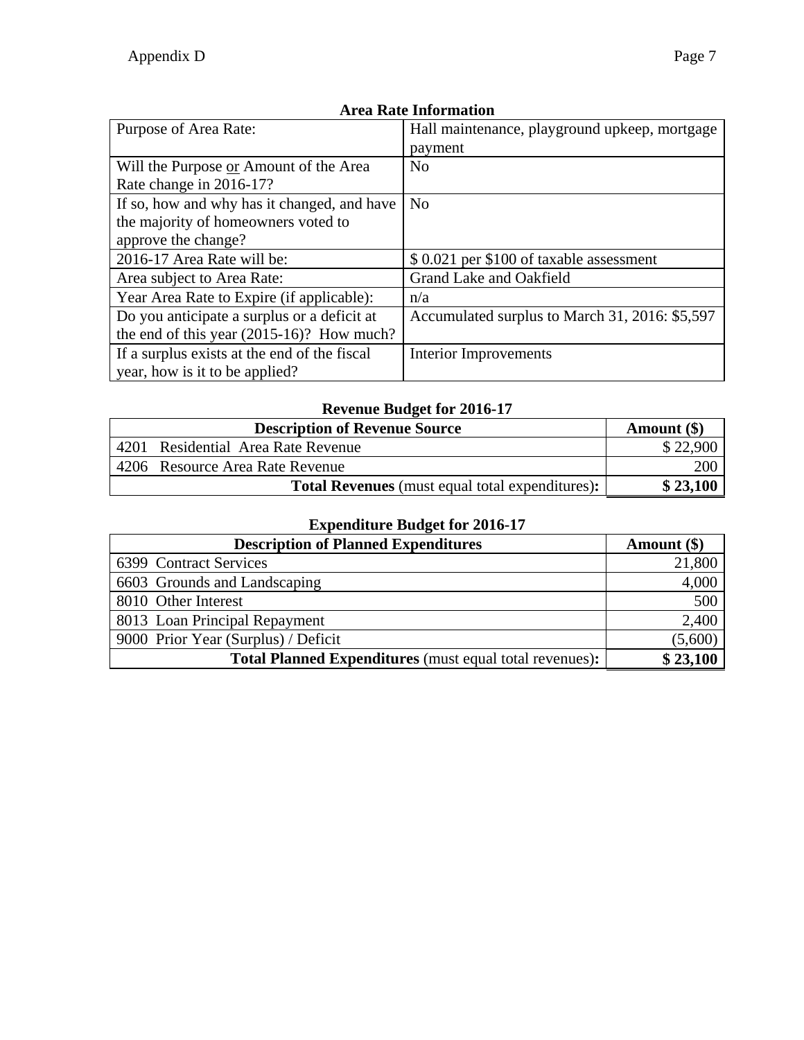| AN CU AWAC AMADI MUUDIL                      |                                                |  |  |  |
|----------------------------------------------|------------------------------------------------|--|--|--|
| Purpose of Area Rate:                        | Hall maintenance, playground upkeep, mortgage  |  |  |  |
|                                              | payment                                        |  |  |  |
| Will the Purpose or Amount of the Area       | N <sub>0</sub>                                 |  |  |  |
| Rate change in 2016-17?                      |                                                |  |  |  |
| If so, how and why has it changed, and have  | No                                             |  |  |  |
| the majority of homeowners voted to          |                                                |  |  |  |
| approve the change?                          |                                                |  |  |  |
| 2016-17 Area Rate will be:                   | \$ 0.021 per \$100 of taxable assessment       |  |  |  |
| Area subject to Area Rate:                   | Grand Lake and Oakfield                        |  |  |  |
| Year Area Rate to Expire (if applicable):    | n/a                                            |  |  |  |
| Do you anticipate a surplus or a deficit at  | Accumulated surplus to March 31, 2016: \$5,597 |  |  |  |
| the end of this year $(2015-16)$ ? How much? |                                                |  |  |  |
| If a surplus exists at the end of the fiscal | <b>Interior Improvements</b>                   |  |  |  |
| year, how is it to be applied?               |                                                |  |  |  |

# **Revenue Budget for 2016-17**

| <b>Description of Revenue Source</b> |                                                        | Amount $(\$)$ |
|--------------------------------------|--------------------------------------------------------|---------------|
|                                      | 4201 Residential Area Rate Revenue                     | \$22,900      |
|                                      | 4206 Resource Area Rate Revenue                        | 200           |
|                                      | <b>Total Revenues</b> (must equal total expenditures): | \$23,100      |

| <b>Description of Planned Expenditures</b>                     | Amount $(\$)$ |
|----------------------------------------------------------------|---------------|
| 6399 Contract Services                                         | 21,800        |
| 6603 Grounds and Landscaping                                   | 4,000         |
| 8010 Other Interest                                            | 500           |
| 8013 Loan Principal Repayment                                  | 2,400         |
| 9000 Prior Year (Surplus) / Deficit                            | (5,600)       |
| <b>Total Planned Expenditures</b> (must equal total revenues): | \$23,100      |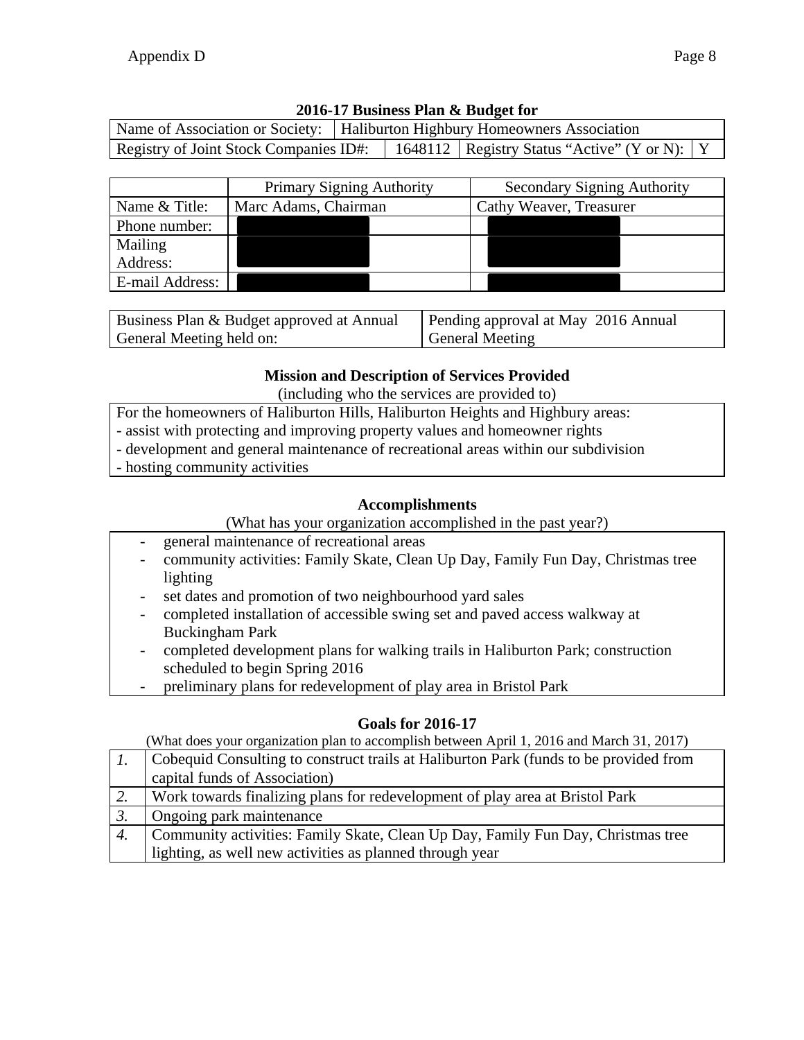|                                        | Name of Association or Society:   Haliburton Highbury Homeowners Association |  |                                                  |  |
|----------------------------------------|------------------------------------------------------------------------------|--|--------------------------------------------------|--|
| Registry of Joint Stock Companies ID#: |                                                                              |  | 1648112   Registry Status "Active" (Y or N):   Y |  |

|                 | <b>Primary Signing Authority</b> | <b>Secondary Signing Authority</b> |
|-----------------|----------------------------------|------------------------------------|
| Name & Title:   | Marc Adams, Chairman             | Cathy Weaver, Treasurer            |
| Phone number:   |                                  |                                    |
| Mailing         |                                  |                                    |
| Address:        |                                  |                                    |
| E-mail Address: |                                  |                                    |

| Business Plan & Budget approved at Annual | Pending approval at May 2016 Annual |
|-------------------------------------------|-------------------------------------|
| General Meeting held on:                  | General Meeting                     |

### **Mission and Description of Services Provided**

(including who the services are provided to)

- For the homeowners of Haliburton Hills, Haliburton Heights and Highbury areas:
- assist with protecting and improving property values and homeowner rights
- development and general maintenance of recreational areas within our subdivision
- hosting community activities

### **Accomplishments**

(What has your organization accomplished in the past year?)

- general maintenance of recreational areas
- community activities: Family Skate, Clean Up Day, Family Fun Day, Christmas tree lighting
- set dates and promotion of two neighbourhood yard sales
- completed installation of accessible swing set and paved access walkway at Buckingham Park
- completed development plans for walking trails in Haliburton Park; construction scheduled to begin Spring 2016
- preliminary plans for redevelopment of play area in Bristol Park

### **Goals for 2016-17**

|           | Cobequid Consulting to construct trails at Haliburton Park (funds to be provided from |
|-----------|---------------------------------------------------------------------------------------|
|           | capital funds of Association)                                                         |
| 2.        | Work towards finalizing plans for redevelopment of play area at Bristol Park          |
| $\beta$ . | Ongoing park maintenance                                                              |
| 4.        | Community activities: Family Skate, Clean Up Day, Family Fun Day, Christmas tree      |
|           | lighting, as well new activities as planned through year                              |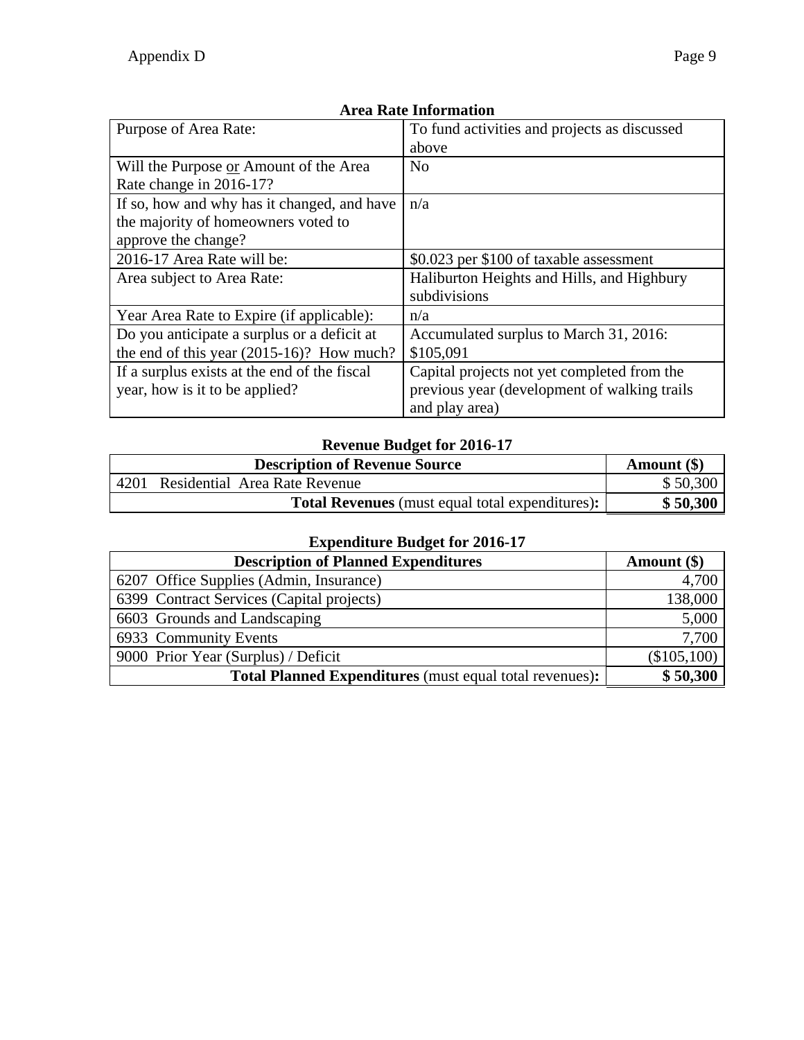| Purpose of Area Rate:                        | To fund activities and projects as discussed |
|----------------------------------------------|----------------------------------------------|
|                                              |                                              |
|                                              | above                                        |
| Will the Purpose or Amount of the Area       | N <sub>0</sub>                               |
| Rate change in 2016-17?                      |                                              |
| If so, how and why has it changed, and have  | n/a                                          |
| the majority of homeowners voted to          |                                              |
| approve the change?                          |                                              |
| 2016-17 Area Rate will be:                   | \$0.023 per \$100 of taxable assessment      |
| Area subject to Area Rate:                   | Haliburton Heights and Hills, and Highbury   |
|                                              | subdivisions                                 |
| Year Area Rate to Expire (if applicable):    | n/a                                          |
| Do you anticipate a surplus or a deficit at  | Accumulated surplus to March 31, 2016:       |
| the end of this year $(2015-16)$ ? How much? | \$105,091                                    |
| If a surplus exists at the end of the fiscal | Capital projects not yet completed from the  |
| year, how is it to be applied?               | previous year (development of walking trails |
|                                              | and play area)                               |

# **Revenue Budget for 2016-17**

|      | Amount (\$)                                            |          |
|------|--------------------------------------------------------|----------|
| 4201 | Residential Area Rate Revenue                          | \$50,300 |
|      | <b>Total Revenues</b> (must equal total expenditures): | \$50,300 |

| <b>Description of Planned Expenditures</b>                     | Amount $(\$)$ |
|----------------------------------------------------------------|---------------|
| 6207 Office Supplies (Admin, Insurance)                        | 4,700         |
| 6399 Contract Services (Capital projects)                      | 138,000       |
| 6603 Grounds and Landscaping                                   | 5,000         |
| 6933 Community Events                                          | 7,700         |
| 9000 Prior Year (Surplus) / Deficit                            | (\$105,100)   |
| <b>Total Planned Expenditures</b> (must equal total revenues): | \$50,300      |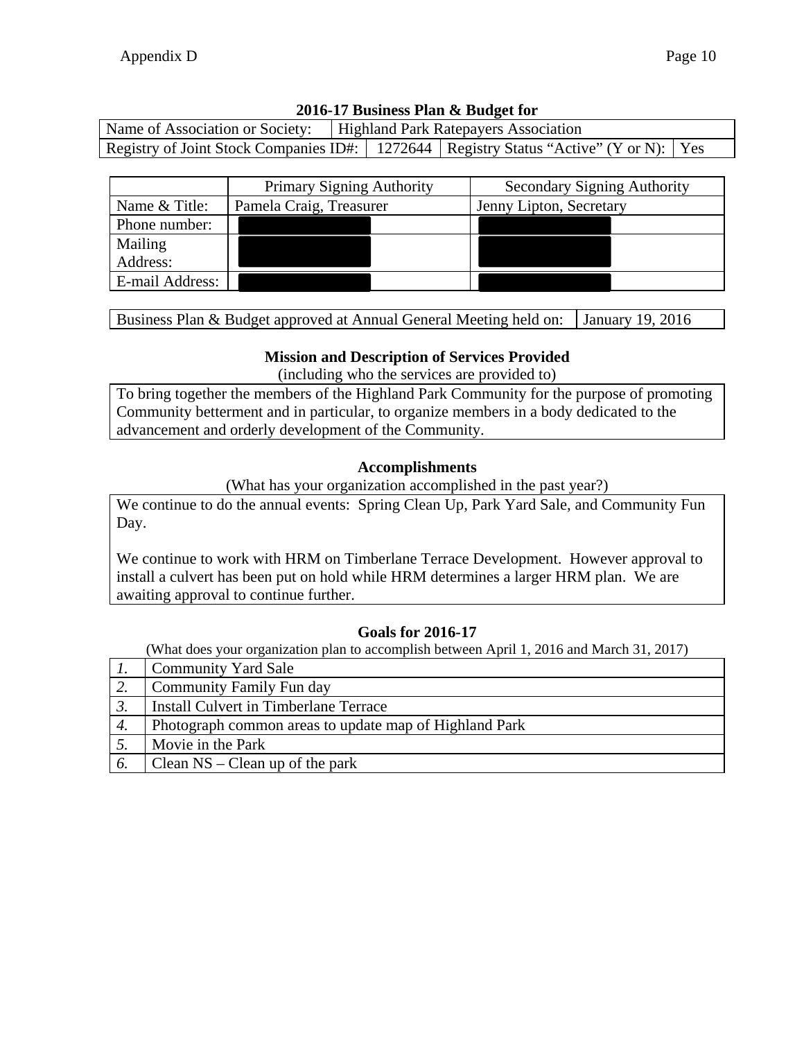| Name of Association or Society: | Highland Park Ratepayers Association |  |                                                                                             |  |
|---------------------------------|--------------------------------------|--|---------------------------------------------------------------------------------------------|--|
|                                 |                                      |  | Registry of Joint Stock Companies ID#:   1272644   Registry Status "Active" (Y or N):   Yes |  |

|                 | <b>Primary Signing Authority</b> | <b>Secondary Signing Authority</b> |
|-----------------|----------------------------------|------------------------------------|
| Name & Title:   | Pamela Craig, Treasurer          | Jenny Lipton, Secretary            |
| Phone number:   |                                  |                                    |
| Mailing         |                                  |                                    |
| Address:        |                                  |                                    |
| E-mail Address: |                                  |                                    |

Business Plan & Budget approved at Annual General Meeting held on: January 19, 2016

### **Mission and Description of Services Provided**

(including who the services are provided to)

To bring together the members of the Highland Park Community for the purpose of promoting Community betterment and in particular, to organize members in a body dedicated to the advancement and orderly development of the Community.

#### **Accomplishments**

(What has your organization accomplished in the past year?)

We continue to do the annual events: Spring Clean Up, Park Yard Sale, and Community Fun Day.

We continue to work with HRM on Timberlane Terrace Development. However approval to install a culvert has been put on hold while HRM determines a larger HRM plan. We are awaiting approval to continue further.

### **Goals for 2016-17**

|           | <b>Community Yard Sale</b>                             |
|-----------|--------------------------------------------------------|
| 2.        | Community Family Fun day                               |
| $\beta$ . | <b>Install Culvert in Timberlane Terrace</b>           |
| 4.        | Photograph common areas to update map of Highland Park |
|           | Movie in the Park                                      |
| 6.        | Clean $NS - Clean$ up of the park                      |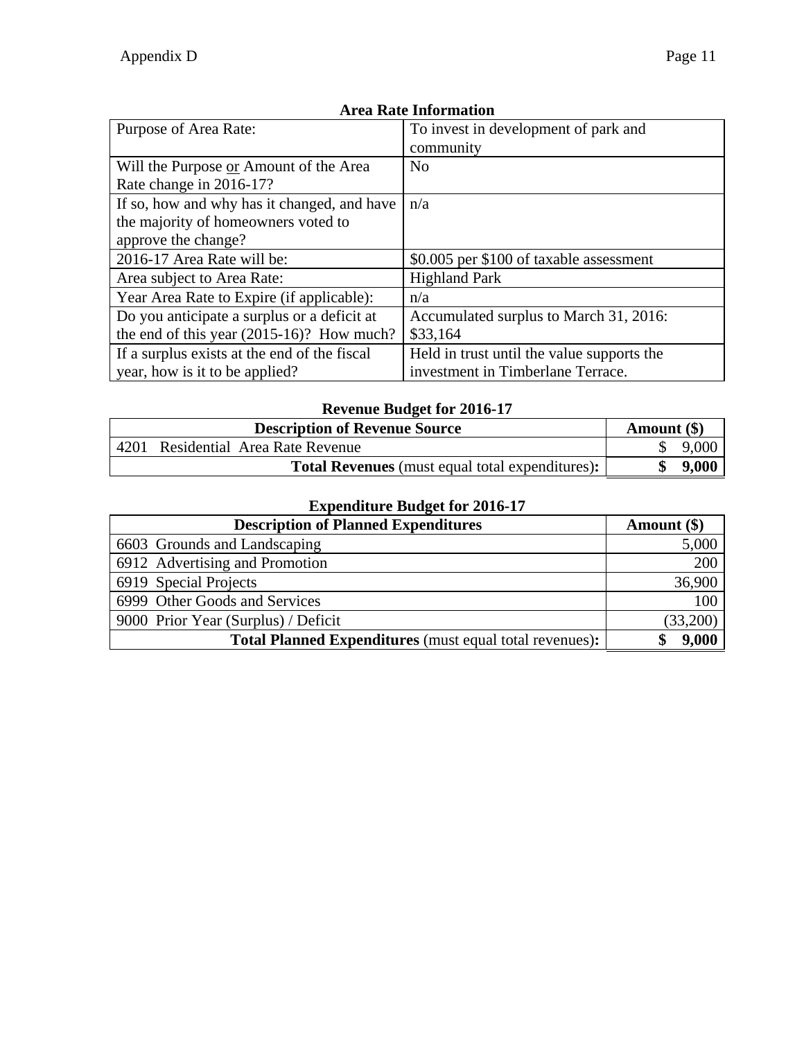| Purpose of Area Rate:                        | To invest in development of park and       |
|----------------------------------------------|--------------------------------------------|
|                                              | community                                  |
| Will the Purpose or Amount of the Area       | N <sub>o</sub>                             |
| Rate change in 2016-17?                      |                                            |
| If so, how and why has it changed, and have  | n/a                                        |
| the majority of homeowners voted to          |                                            |
| approve the change?                          |                                            |
| 2016-17 Area Rate will be:                   | \$0.005 per \$100 of taxable assessment    |
| Area subject to Area Rate:                   | <b>Highland Park</b>                       |
| Year Area Rate to Expire (if applicable):    | n/a                                        |
| Do you anticipate a surplus or a deficit at  | Accumulated surplus to March 31, 2016:     |
| the end of this year $(2015-16)$ ? How much? | \$33,164                                   |
| If a surplus exists at the end of the fiscal | Held in trust until the value supports the |
| year, how is it to be applied?               | investment in Timberlane Terrace.          |

# **Revenue Budget for 2016-17**

|      | <b>Description of Revenue Source</b>                   | Amount $(\$)$ |
|------|--------------------------------------------------------|---------------|
| 4201 | Residential Area Rate Revenue                          | 9,000         |
|      | <b>Total Revenues</b> (must equal total expenditures): | 9.000         |

| <b>Description of Planned Expenditures</b>                     | Amount $(\$)$ |
|----------------------------------------------------------------|---------------|
| 6603 Grounds and Landscaping                                   | 5,000         |
| 6912 Advertising and Promotion                                 | 200           |
| 6919 Special Projects                                          | 36,900        |
| 6999 Other Goods and Services                                  | 100           |
| 9000 Prior Year (Surplus) / Deficit                            | (33,200)      |
| <b>Total Planned Expenditures</b> (must equal total revenues): | 9.000         |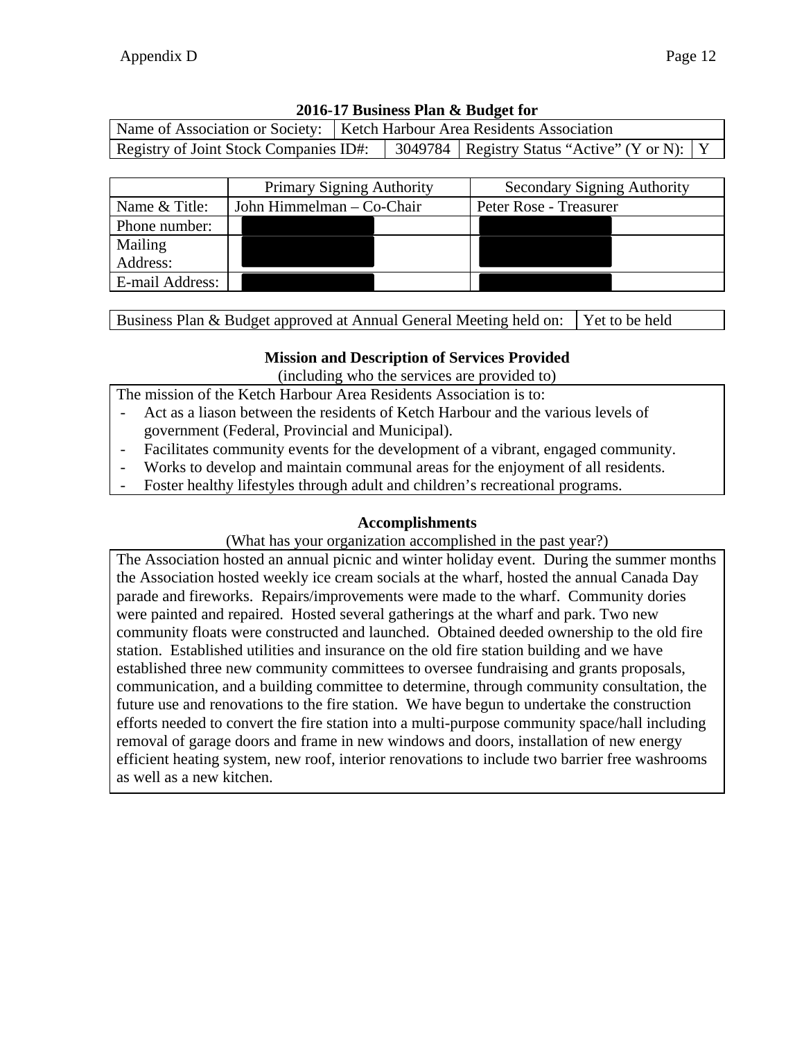| 2016-17 Business Plan & Budget for |  |  |
|------------------------------------|--|--|
|                                    |  |  |

| Name of Association or Society:   Ketch Harbour Area Residents Association |  |  |                                                  |  |  |
|----------------------------------------------------------------------------|--|--|--------------------------------------------------|--|--|
| Registry of Joint Stock Companies ID#:                                     |  |  | 3049784   Registry Status "Active" (Y or N):   Y |  |  |

|                 | <b>Primary Signing Authority</b> | <b>Secondary Signing Authority</b> |
|-----------------|----------------------------------|------------------------------------|
| Name & Title:   | John Himmelman – Co-Chair        | Peter Rose - Treasurer             |
| Phone number:   |                                  |                                    |
| Mailing         |                                  |                                    |
| Address:        |                                  |                                    |
| E-mail Address: |                                  |                                    |

Business Plan & Budget approved at Annual General Meeting held on: Yet to be held

#### **Mission and Description of Services Provided**

(including who the services are provided to)

The mission of the Ketch Harbour Area Residents Association is to:

- Act as a liason between the residents of Ketch Harbour and the various levels of government (Federal, Provincial and Municipal).
- Facilitates community events for the development of a vibrant, engaged community.
- Works to develop and maintain communal areas for the enjoyment of all residents.
- Foster healthy lifestyles through adult and children's recreational programs.

#### **Accomplishments**

(What has your organization accomplished in the past year?)

The Association hosted an annual picnic and winter holiday event. During the summer months the Association hosted weekly ice cream socials at the wharf, hosted the annual Canada Day parade and fireworks. Repairs/improvements were made to the wharf. Community dories were painted and repaired. Hosted several gatherings at the wharf and park. Two new community floats were constructed and launched. Obtained deeded ownership to the old fire station. Established utilities and insurance on the old fire station building and we have established three new community committees to oversee fundraising and grants proposals, communication, and a building committee to determine, through community consultation, the future use and renovations to the fire station. We have begun to undertake the construction efforts needed to convert the fire station into a multi-purpose community space/hall including removal of garage doors and frame in new windows and doors, installation of new energy efficient heating system, new roof, interior renovations to include two barrier free washrooms as well as a new kitchen.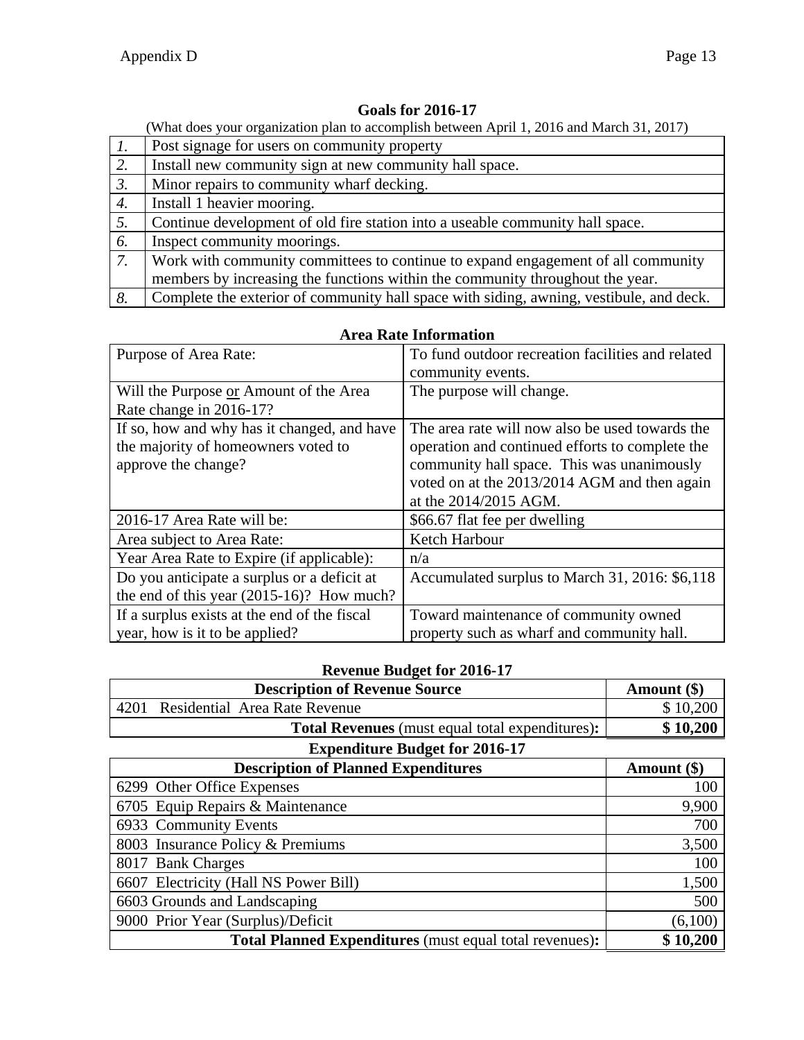Ĺ

### **Goals for 2016-17**

(What does your organization plan to accomplish between April 1, 2016 and March 31, 2017)

| $\overline{l}$ . | Post signage for users on community property                                            |
|------------------|-----------------------------------------------------------------------------------------|
| <sup>2</sup>     | Install new community sign at new community hall space.                                 |
| $\overline{3}$ . | Minor repairs to community wharf decking.                                               |
| $\overline{4}$ . | Install 1 heavier mooring.                                                              |
| 5.               | Continue development of old fire station into a useable community hall space.           |
| 6.               | Inspect community moorings.                                                             |
| $\overline{7}$ . | Work with community committees to continue to expand engagement of all community        |
|                  | members by increasing the functions within the community throughout the year.           |
| 8.               | Complete the exterior of community hall space with siding, awning, vestibule, and deck. |

| Purpose of Area Rate:                        | To fund outdoor recreation facilities and related |  |  |  |
|----------------------------------------------|---------------------------------------------------|--|--|--|
|                                              | community events.                                 |  |  |  |
| Will the Purpose or Amount of the Area       | The purpose will change.                          |  |  |  |
| Rate change in 2016-17?                      |                                                   |  |  |  |
| If so, how and why has it changed, and have  | The area rate will now also be used towards the   |  |  |  |
| the majority of homeowners voted to          | operation and continued efforts to complete the   |  |  |  |
| approve the change?                          | community hall space. This was unanimously        |  |  |  |
|                                              | voted on at the 2013/2014 AGM and then again      |  |  |  |
|                                              | at the 2014/2015 AGM.                             |  |  |  |
| 2016-17 Area Rate will be:                   | \$66.67 flat fee per dwelling                     |  |  |  |
| Area subject to Area Rate:                   | Ketch Harbour                                     |  |  |  |
| Year Area Rate to Expire (if applicable):    | n/a                                               |  |  |  |
| Do you anticipate a surplus or a deficit at  | Accumulated surplus to March 31, 2016: \$6,118    |  |  |  |
| the end of this year $(2015-16)$ ? How much? |                                                   |  |  |  |
| If a surplus exists at the end of the fiscal | Toward maintenance of community owned             |  |  |  |
| year, how is it to be applied?               | property such as wharf and community hall.        |  |  |  |
|                                              |                                                   |  |  |  |

#### **Area Rate Information**

### **Revenue Budget for 2016-17**

| <b>Description of Revenue Source</b>                           | Amount (\$) |
|----------------------------------------------------------------|-------------|
| Residential Area Rate Revenue<br>4201                          | \$10,200    |
| <b>Total Revenues</b> (must equal total expenditures):         | \$10,200    |
| <b>Expenditure Budget for 2016-17</b>                          |             |
| <b>Description of Planned Expenditures</b>                     | Amount (\$) |
| 6299 Other Office Expenses                                     | 100         |
| 6705 Equip Repairs & Maintenance                               | 9,900       |
| 6933 Community Events                                          | 700         |
| 8003 Insurance Policy & Premiums                               | 3,500       |
| 8017 Bank Charges                                              | 100         |
| 6607 Electricity (Hall NS Power Bill)                          | 1,500       |
| 6603 Grounds and Landscaping                                   | 500         |
| 9000 Prior Year (Surplus)/Deficit                              | (6,100)     |
| <b>Total Planned Expenditures</b> (must equal total revenues): | \$10,200    |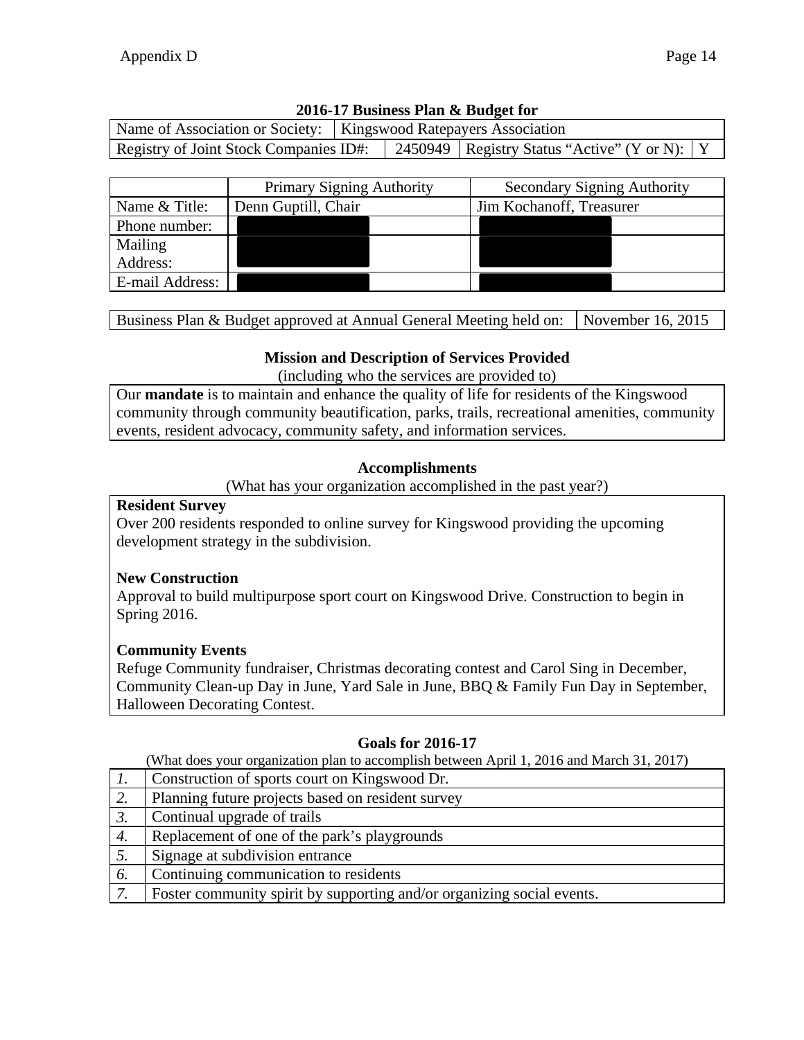|                                        | Name of Association or Society:   Kingswood Ratepayers Association |  |                                                  |  |
|----------------------------------------|--------------------------------------------------------------------|--|--------------------------------------------------|--|
| Registry of Joint Stock Companies ID#: |                                                                    |  | 2450949   Registry Status "Active" (Y or N):   Y |  |

|                 | <b>Primary Signing Authority</b> | <b>Secondary Signing Authority</b> |
|-----------------|----------------------------------|------------------------------------|
| Name & Title:   | Denn Guptill, Chair              | Jim Kochanoff, Treasurer           |
| Phone number:   |                                  |                                    |
| Mailing         |                                  |                                    |
| Address:        |                                  |                                    |
| E-mail Address: |                                  |                                    |

Business Plan & Budget approved at Annual General Meeting held on: November 16, 2015

### **Mission and Description of Services Provided**

(including who the services are provided to)

Our **mandate** is to maintain and enhance the quality of life for residents of the Kingswood community through community beautification, parks, trails, recreational amenities, community events, resident advocacy, community safety, and information services.

### **Accomplishments**

(What has your organization accomplished in the past year?)

#### **Resident Survey**

Over 200 residents responded to online survey for Kingswood providing the upcoming development strategy in the subdivision.

### **New Construction**

Approval to build multipurpose sport court on Kingswood Drive. Construction to begin in Spring 2016.

### **Community Events**

Refuge Community fundraiser, Christmas decorating contest and Carol Sing in December, Community Clean-up Day in June, Yard Sale in June, BBQ & Family Fun Day in September, Halloween Decorating Contest.

## **Goals for 2016-17**

- *1.* Construction of sports court on Kingswood Dr.
- 2. Planning future projects based on resident survey
- 3. Continual upgrade of trails 4. Replacement of one of the park's playgrounds
- 5. Signage at subdivision entrance
- *6.* Continuing communication to residents
- *7.* Foster community spirit by supporting and/or organizing social events.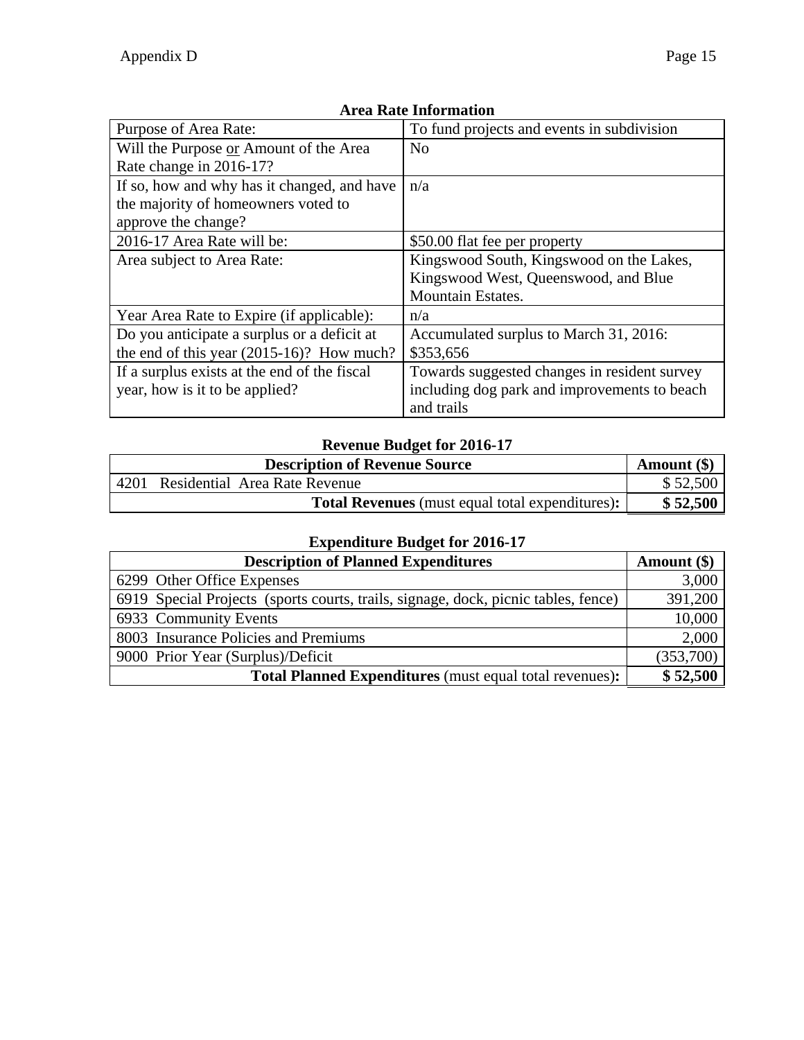| Purpose of Area Rate:                        | To fund projects and events in subdivision   |
|----------------------------------------------|----------------------------------------------|
| Will the Purpose or Amount of the Area       | No                                           |
| Rate change in 2016-17?                      |                                              |
| If so, how and why has it changed, and have  | n/a                                          |
| the majority of homeowners voted to          |                                              |
| approve the change?                          |                                              |
| 2016-17 Area Rate will be:                   | \$50.00 flat fee per property                |
| Area subject to Area Rate:                   | Kingswood South, Kingswood on the Lakes,     |
|                                              | Kingswood West, Queenswood, and Blue         |
|                                              | <b>Mountain Estates.</b>                     |
| Year Area Rate to Expire (if applicable):    | n/a                                          |
| Do you anticipate a surplus or a deficit at  | Accumulated surplus to March 31, 2016:       |
| the end of this year $(2015-16)$ ? How much? | \$353,656                                    |
| If a surplus exists at the end of the fiscal | Towards suggested changes in resident survey |
| year, how is it to be applied?               | including dog park and improvements to beach |
|                                              | and trails                                   |

# **Revenue Budget for 2016-17**

|      | Amount (\$)                                            |          |
|------|--------------------------------------------------------|----------|
| 4201 | Residential Area Rate Revenue                          | \$52,500 |
|      | <b>Total Revenues</b> (must equal total expenditures): | \$52,500 |

| <b>Description of Planned Expenditures</b>                                         | Amount $(\$)$ |
|------------------------------------------------------------------------------------|---------------|
| 6299 Other Office Expenses                                                         | 3,000         |
| 6919 Special Projects (sports courts, trails, signage, dock, picnic tables, fence) | 391,200       |
| 6933 Community Events                                                              | 10,000        |
| 8003 Insurance Policies and Premiums                                               | 2,000         |
| 9000 Prior Year (Surplus)/Deficit                                                  | (353,700)     |
| <b>Total Planned Expenditures</b> (must equal total revenues):                     | \$52,500      |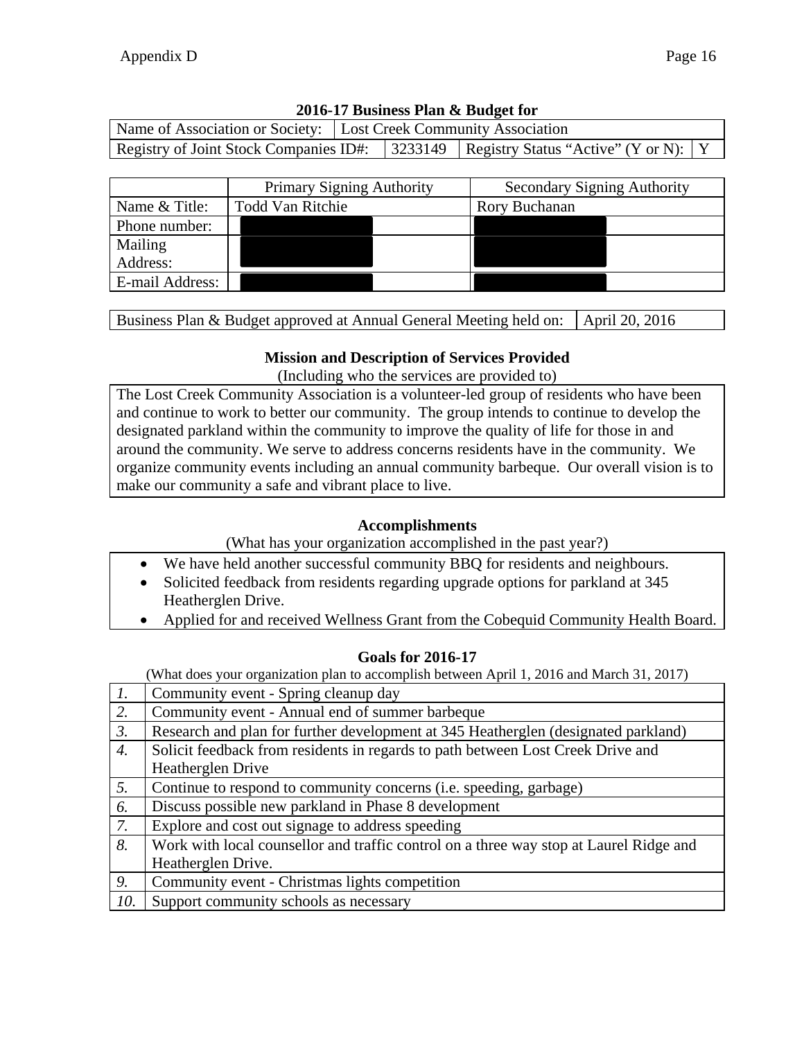| Name of Association or Society: Lost Creek Community Association |                           |  |                                                                                           |  |
|------------------------------------------------------------------|---------------------------|--|-------------------------------------------------------------------------------------------|--|
|                                                                  |                           |  | Registry of Joint Stock Companies ID#:   3233149   Registry Status "Active" (Y or N):   Y |  |
|                                                                  |                           |  |                                                                                           |  |
|                                                                  | Primary Signing Authority |  | <b>Secondary Signing Authority</b>                                                        |  |

|                 | Primary Signing Authority | <b>Secondary Signing Authority</b> |
|-----------------|---------------------------|------------------------------------|
| Name & Title:   | <b>Todd Van Ritchie</b>   | Rory Buchanan                      |
| Phone number:   |                           |                                    |
| Mailing         |                           |                                    |
| Address:        |                           |                                    |
| E-mail Address: |                           |                                    |

Business Plan & Budget approved at Annual General Meeting held on:  $\vert$  April 20, 2016

### **Mission and Description of Services Provided**

(Including who the services are provided to)

The Lost Creek Community Association is a volunteer-led group of residents who have been and continue to work to better our community. The group intends to continue to develop the designated parkland within the community to improve the quality of life for those in and around the community. We serve to address concerns residents have in the community. We organize community events including an annual community barbeque. Our overall vision is to make our community a safe and vibrant place to live.

### **Accomplishments**

(What has your organization accomplished in the past year?)

- We have held another successful community BBQ for residents and neighbours.
- Solicited feedback from residents regarding upgrade options for parkland at 345 Heatherglen Drive.
- Applied for and received Wellness Grant from the Cobequid Community Health Board.

### **Goals for 2016-17**

| $\overline{l}$ . | Community event - Spring cleanup day                                                   |
|------------------|----------------------------------------------------------------------------------------|
| $\overline{2}$ . | Community event - Annual end of summer barbeque                                        |
| $\overline{3}$ . | Research and plan for further development at 345 Heatherglen (designated parkland)     |
| $\overline{4}$ . | Solicit feedback from residents in regards to path between Lost Creek Drive and        |
|                  | Heatherglen Drive                                                                      |
| $\overline{5}$ . | Continue to respond to community concerns ( <i>i.e.</i> speeding, garbage)             |
| 6.               | Discuss possible new parkland in Phase 8 development                                   |
| $\overline{7}$ . | Explore and cost out signage to address speeding                                       |
| $\overline{8}$ . | Work with local counsellor and traffic control on a three way stop at Laurel Ridge and |
|                  | Heatherglen Drive.                                                                     |
| $\overline{9}$ . | Community event - Christmas lights competition                                         |
| <i>10.</i>       | Support community schools as necessary                                                 |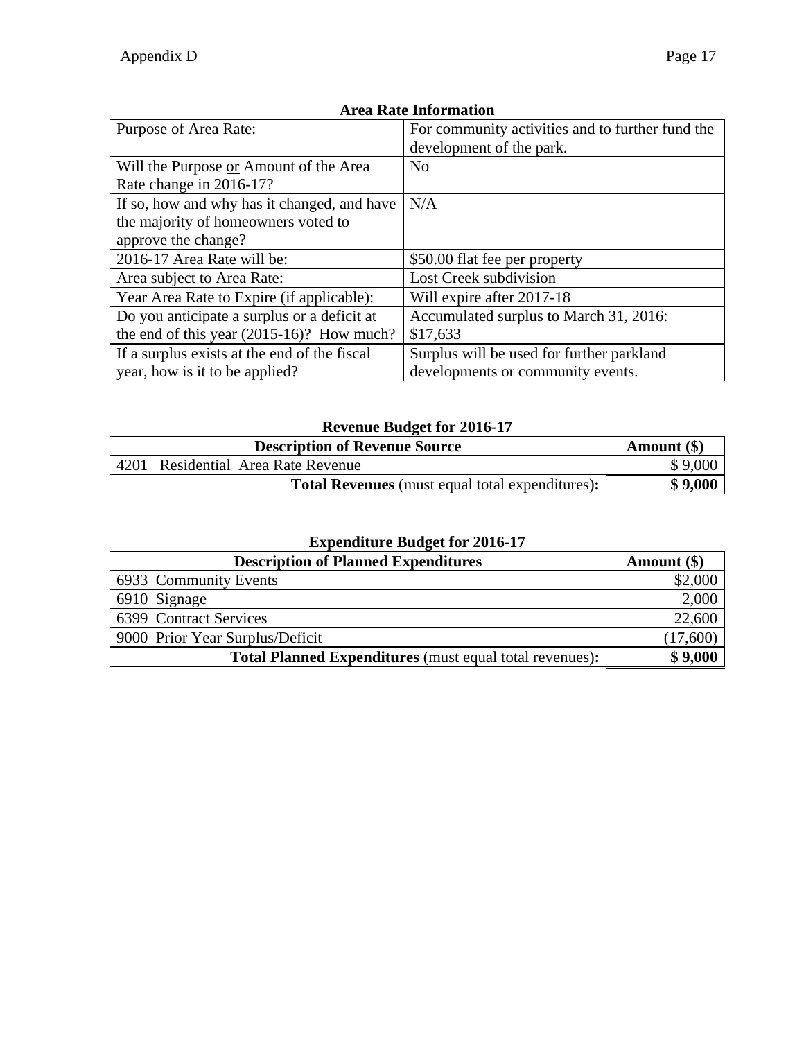| Purpose of Area Rate:                        | For community activities and to further fund the |  |
|----------------------------------------------|--------------------------------------------------|--|
|                                              | development of the park.                         |  |
| Will the Purpose or Amount of the Area       | No                                               |  |
| Rate change in 2016-17?                      |                                                  |  |
| If so, how and why has it changed, and have  | N/A                                              |  |
| the majority of homeowners voted to          |                                                  |  |
| approve the change?                          |                                                  |  |
| 2016-17 Area Rate will be:                   | \$50.00 flat fee per property                    |  |
| Area subject to Area Rate:                   | Lost Creek subdivision                           |  |
| Year Area Rate to Expire (if applicable):    | Will expire after 2017-18                        |  |
| Do you anticipate a surplus or a deficit at  | Accumulated surplus to March 31, 2016:           |  |
| the end of this year $(2015-16)$ ? How much? | \$17,633                                         |  |
| If a surplus exists at the end of the fiscal | Surplus will be used for further parkland        |  |
| year, how is it to be applied?               | developments or community events.                |  |

#### **Revenue Budget for 2016-17**

|      | <b>Description of Revenue Source</b>                   | Amount (\$) |
|------|--------------------------------------------------------|-------------|
| 4201 | Residential Area Rate Revenue                          | \$9,000     |
|      | <b>Total Revenues</b> (must equal total expenditures): | \$9,000     |

| <b>Description of Planned Expenditures</b>                     | Amount $(\$)$ |
|----------------------------------------------------------------|---------------|
| 6933 Community Events                                          | \$2,000       |
| 6910 Signage                                                   | 2,000         |
| 6399 Contract Services                                         | 22,600        |
| 9000 Prior Year Surplus/Deficit                                | (17,600)      |
| <b>Total Planned Expenditures</b> (must equal total revenues): | \$9,000       |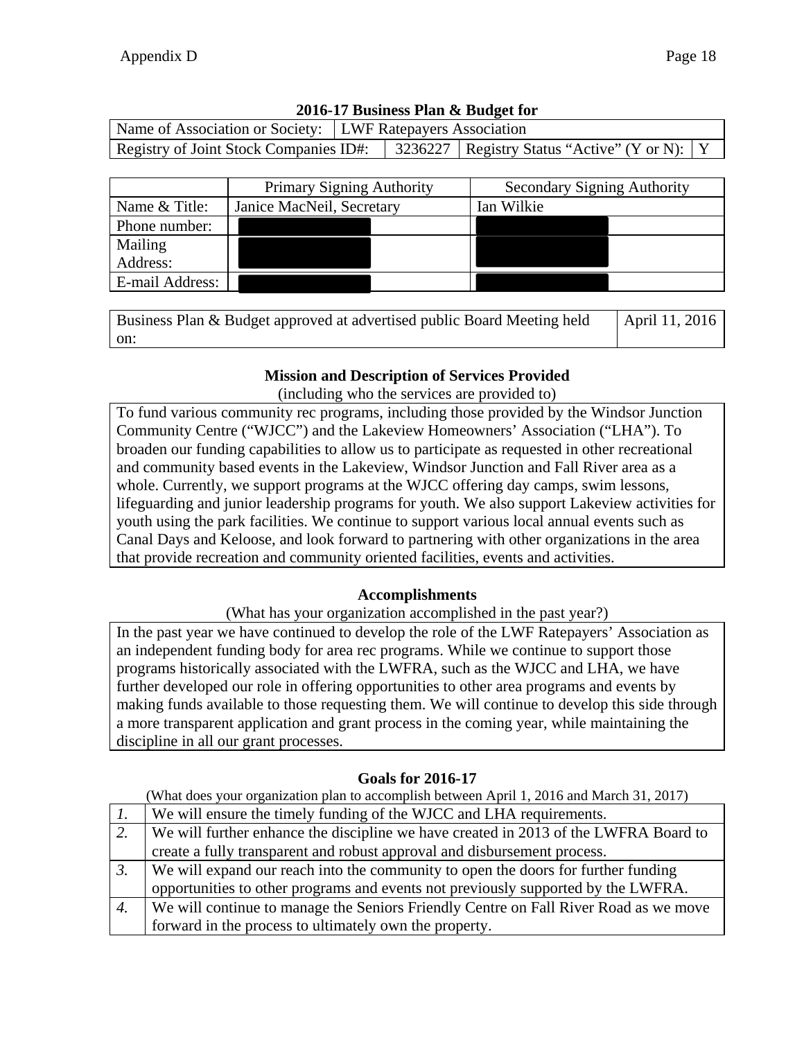| 2010-17 Business Plan & Budget for                           |  |  |                                                                                         |  |  |
|--------------------------------------------------------------|--|--|-----------------------------------------------------------------------------------------|--|--|
| Name of Association or Society:   LWF Ratepayers Association |  |  |                                                                                         |  |  |
|                                                              |  |  | Registry of Joint Stock Companies ID#: 3236227   Registry Status "Active" (Y or N):   Y |  |  |

|                 | <b>Primary Signing Authority</b> | <b>Secondary Signing Authority</b> |
|-----------------|----------------------------------|------------------------------------|
| Name & Title:   | Janice MacNeil, Secretary        | Ian Wilkie                         |
| Phone number:   |                                  |                                    |
| Mailing         |                                  |                                    |
| Address:        |                                  |                                    |
| E-mail Address: |                                  |                                    |

Business Plan & Budget approved at advertised public Board Meeting held on: April 11, 2016

## **Mission and Description of Services Provided**

(including who the services are provided to)

To fund various community rec programs, including those provided by the Windsor Junction Community Centre ("WJCC") and the Lakeview Homeowners' Association ("LHA"). To broaden our funding capabilities to allow us to participate as requested in other recreational and community based events in the Lakeview, Windsor Junction and Fall River area as a whole. Currently, we support programs at the WJCC offering day camps, swim lessons, lifeguarding and junior leadership programs for youth. We also support Lakeview activities for youth using the park facilities. We continue to support various local annual events such as Canal Days and Keloose, and look forward to partnering with other organizations in the area that provide recreation and community oriented facilities, events and activities.

### **Accomplishments**

(What has your organization accomplished in the past year?)

In the past year we have continued to develop the role of the LWF Ratepayers' Association as an independent funding body for area rec programs. While we continue to support those programs historically associated with the LWFRA, such as the WJCC and LHA, we have further developed our role in offering opportunities to other area programs and events by making funds available to those requesting them. We will continue to develop this side through a more transparent application and grant process in the coming year, while maintaining the discipline in all our grant processes.

### **Goals for 2016-17**

| $\perp$ .        | We will ensure the timely funding of the WJCC and LHA requirements.                  |
|------------------|--------------------------------------------------------------------------------------|
| 2.               | We will further enhance the discipline we have created in 2013 of the LWFRA Board to |
|                  | create a fully transparent and robust approval and disbursement process.             |
| $\mathfrak{Z}$ . | We will expand our reach into the community to open the doors for further funding    |
|                  | opportunities to other programs and events not previously supported by the LWFRA.    |
| 4.               | We will continue to manage the Seniors Friendly Centre on Fall River Road as we move |
|                  | forward in the process to ultimately own the property.                               |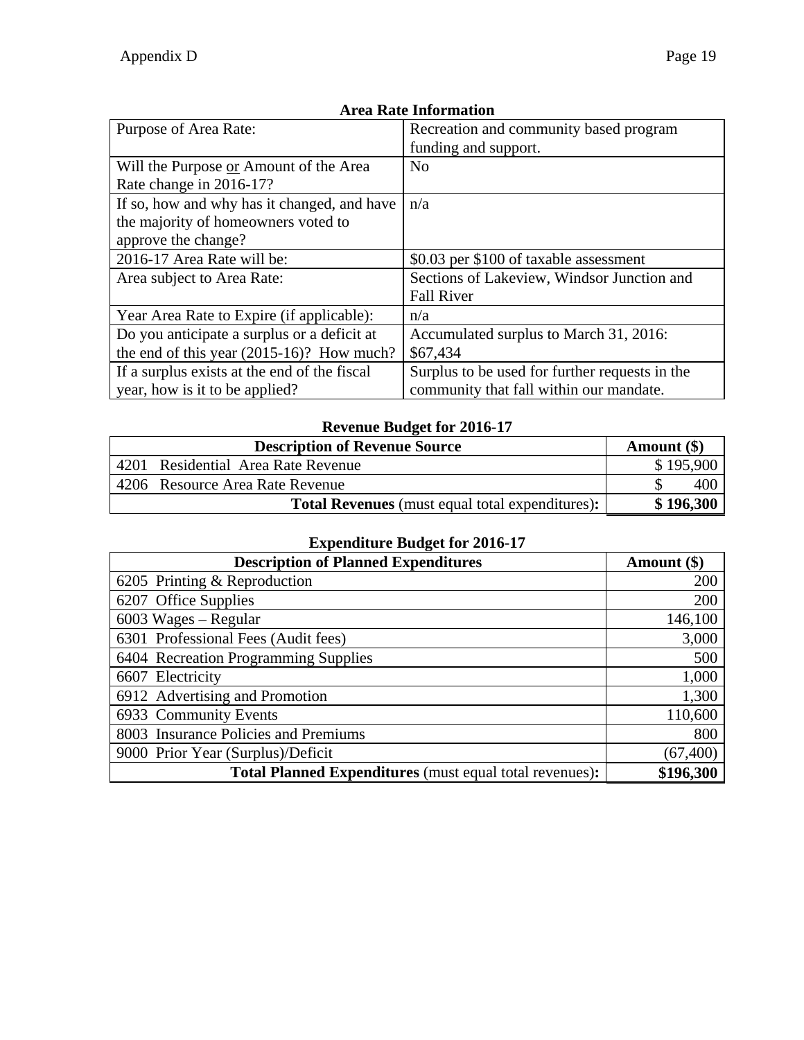| Purpose of Area Rate:                                                                                     | Recreation and community based program<br>funding and support.                            |
|-----------------------------------------------------------------------------------------------------------|-------------------------------------------------------------------------------------------|
| Will the Purpose or Amount of the Area<br>Rate change in 2016-17?                                         | N <sub>o</sub>                                                                            |
| If so, how and why has it changed, and have<br>the majority of homeowners voted to<br>approve the change? | n/a                                                                                       |
| 2016-17 Area Rate will be:                                                                                | \$0.03 per \$100 of taxable assessment                                                    |
| Area subject to Area Rate:                                                                                | Sections of Lakeview, Windsor Junction and<br><b>Fall River</b>                           |
| Year Area Rate to Expire (if applicable):                                                                 | n/a                                                                                       |
| Do you anticipate a surplus or a deficit at<br>the end of this year $(2015-16)$ ? How much?               | Accumulated surplus to March 31, 2016:<br>\$67,434                                        |
| If a surplus exists at the end of the fiscal<br>year, how is it to be applied?                            | Surplus to be used for further requests in the<br>community that fall within our mandate. |

### **Revenue Budget for 2016-17**

| <b>Description of Revenue Source</b>                   | Amount $(\$)$ |
|--------------------------------------------------------|---------------|
| Residential Area Rate Revenue<br>4201                  | \$195,900     |
| 4206 Resource Area Rate Revenue                        | 400           |
| <b>Total Revenues</b> (must equal total expenditures): | \$196,300     |

| <b>Description of Planned Expenditures</b>                     | Amount (\$) |
|----------------------------------------------------------------|-------------|
| 6205 Printing & Reproduction                                   | 200         |
| 6207 Office Supplies                                           | 200         |
| $6003$ Wages – Regular                                         | 146,100     |
| 6301 Professional Fees (Audit fees)                            | 3,000       |
| 6404 Recreation Programming Supplies                           | 500         |
| 6607 Electricity                                               | 1,000       |
| 6912 Advertising and Promotion                                 | 1,300       |
| 6933 Community Events                                          | 110,600     |
| 8003 Insurance Policies and Premiums                           | 800         |
| 9000 Prior Year (Surplus)/Deficit                              | (67, 400)   |
| <b>Total Planned Expenditures</b> (must equal total revenues): | \$196,300   |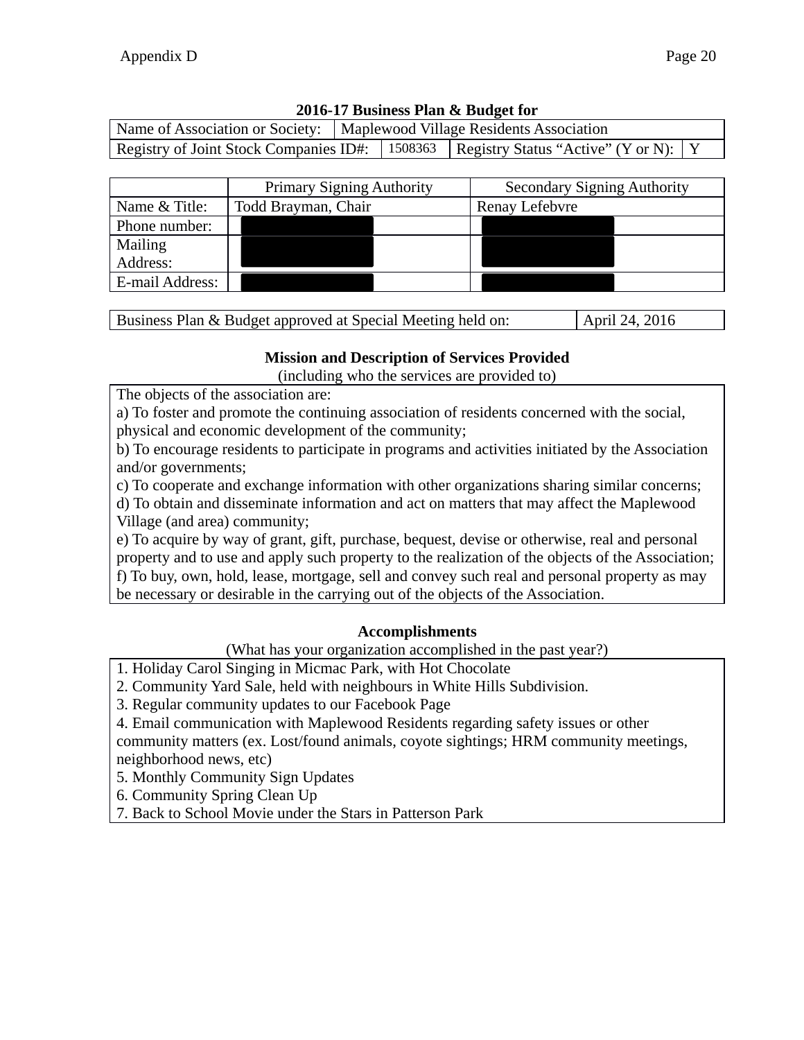| Name of Association or Society:   Maplewood Village Residents Association |  |                                                                                           |  |
|---------------------------------------------------------------------------|--|-------------------------------------------------------------------------------------------|--|
|                                                                           |  | Registry of Joint Stock Companies ID#:   1508363   Registry Status "Active" (Y or N):   Y |  |

|                                      | <b>Primary Signing Authority</b> | <b>Secondary Signing Authority</b> |  |
|--------------------------------------|----------------------------------|------------------------------------|--|
| Name & Title:<br>Todd Brayman, Chair |                                  | Renay Lefebvre                     |  |
| Phone number:                        |                                  |                                    |  |
| Mailing                              |                                  |                                    |  |
| Address:                             |                                  |                                    |  |
| E-mail Address:                      |                                  |                                    |  |

| Business Plan & Budget approved at Special Meeting held on: | April 24, 2016 |
|-------------------------------------------------------------|----------------|

#### **Mission and Description of Services Provided**

(including who the services are provided to)

The objects of the association are:

- a) To foster and promote the continuing association of residents concerned with the social,
- physical and economic development of the community;

b) To encourage residents to participate in programs and activities initiated by the Association and/or governments;

c) To cooperate and exchange information with other organizations sharing similar concerns;

d) To obtain and disseminate information and act on matters that may affect the Maplewood Village (and area) community;

e) To acquire by way of grant, gift, purchase, bequest, devise or otherwise, real and personal property and to use and apply such property to the realization of the objects of the Association;

f) To buy, own, hold, lease, mortgage, sell and convey such real and personal property as may

be necessary or desirable in the carrying out of the objects of the Association.

### **Accomplishments**

(What has your organization accomplished in the past year?)

- 1. Holiday Carol Singing in Micmac Park, with Hot Chocolate
- 2. Community Yard Sale, held with neighbours in White Hills Subdivision.
- 3. Regular community updates to our Facebook Page
- 4. Email communication with Maplewood Residents regarding safety issues or other

community matters (ex. Lost/found animals, coyote sightings; HRM community meetings, neighborhood news, etc)

5. Monthly Community Sign Updates

6. Community Spring Clean Up

7. Back to School Movie under the Stars in Patterson Park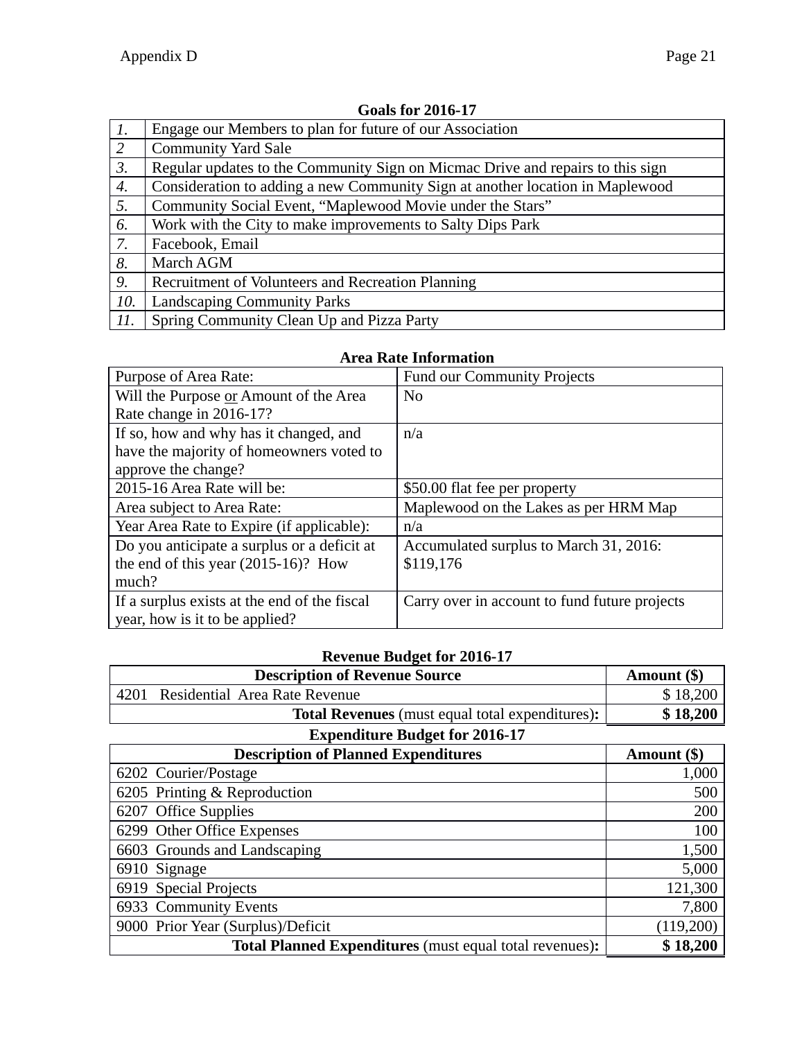| $\mathcal{I}$ .  | Engage our Members to plan for future of our Association                       |  |  |  |  |
|------------------|--------------------------------------------------------------------------------|--|--|--|--|
| 2                | <b>Community Yard Sale</b>                                                     |  |  |  |  |
| $\mathfrak{Z}$ . | Regular updates to the Community Sign on Micmac Drive and repairs to this sign |  |  |  |  |
| 4.               | Consideration to adding a new Community Sign at another location in Maplewood  |  |  |  |  |
| 5.               | Community Social Event, "Maplewood Movie under the Stars"                      |  |  |  |  |
| 6.               | Work with the City to make improvements to Salty Dips Park                     |  |  |  |  |
| 7.               | Facebook, Email                                                                |  |  |  |  |
| 8.               | March AGM                                                                      |  |  |  |  |
| 9.               | Recruitment of Volunteers and Recreation Planning                              |  |  |  |  |
| 10.              | <b>Landscaping Community Parks</b>                                             |  |  |  |  |
| II.              | Spring Community Clean Up and Pizza Party                                      |  |  |  |  |

### **Goals for 2016-17**

## **Area Rate Information**

| Purpose of Area Rate:                        | <b>Fund our Community Projects</b>            |
|----------------------------------------------|-----------------------------------------------|
| Will the Purpose or Amount of the Area       | N <sub>0</sub>                                |
| Rate change in 2016-17?                      |                                               |
| If so, how and why has it changed, and       | n/a                                           |
| have the majority of homeowners voted to     |                                               |
| approve the change?                          |                                               |
| 2015-16 Area Rate will be:                   | \$50.00 flat fee per property                 |
| Area subject to Area Rate:                   | Maplewood on the Lakes as per HRM Map         |
| Year Area Rate to Expire (if applicable):    | n/a                                           |
| Do you anticipate a surplus or a deficit at  | Accumulated surplus to March 31, 2016:        |
| the end of this year (2015-16)? How          | \$119,176                                     |
| much?                                        |                                               |
| If a surplus exists at the end of the fiscal | Carry over in account to fund future projects |
| year, how is it to be applied?               |                                               |

### **Revenue Budget for 2016-17**

| <b>Description of Revenue Source</b>                   | Amount $(\$)$ |
|--------------------------------------------------------|---------------|
| 4201 Residential Area Rate Revenue                     | \$18,200      |
| <b>Total Revenues</b> (must equal total expenditures): | \$18,200      |

| <b>Description of Planned Expenditures</b>                     | Amount $(\$)$ |
|----------------------------------------------------------------|---------------|
| 6202 Courier/Postage                                           | 1,000         |
| 6205 Printing & Reproduction                                   | 500           |
| 6207 Office Supplies                                           | 200           |
| 6299 Other Office Expenses                                     | 100           |
| 6603 Grounds and Landscaping                                   | 1,500         |
| 6910 Signage                                                   | 5,000         |
| 6919 Special Projects                                          | 121,300       |
| 6933 Community Events                                          | 7,800         |
| 9000 Prior Year (Surplus)/Deficit                              | (119,200)     |
| <b>Total Planned Expenditures</b> (must equal total revenues): | \$18,200      |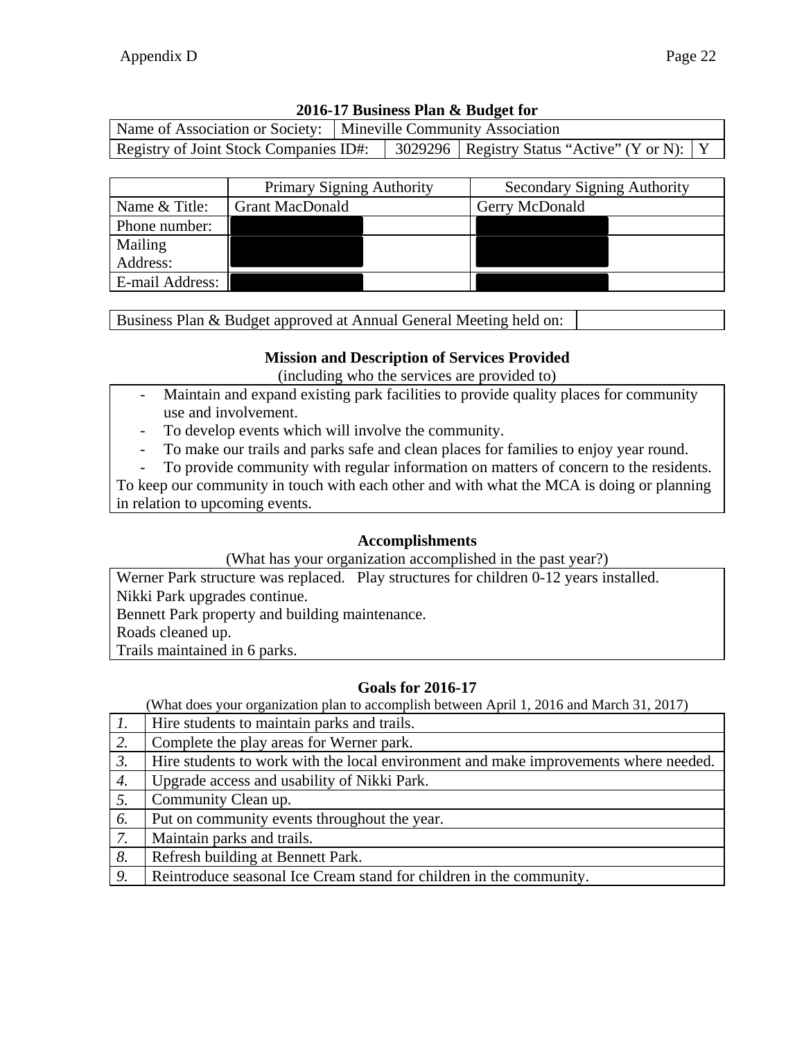|                                        | Name of Association or Society:   Mineville Community Association |  |                                                  |  |
|----------------------------------------|-------------------------------------------------------------------|--|--------------------------------------------------|--|
| Registry of Joint Stock Companies ID#: |                                                                   |  | 3029296   Registry Status "Active" (Y or N):   Y |  |

|                 | <b>Primary Signing Authority</b> | <b>Secondary Signing Authority</b> |
|-----------------|----------------------------------|------------------------------------|
| Name & Title:   | <b>Grant MacDonald</b>           | Gerry McDonald                     |
| Phone number:   |                                  |                                    |
| Mailing         |                                  |                                    |
| Address:        |                                  |                                    |
| E-mail Address: |                                  |                                    |

Business Plan & Budget approved at Annual General Meeting held on:

### **Mission and Description of Services Provided**

(including who the services are provided to)

- Maintain and expand existing park facilities to provide quality places for community use and involvement.
- To develop events which will involve the community.
- To make our trails and parks safe and clean places for families to enjoy year round.
- To provide community with regular information on matters of concern to the residents.

To keep our community in touch with each other and with what the MCA is doing or planning in relation to upcoming events.

### **Accomplishments**

(What has your organization accomplished in the past year?)

Werner Park structure was replaced. Play structures for children 0-12 years installed. Nikki Park upgrades continue. Bennett Park property and building maintenance. Roads cleaned up. Trails maintained in 6 parks.

## **Goals for 2016-17**

| $\mathcal{I}$ .  | Hire students to maintain parks and trails.                                          |
|------------------|--------------------------------------------------------------------------------------|
| 2.               | Complete the play areas for Werner park.                                             |
| $\mathfrak{Z}$ . | Hire students to work with the local environment and make improvements where needed. |
| 4.               | Upgrade access and usability of Nikki Park.                                          |
| 5.               | Community Clean up.                                                                  |
| 6.               | Put on community events throughout the year.                                         |
| 7.               | Maintain parks and trails.                                                           |
| 8.               | Refresh building at Bennett Park.                                                    |
| 9.               | Reintroduce seasonal Ice Cream stand for children in the community.                  |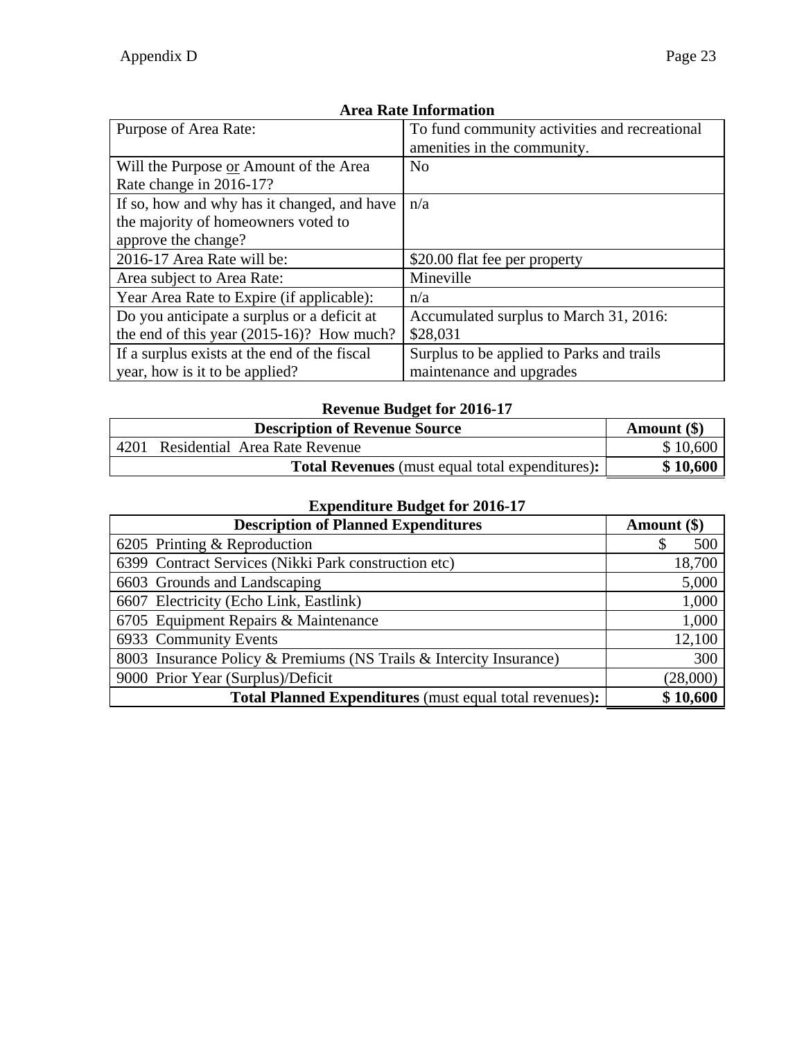| Purpose of Area Rate:                        | To fund community activities and recreational |  |
|----------------------------------------------|-----------------------------------------------|--|
|                                              | amenities in the community.                   |  |
| Will the Purpose or Amount of the Area       | N <sub>0</sub>                                |  |
| Rate change in 2016-17?                      |                                               |  |
| If so, how and why has it changed, and have  | n/a                                           |  |
| the majority of homeowners voted to          |                                               |  |
| approve the change?                          |                                               |  |
| 2016-17 Area Rate will be:                   | \$20.00 flat fee per property                 |  |
| Area subject to Area Rate:                   | Mineville                                     |  |
| Year Area Rate to Expire (if applicable):    | n/a                                           |  |
| Do you anticipate a surplus or a deficit at  | Accumulated surplus to March 31, 2016:        |  |
| the end of this year $(2015-16)$ ? How much? | \$28,031                                      |  |
| If a surplus exists at the end of the fiscal | Surplus to be applied to Parks and trails     |  |
| year, how is it to be applied?               | maintenance and upgrades                      |  |

# **Revenue Budget for 2016-17**

| <b>Description of Revenue Source</b> |  | Amount $(\$)$                                          |          |
|--------------------------------------|--|--------------------------------------------------------|----------|
| 4201                                 |  | Residential Area Rate Revenue                          | \$10,600 |
|                                      |  | <b>Total Revenues</b> (must equal total expenditures): | \$10,600 |

| <b>Description of Planned Expenditures</b>                         | Amount (\$) |
|--------------------------------------------------------------------|-------------|
| 6205 Printing & Reproduction                                       | 500         |
| 6399 Contract Services (Nikki Park construction etc)               | 18,700      |
| 6603 Grounds and Landscaping                                       | 5,000       |
| 6607 Electricity (Echo Link, Eastlink)                             | 1,000       |
| 6705 Equipment Repairs & Maintenance                               | 1,000       |
| 6933 Community Events                                              | 12,100      |
| 8003 Insurance Policy & Premiums (NS Trails & Intercity Insurance) | 300         |
| 9000 Prior Year (Surplus)/Deficit                                  | (28,000)    |
| <b>Total Planned Expenditures</b> (must equal total revenues):     | \$10,600    |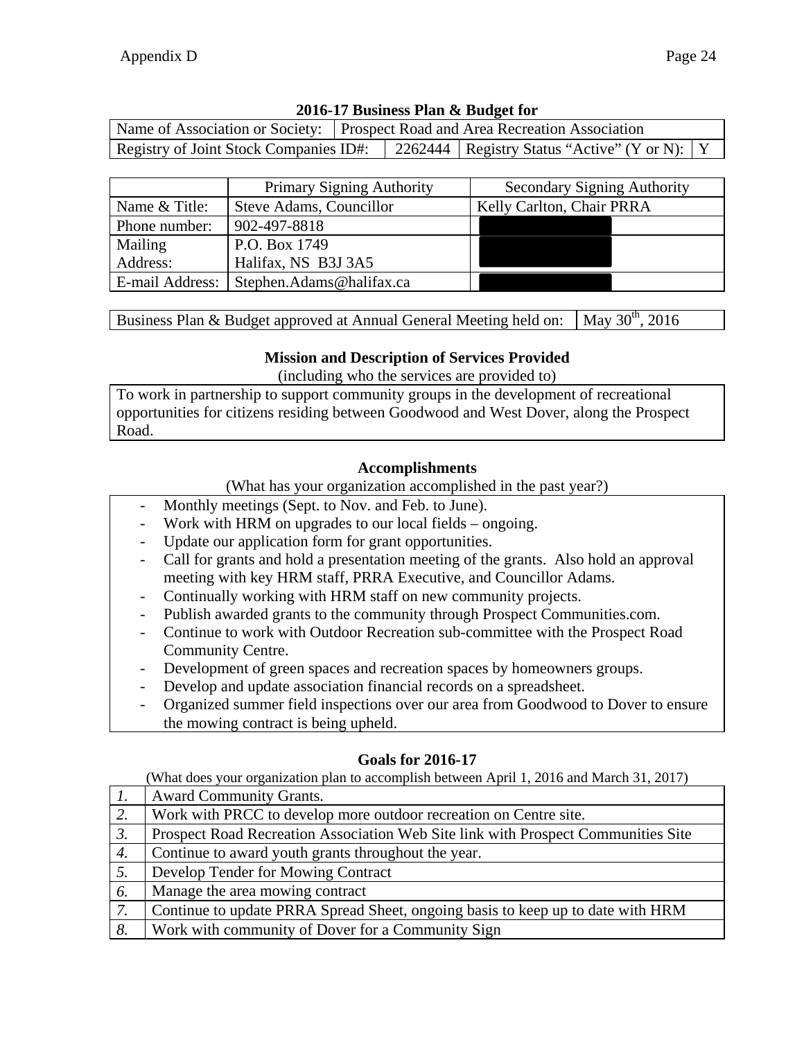|                 | <b>Primary Signing Authority</b> | <b>Secondary Signing Authority</b> |
|-----------------|----------------------------------|------------------------------------|
| Name & Title:   | Steve Adams, Councillor          | Kelly Carlton, Chair PRRA          |
| Phone number:   | 902-497-8818                     |                                    |
| Mailing         | P.O. Box 1749                    |                                    |
| Address:        | Halifax, NS B3J 3A5              |                                    |
| E-mail Address: | Stephen.Adams@halifax.ca         |                                    |

Registry of Joint Stock Companies ID#: 2262444 Registry Status "Active" (Y or N): Y

Name of Association or Society: | Prospect Road and Area Recreation Association

Business Plan & Budget approved at Annual General Meeting held on: May  $30^{th}$ , 2016

#### **Mission and Description of Services Provided**

(including who the services are provided to)

To work in partnership to support community groups in the development of recreational opportunities for citizens residing between Goodwood and West Dover, along the Prospect Road.

#### **Accomplishments**

(What has your organization accomplished in the past year?)

- Monthly meetings (Sept. to Nov. and Feb. to June).
- Work with HRM on upgrades to our local fields ongoing.
- Update our application form for grant opportunities.
- Call for grants and hold a presentation meeting of the grants. Also hold an approval meeting with key HRM staff, PRRA Executive, and Councillor Adams.
- Continually working with HRM staff on new community projects.
- Publish awarded grants to the community through Prospect Communities.com.
- Continue to work with Outdoor Recreation sub-committee with the Prospect Road Community Centre.
- Development of green spaces and recreation spaces by homeowners groups.
- Develop and update association financial records on a spreadsheet.
- Organized summer field inspections over our area from Goodwood to Dover to ensure the mowing contract is being upheld.

#### **Goals for 2016-17**

|                  | <b>Award Community Grants.</b>                                                    |
|------------------|-----------------------------------------------------------------------------------|
| 2.               | Work with PRCC to develop more outdoor recreation on Centre site.                 |
| $\mathfrak{Z}$ . | Prospect Road Recreation Association Web Site link with Prospect Communities Site |
| 4.               | Continue to award youth grants throughout the year.                               |
| 5.               | Develop Tender for Mowing Contract                                                |
| 6.               | Manage the area mowing contract                                                   |
| 7.               | Continue to update PRRA Spread Sheet, ongoing basis to keep up to date with HRM   |
| 8.               | Work with community of Dover for a Community Sign                                 |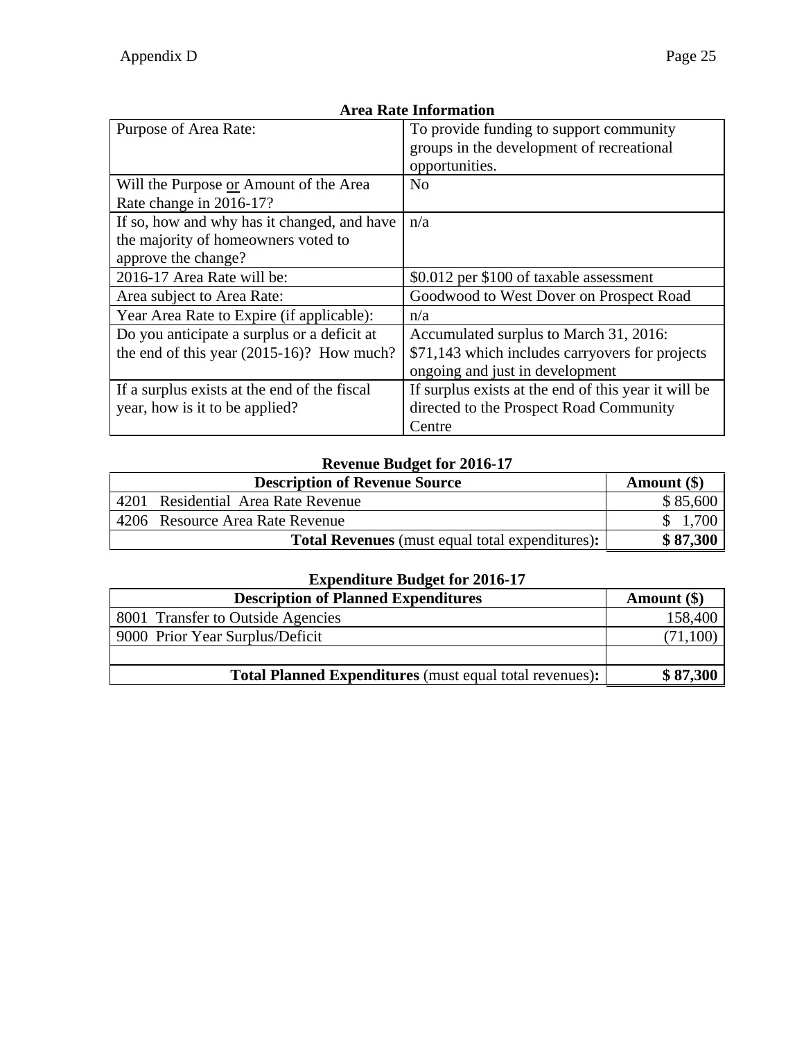| Purpose of Area Rate:                        | To provide funding to support community              |  |
|----------------------------------------------|------------------------------------------------------|--|
|                                              |                                                      |  |
|                                              | groups in the development of recreational            |  |
|                                              | opportunities.                                       |  |
| Will the Purpose or Amount of the Area       | N <sub>0</sub>                                       |  |
| Rate change in 2016-17?                      |                                                      |  |
| If so, how and why has it changed, and have  | n/a                                                  |  |
| the majority of homeowners voted to          |                                                      |  |
| approve the change?                          |                                                      |  |
| 2016-17 Area Rate will be:                   | \$0.012 per \$100 of taxable assessment              |  |
| Area subject to Area Rate:                   | Goodwood to West Dover on Prospect Road              |  |
| Year Area Rate to Expire (if applicable):    | n/a                                                  |  |
| Do you anticipate a surplus or a deficit at  | Accumulated surplus to March 31, 2016:               |  |
| the end of this year $(2015-16)$ ? How much? | \$71,143 which includes carryovers for projects      |  |
|                                              | ongoing and just in development                      |  |
| If a surplus exists at the end of the fiscal | If surplus exists at the end of this year it will be |  |
| year, how is it to be applied?               | directed to the Prospect Road Community              |  |
|                                              | Centre                                               |  |

### **Revenue Budget for 2016-17**

| <b>Description of Revenue Source</b>                   | Amount $(\$)$ |
|--------------------------------------------------------|---------------|
| 4201 Residential Area Rate Revenue                     | \$85,600      |
| 4206 Resource Area Rate Revenue                        |               |
| <b>Total Revenues</b> (must equal total expenditures): | \$87,300      |

| <b>Description of Planned Expenditures</b>                     | Amount $(\$)$ |
|----------------------------------------------------------------|---------------|
| 8001 Transfer to Outside Agencies                              | 158,400       |
| 9000 Prior Year Surplus/Deficit                                | (71,100)      |
|                                                                |               |
| <b>Total Planned Expenditures</b> (must equal total revenues): | \$87,300      |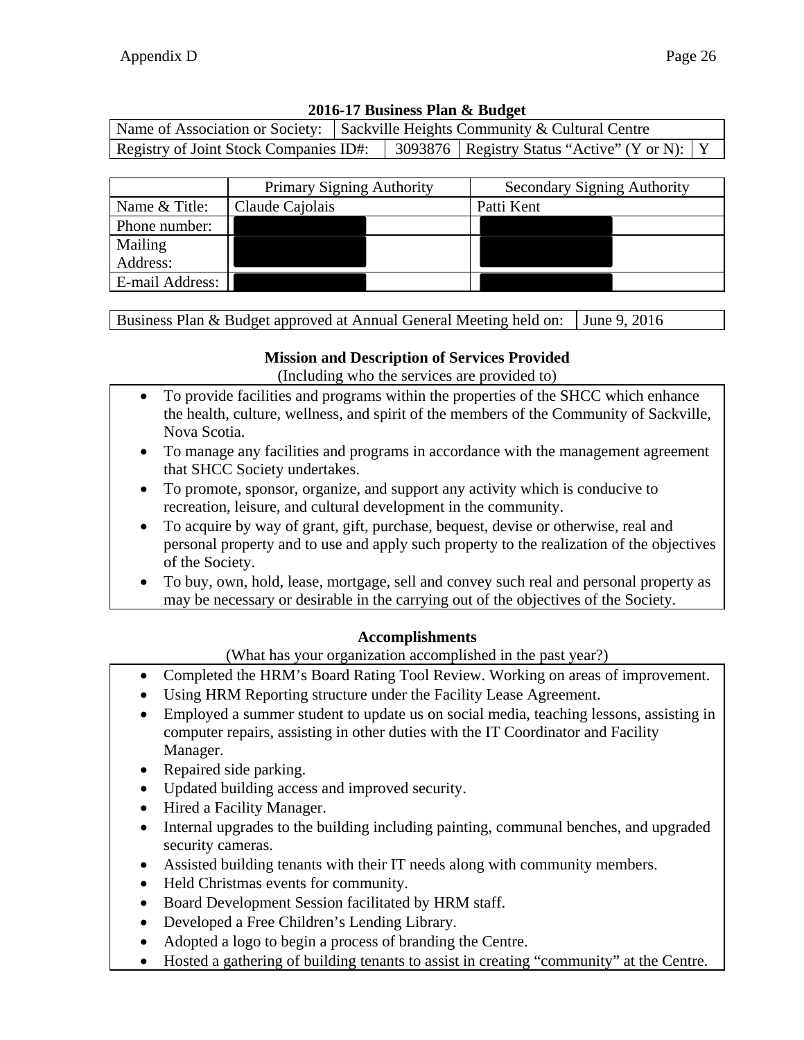|                                        |  | Name of Association or Society: $\vert$ Sackville Heights Community & Cultural Centre |                                                  |  |
|----------------------------------------|--|---------------------------------------------------------------------------------------|--------------------------------------------------|--|
| Registry of Joint Stock Companies ID#: |  |                                                                                       | 3093876   Registry Status "Active" (Y or N):   Y |  |

|                 | <b>Primary Signing Authority</b> | <b>Secondary Signing Authority</b> |
|-----------------|----------------------------------|------------------------------------|
| Name & Title:   | Claude Cajolais                  | Patti Kent                         |
| Phone number:   |                                  |                                    |
| Mailing         |                                  |                                    |
| Address:        |                                  |                                    |
| E-mail Address: |                                  |                                    |

Business Plan & Budget approved at Annual General Meeting held on: June 9, 2016

### **Mission and Description of Services Provided**

(Including who the services are provided to)

- To provide facilities and programs within the properties of the SHCC which enhance the health, culture, wellness, and spirit of the members of the Community of Sackville, Nova Scotia.
- To manage any facilities and programs in accordance with the management agreement that SHCC Society undertakes.
- To promote, sponsor, organize, and support any activity which is conducive to recreation, leisure, and cultural development in the community.
- To acquire by way of grant, gift, purchase, bequest, devise or otherwise, real and personal property and to use and apply such property to the realization of the objectives of the Society.
- To buy, own, hold, lease, mortgage, sell and convey such real and personal property as may be necessary or desirable in the carrying out of the objectives of the Society.

### **Accomplishments**

(What has your organization accomplished in the past year?)

- Completed the HRM's Board Rating Tool Review. Working on areas of improvement.
- Using HRM Reporting structure under the Facility Lease Agreement.
- Employed a summer student to update us on social media, teaching lessons, assisting in computer repairs, assisting in other duties with the IT Coordinator and Facility Manager.
- Repaired side parking.
- Updated building access and improved security.
- Hired a Facility Manager.
- Internal upgrades to the building including painting, communal benches, and upgraded security cameras.
- Assisted building tenants with their IT needs along with community members.
- Held Christmas events for community.
- Board Development Session facilitated by HRM staff.
- Developed a Free Children's Lending Library.
- Adopted a logo to begin a process of branding the Centre.
- Hosted a gathering of building tenants to assist in creating "community" at the Centre.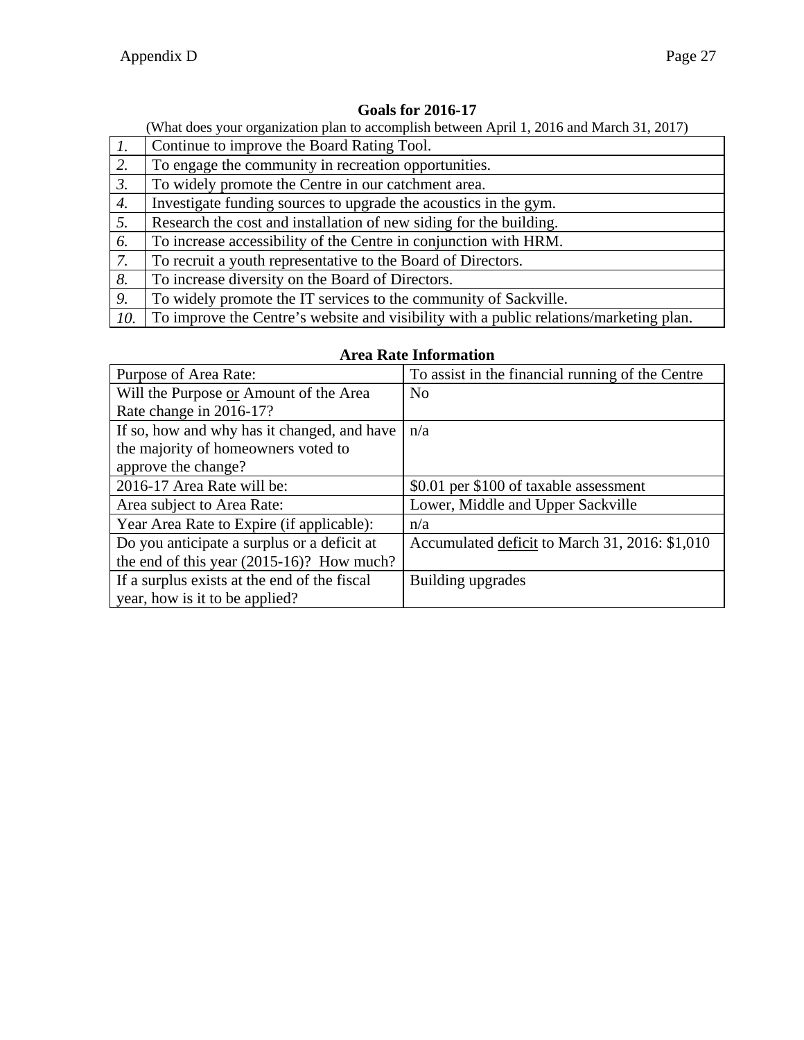### **Goals for 2016-17**

|                  | What does your organization plan to accomplish between April 1, 2016 and March 31, 2017) |  |  |  |
|------------------|------------------------------------------------------------------------------------------|--|--|--|
| $\mathcal{I}$ .  | Continue to improve the Board Rating Tool.                                               |  |  |  |
| 2.               | To engage the community in recreation opportunities.                                     |  |  |  |
| $\mathfrak{Z}$ . | To widely promote the Centre in our catchment area.                                      |  |  |  |
| 4.               | Investigate funding sources to upgrade the acoustics in the gym.                         |  |  |  |
| 5.               | Research the cost and installation of new siding for the building.                       |  |  |  |
| 6.               | To increase accessibility of the Centre in conjunction with HRM.                         |  |  |  |
| 7.               | To recruit a youth representative to the Board of Directors.                             |  |  |  |
| 8.               | To increase diversity on the Board of Directors.                                         |  |  |  |
| 9.               | To widely promote the IT services to the community of Sackville.                         |  |  |  |
| 10.              | To improve the Centre's website and visibility with a public relations/marketing plan.   |  |  |  |

### **Area Rate Information**

| Purpose of Area Rate:                        | To assist in the financial running of the Centre |
|----------------------------------------------|--------------------------------------------------|
| Will the Purpose or Amount of the Area       | No                                               |
| Rate change in 2016-17?                      |                                                  |
| If so, how and why has it changed, and have  | n/a                                              |
| the majority of homeowners voted to          |                                                  |
| approve the change?                          |                                                  |
| 2016-17 Area Rate will be:                   | \$0.01 per \$100 of taxable assessment           |
| Area subject to Area Rate:                   | Lower, Middle and Upper Sackville                |
| Year Area Rate to Expire (if applicable):    | n/a                                              |
| Do you anticipate a surplus or a deficit at  | Accumulated deficit to March 31, 2016: \$1,010   |
| the end of this year $(2015-16)$ ? How much? |                                                  |
| If a surplus exists at the end of the fiscal | Building upgrades                                |
| year, how is it to be applied?               |                                                  |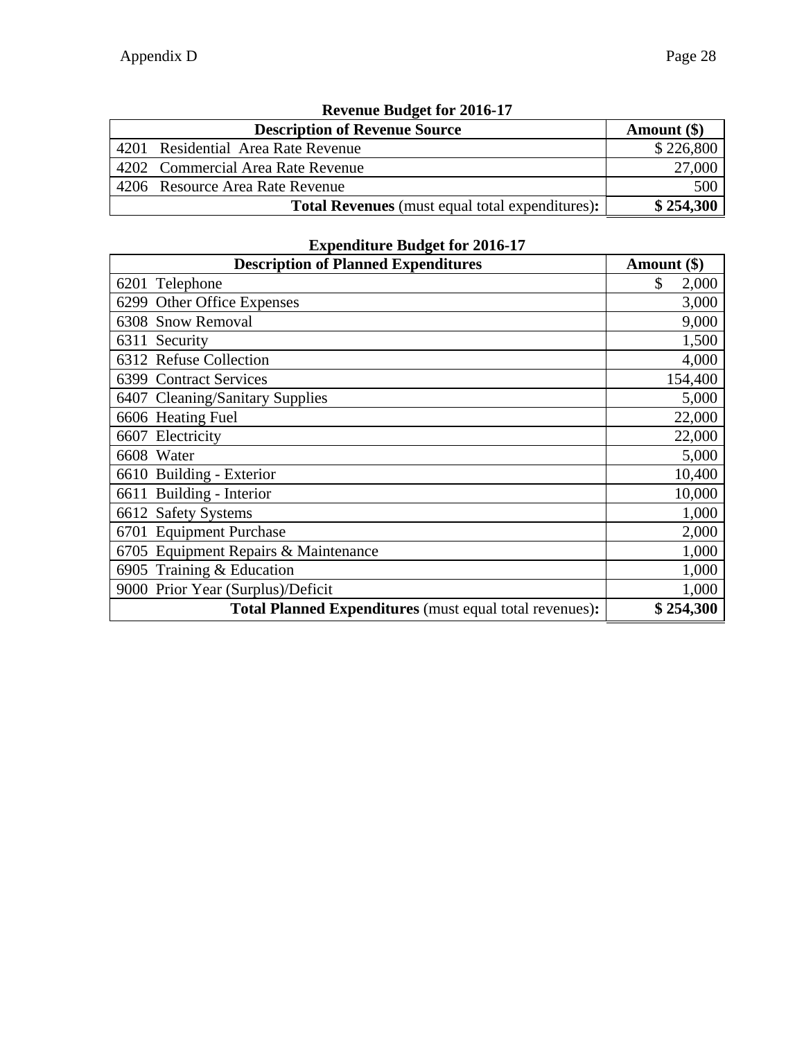| Revenue Buuget for 2010-17 |                                                        |               |  |  |  |
|----------------------------|--------------------------------------------------------|---------------|--|--|--|
|                            | <b>Description of Revenue Source</b>                   | Amount $(\$)$ |  |  |  |
|                            | 4201 Residential Area Rate Revenue                     | \$226,800     |  |  |  |
|                            | 4202 Commercial Area Rate Revenue                      | 27,000        |  |  |  |
|                            | 4206 Resource Area Rate Revenue                        | 500           |  |  |  |
|                            | <b>Total Revenues</b> (must equal total expenditures): | \$254,300     |  |  |  |

## **Revenue Budget for 2016-17**

| <b>Description of Planned Expenditures</b>              | Amount (\$) |
|---------------------------------------------------------|-------------|
| 6201 Telephone                                          | \$<br>2,000 |
| 6299 Other Office Expenses                              | 3,000       |
| 6308 Snow Removal                                       | 9,000       |
| 6311 Security                                           | 1,500       |
| 6312 Refuse Collection                                  | 4,000       |
| 6399 Contract Services                                  | 154,400     |
| 6407 Cleaning/Sanitary Supplies                         | 5,000       |
| 6606 Heating Fuel                                       | 22,000      |
| 6607 Electricity                                        | 22,000      |
| 6608 Water                                              | 5,000       |
| 6610 Building - Exterior                                | 10,400      |
| 6611 Building - Interior                                | 10,000      |
| 6612 Safety Systems                                     | 1,000       |
| 6701 Equipment Purchase                                 | 2,000       |
| 6705 Equipment Repairs & Maintenance                    | 1,000       |
| 6905 Training & Education                               | 1,000       |
| 9000 Prior Year (Surplus)/Deficit                       | 1,000       |
| Total Planned Expenditures (must equal total revenues): | \$254,300   |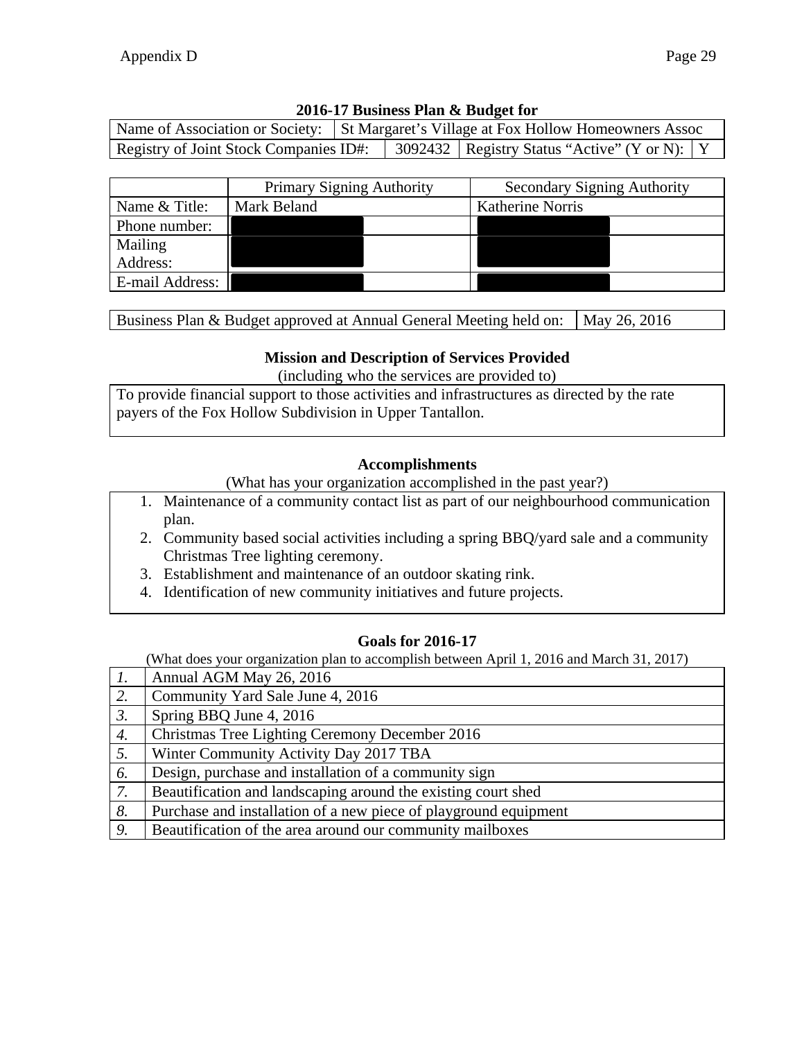| Name of Association or Society: St Margaret's Village at Fox Hollow Homeowners Assoc |  |                                                  |  |
|--------------------------------------------------------------------------------------|--|--------------------------------------------------|--|
| Registry of Joint Stock Companies ID#:                                               |  | 3092432   Registry Status "Active" (Y or N):   Y |  |

|                 | <b>Primary Signing Authority</b> |  | <b>Secondary Signing Authority</b> |  |
|-----------------|----------------------------------|--|------------------------------------|--|
| Name & Title:   | Mark Beland                      |  | Katherine Norris                   |  |
| Phone number:   |                                  |  |                                    |  |
| Mailing         |                                  |  |                                    |  |
| Address:        |                                  |  |                                    |  |
| E-mail Address: |                                  |  |                                    |  |

Business Plan & Budget approved at Annual General Meeting held on:  $\vert$  May 26, 2016

### **Mission and Description of Services Provided**

(including who the services are provided to)

To provide financial support to those activities and infrastructures as directed by the rate payers of the Fox Hollow Subdivision in Upper Tantallon.

#### **Accomplishments**

(What has your organization accomplished in the past year?)

- 1. Maintenance of a community contact list as part of our neighbourhood communication plan.
- 2. Community based social activities including a spring BBQ/yard sale and a community Christmas Tree lighting ceremony.
- 3. Establishment and maintenance of an outdoor skating rink.
- 4. Identification of new community initiatives and future projects.

### **Goals for 2016-17**

| $\mathcal{I}$ .  | Annual AGM May 26, 2016                                          |
|------------------|------------------------------------------------------------------|
| 2.               | Community Yard Sale June 4, 2016                                 |
| $\beta$ .        | Spring BBQ June 4, 2016                                          |
| $\overline{4}$ . | Christmas Tree Lighting Ceremony December 2016                   |
| 5.               | Winter Community Activity Day 2017 TBA                           |
| 6.               | Design, purchase and installation of a community sign            |
| 7.               | Beautification and landscaping around the existing court shed    |
| 8.               | Purchase and installation of a new piece of playground equipment |
| 9.               | Beautification of the area around our community mailboxes        |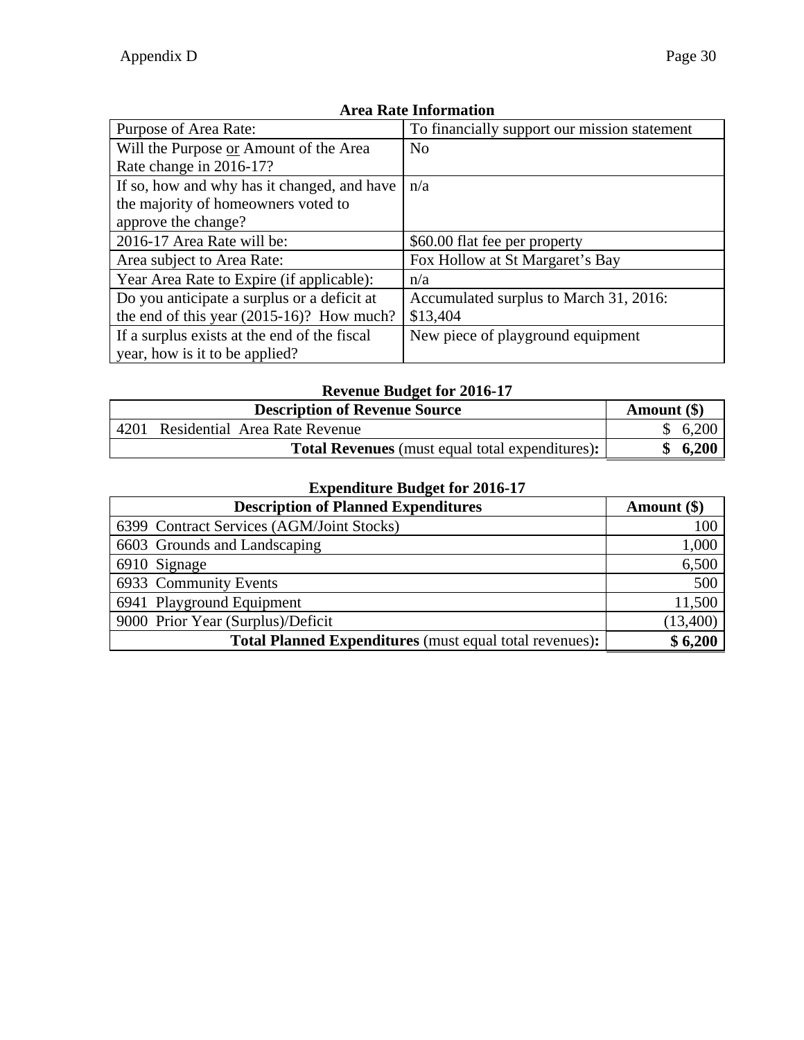| Purpose of Area Rate:                        | To financially support our mission statement |
|----------------------------------------------|----------------------------------------------|
| Will the Purpose or Amount of the Area       | N <sub>o</sub>                               |
| Rate change in 2016-17?                      |                                              |
| If so, how and why has it changed, and have  | n/a                                          |
| the majority of homeowners voted to          |                                              |
| approve the change?                          |                                              |
| 2016-17 Area Rate will be:                   | \$60.00 flat fee per property                |
| Area subject to Area Rate:                   | Fox Hollow at St Margaret's Bay              |
| Year Area Rate to Expire (if applicable):    | n/a                                          |
| Do you anticipate a surplus or a deficit at  | Accumulated surplus to March 31, 2016:       |
| the end of this year $(2015-16)$ ? How much? | \$13,404                                     |
| If a surplus exists at the end of the fiscal | New piece of playground equipment            |
| year, how is it to be applied?               |                                              |

# **Revenue Budget for 2016-17**

|      | <b>Description of Revenue Source</b>                   | Amount $(\$)$ |
|------|--------------------------------------------------------|---------------|
| 4201 | Residential Area Rate Revenue                          | \$6,200       |
|      | <b>Total Revenues</b> (must equal total expenditures): | $\cdot$ 6,200 |

| <b>Description of Planned Expenditures</b>                     | Amount $(\$)$ |
|----------------------------------------------------------------|---------------|
| 6399 Contract Services (AGM/Joint Stocks)                      | 100           |
| 6603 Grounds and Landscaping                                   | 1,000         |
| 6910 Signage                                                   | 6,500         |
| 6933 Community Events                                          | 500           |
| 6941 Playground Equipment                                      | 11,500        |
| 9000 Prior Year (Surplus)/Deficit                              | (13,400)      |
| <b>Total Planned Expenditures</b> (must equal total revenues): | \$6,200       |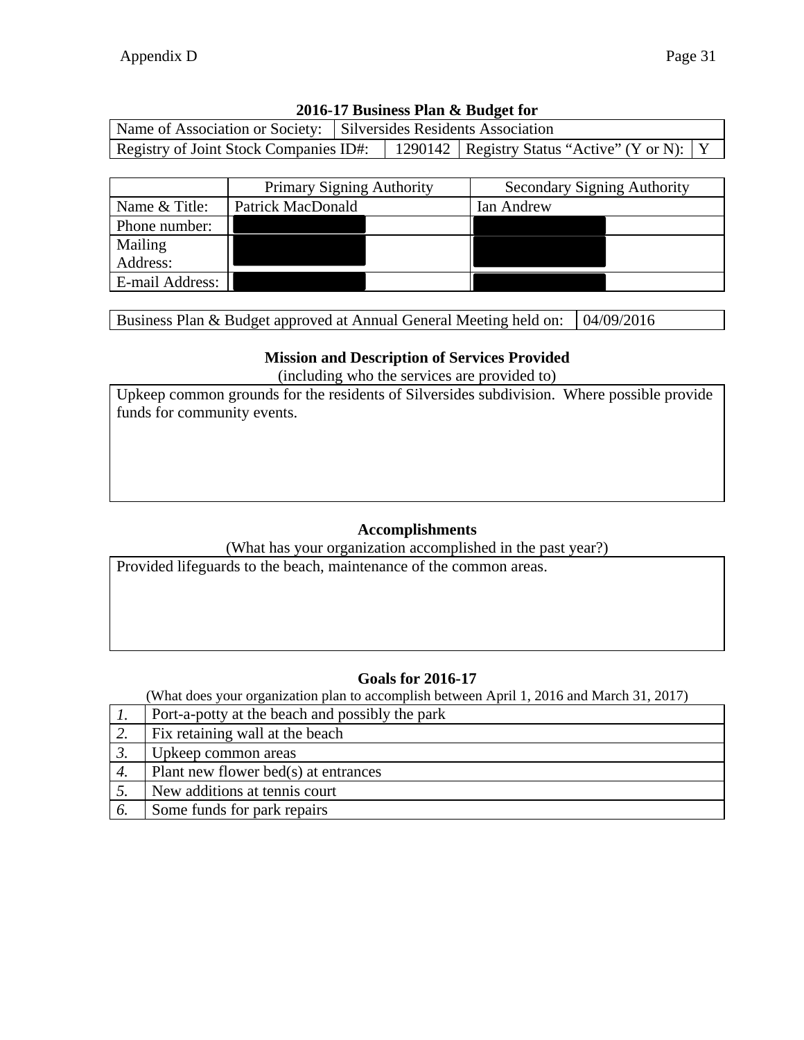| Name of Association or Society: Silversides Residents Association |  |                                                  |  |
|-------------------------------------------------------------------|--|--------------------------------------------------|--|
| Registry of Joint Stock Companies ID#:                            |  | 1290142   Registry Status "Active" (Y or N):   Y |  |

|                 | <b>Primary Signing Authority</b> | <b>Secondary Signing Authority</b> |
|-----------------|----------------------------------|------------------------------------|
| Name & Title:   | Patrick MacDonald                | Ian Andrew                         |
| Phone number:   |                                  |                                    |
| Mailing         |                                  |                                    |
| Address:        |                                  |                                    |
| E-mail Address: |                                  |                                    |

Business Plan & Budget approved at Annual General Meeting held on: 04/09/2016

### **Mission and Description of Services Provided**

(including who the services are provided to)

Upkeep common grounds for the residents of Silversides subdivision. Where possible provide funds for community events.

## **Accomplishments**

(What has your organization accomplished in the past year?)

Provided lifeguards to the beach, maintenance of the common areas.

## **Goals for 2016-17**

|    | Port-a-potty at the beach and possibly the park |
|----|-------------------------------------------------|
| 2. | Fix retaining wall at the beach                 |
|    | Upkeep common areas                             |
| 4. | Plant new flower bed(s) at entrances            |
|    | New additions at tennis court                   |
| O. | Some funds for park repairs                     |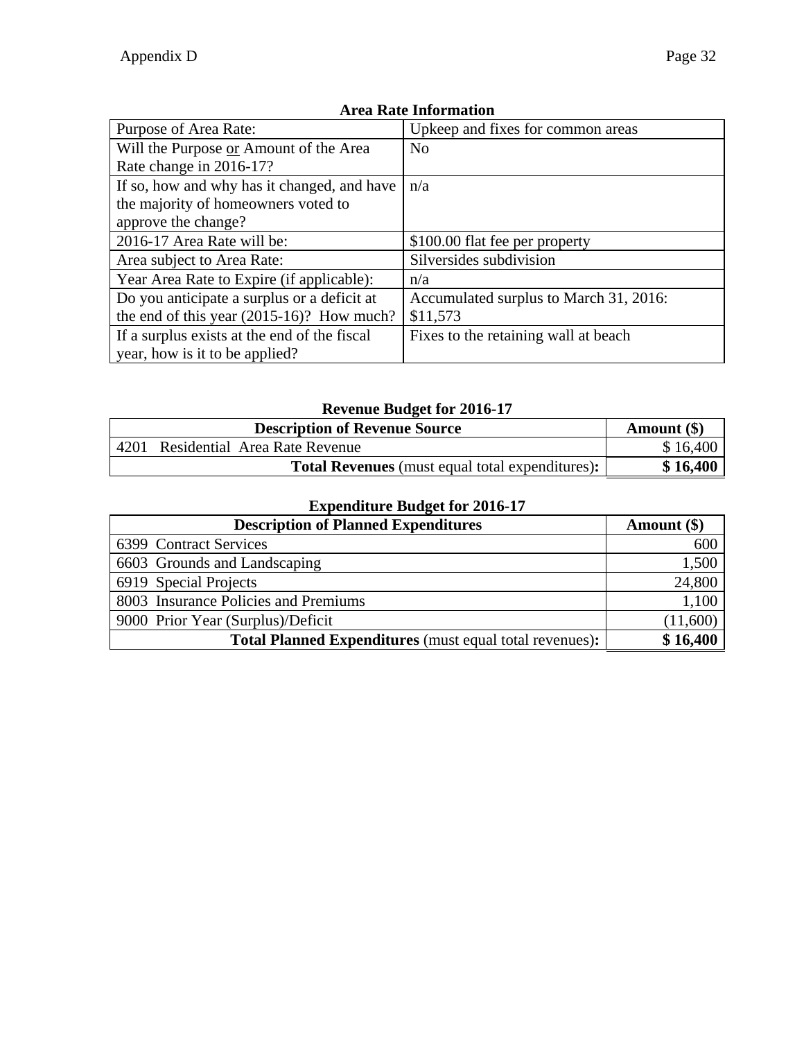| Purpose of Area Rate:                        | Upkeep and fixes for common areas      |  |
|----------------------------------------------|----------------------------------------|--|
| Will the Purpose or Amount of the Area       | N <sub>o</sub>                         |  |
| Rate change in 2016-17?                      |                                        |  |
| If so, how and why has it changed, and have  | n/a                                    |  |
| the majority of homeowners voted to          |                                        |  |
| approve the change?                          |                                        |  |
| 2016-17 Area Rate will be:                   | \$100.00 flat fee per property         |  |
| Area subject to Area Rate:                   | Silversides subdivision                |  |
| Year Area Rate to Expire (if applicable):    | n/a                                    |  |
| Do you anticipate a surplus or a deficit at  | Accumulated surplus to March 31, 2016: |  |
| the end of this year $(2015-16)$ ? How much? | \$11,573                               |  |
| If a surplus exists at the end of the fiscal | Fixes to the retaining wall at beach   |  |
| year, how is it to be applied?               |                                        |  |

# **Revenue Budget for 2016-17**

|      | Amount $(\$)$                                          |          |
|------|--------------------------------------------------------|----------|
| 4201 | Residential Area Rate Revenue                          | \$16,400 |
|      | <b>Total Revenues</b> (must equal total expenditures): | \$16,400 |

| <b>Description of Planned Expenditures</b>                     | Amount $(\$)$ |
|----------------------------------------------------------------|---------------|
| 6399 Contract Services                                         | 600           |
| 6603 Grounds and Landscaping                                   | 1,500         |
| 6919 Special Projects                                          | 24,800        |
| 8003 Insurance Policies and Premiums                           | 1,100         |
| 9000 Prior Year (Surplus)/Deficit                              | (11,600)      |
| <b>Total Planned Expenditures</b> (must equal total revenues): | \$16,400      |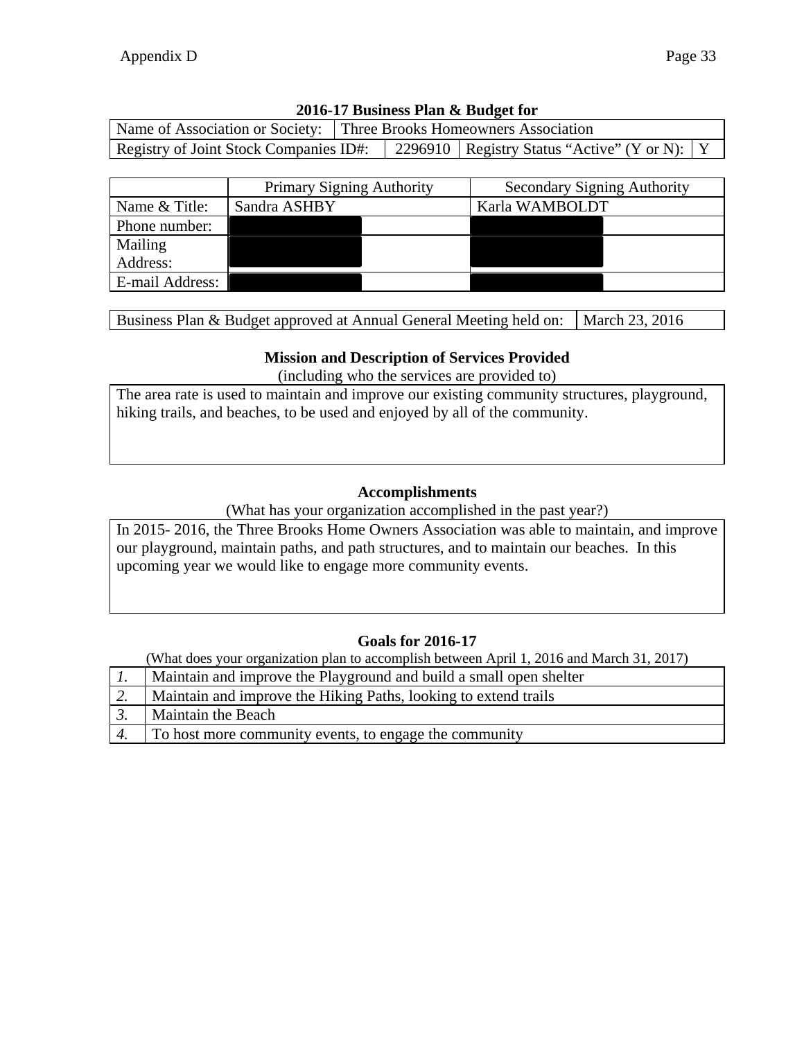| Name of Association or Society: Three Brooks Homeowners Association |  |  |                                                  |  |
|---------------------------------------------------------------------|--|--|--------------------------------------------------|--|
| Registry of Joint Stock Companies ID#:                              |  |  | 2296910   Registry Status "Active" (Y or N):   Y |  |

|                 | <b>Primary Signing Authority</b> | <b>Secondary Signing Authority</b> |                |
|-----------------|----------------------------------|------------------------------------|----------------|
| Name & Title:   | Sandra ASHBY                     |                                    | Karla WAMBOLDT |
| Phone number:   |                                  |                                    |                |
| Mailing         |                                  |                                    |                |
| Address:        |                                  |                                    |                |
| E-mail Address: |                                  |                                    |                |

Business Plan & Budget approved at Annual General Meeting held on:  $\vert$  March 23, 2016

#### **Mission and Description of Services Provided**

(including who the services are provided to)

The area rate is used to maintain and improve our existing community structures, playground, hiking trails, and beaches, to be used and enjoyed by all of the community.

#### **Accomplishments**

(What has your organization accomplished in the past year?)

In 2015- 2016, the Three Brooks Home Owners Association was able to maintain, and improve our playground, maintain paths, and path structures, and to maintain our beaches. In this upcoming year we would like to engage more community events.

#### **Goals for 2016-17**

|                  | Maintain and improve the Playground and build a small open shelter |
|------------------|--------------------------------------------------------------------|
| $\overline{2}$ . | Maintain and improve the Hiking Paths, looking to extend trails    |
| $\overline{3}$ . | <b>Maintain the Beach</b>                                          |
| $\overline{4}$ . | To host more community events, to engage the community             |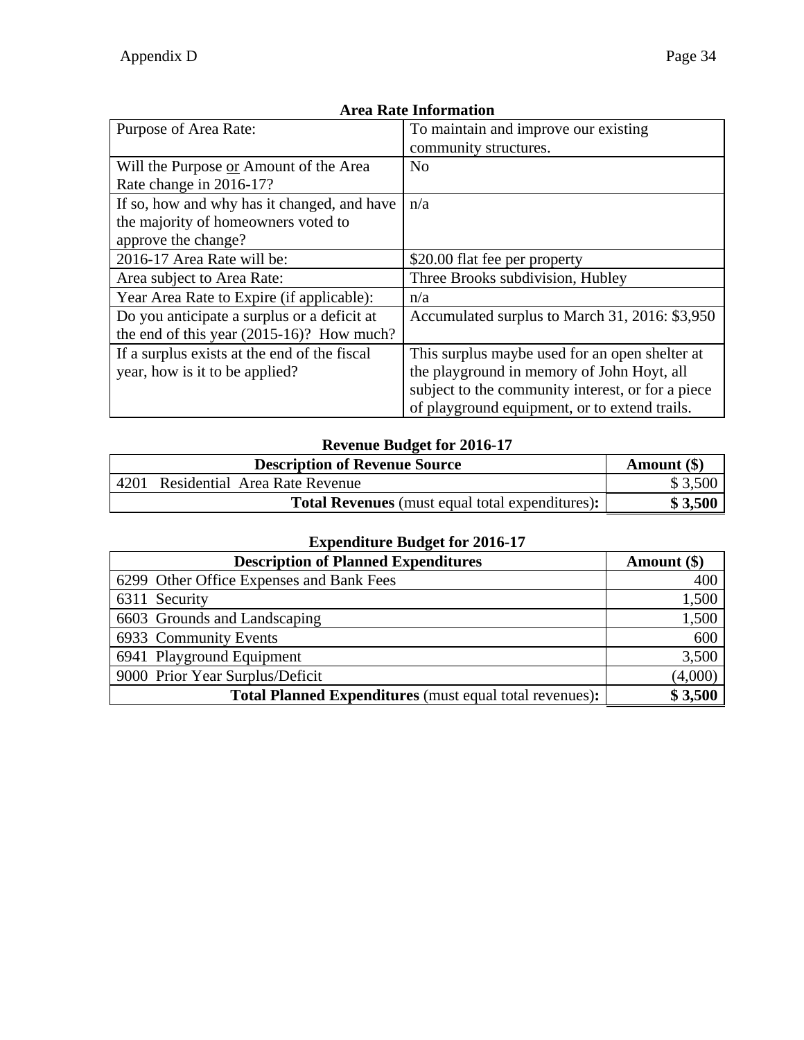| Purpose of Area Rate:                        | To maintain and improve our existing              |
|----------------------------------------------|---------------------------------------------------|
|                                              | community structures.                             |
| Will the Purpose or Amount of the Area       | N <sub>o</sub>                                    |
| Rate change in 2016-17?                      |                                                   |
| If so, how and why has it changed, and have  | n/a                                               |
| the majority of homeowners voted to          |                                                   |
| approve the change?                          |                                                   |
| 2016-17 Area Rate will be:                   | \$20.00 flat fee per property                     |
| Area subject to Area Rate:                   | Three Brooks subdivision, Hubley                  |
| Year Area Rate to Expire (if applicable):    | n/a                                               |
| Do you anticipate a surplus or a deficit at  | Accumulated surplus to March 31, 2016: \$3,950    |
| the end of this year (2015-16)? How much?    |                                                   |
| If a surplus exists at the end of the fiscal | This surplus maybe used for an open shelter at    |
| year, how is it to be applied?               | the playground in memory of John Hoyt, all        |
|                                              | subject to the community interest, or for a piece |
|                                              | of playground equipment, or to extend trails.     |

#### **Revenue Budget for 2016-17**

|      | <b>Description of Revenue Source</b>                   | Amount $(\$)$ |
|------|--------------------------------------------------------|---------------|
| 4201 | Residential Area Rate Revenue                          | \$3,500       |
|      | <b>Total Revenues</b> (must equal total expenditures): | \$3,500       |

| -<br><b>Description of Planned Expenditures</b>                | Amount $(\$)$ |
|----------------------------------------------------------------|---------------|
| 6299 Other Office Expenses and Bank Fees                       | 400           |
| 6311 Security                                                  | 1,500         |
| 6603 Grounds and Landscaping                                   | 1,500         |
| 6933 Community Events                                          | 600           |
| 6941 Playground Equipment                                      | 3,500         |
| 9000 Prior Year Surplus/Deficit                                | (4,000)       |
| <b>Total Planned Expenditures</b> (must equal total revenues): | \$3,500       |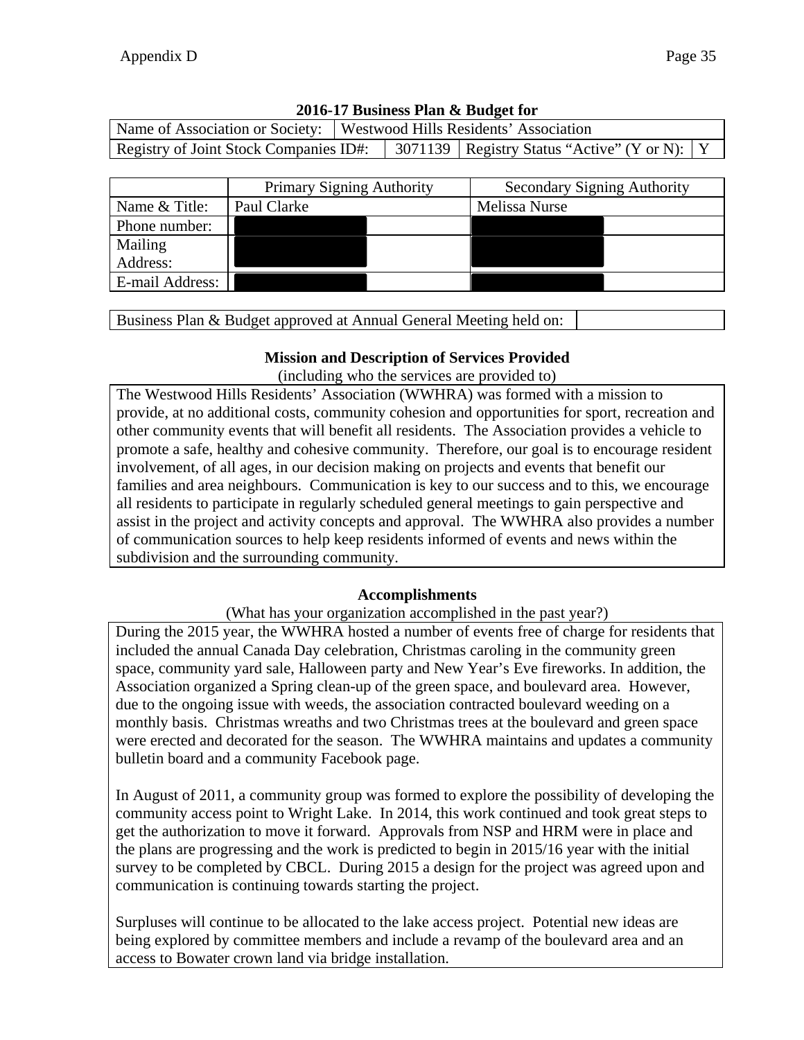|                                                                                           |                  | Name of Association or Society:   Westwood Hills Residents' Association |  |                                |  |
|-------------------------------------------------------------------------------------------|------------------|-------------------------------------------------------------------------|--|--------------------------------|--|
| Registry of Joint Stock Companies ID#:   3071139   Registry Status "Active" (Y or N):   Y |                  |                                                                         |  |                                |  |
|                                                                                           |                  |                                                                         |  |                                |  |
|                                                                                           | $D_{\text{min}}$ |                                                                         |  | $\mathcal{C}_{\text{non-odd}}$ |  |

|                 | <b>Primary Signing Authority</b> | <b>Secondary Signing Authority</b> |
|-----------------|----------------------------------|------------------------------------|
| Name & Title:   | Paul Clarke                      | Melissa Nurse                      |
| Phone number:   |                                  |                                    |
| Mailing         |                                  |                                    |
| Address:        |                                  |                                    |
| E-mail Address: |                                  |                                    |

Business Plan & Budget approved at Annual General Meeting held on:

### **Mission and Description of Services Provided**

(including who the services are provided to)

The Westwood Hills Residents' Association (WWHRA) was formed with a mission to provide, at no additional costs, community cohesion and opportunities for sport, recreation and other community events that will benefit all residents. The Association provides a vehicle to promote a safe, healthy and cohesive community. Therefore, our goal is to encourage resident involvement, of all ages, in our decision making on projects and events that benefit our families and area neighbours. Communication is key to our success and to this, we encourage all residents to participate in regularly scheduled general meetings to gain perspective and assist in the project and activity concepts and approval. The WWHRA also provides a number of communication sources to help keep residents informed of events and news within the subdivision and the surrounding community.

### **Accomplishments**

(What has your organization accomplished in the past year?)

During the 2015 year, the WWHRA hosted a number of events free of charge for residents that included the annual Canada Day celebration, Christmas caroling in the community green space, community yard sale, Halloween party and New Year's Eve fireworks. In addition, the Association organized a Spring clean-up of the green space, and boulevard area. However, due to the ongoing issue with weeds, the association contracted boulevard weeding on a monthly basis. Christmas wreaths and two Christmas trees at the boulevard and green space were erected and decorated for the season. The WWHRA maintains and updates a community bulletin board and a community Facebook page.

In August of 2011, a community group was formed to explore the possibility of developing the community access point to Wright Lake. In 2014, this work continued and took great steps to get the authorization to move it forward. Approvals from NSP and HRM were in place and the plans are progressing and the work is predicted to begin in 2015/16 year with the initial survey to be completed by CBCL. During 2015 a design for the project was agreed upon and communication is continuing towards starting the project.

Surpluses will continue to be allocated to the lake access project. Potential new ideas are being explored by committee members and include a revamp of the boulevard area and an access to Bowater crown land via bridge installation.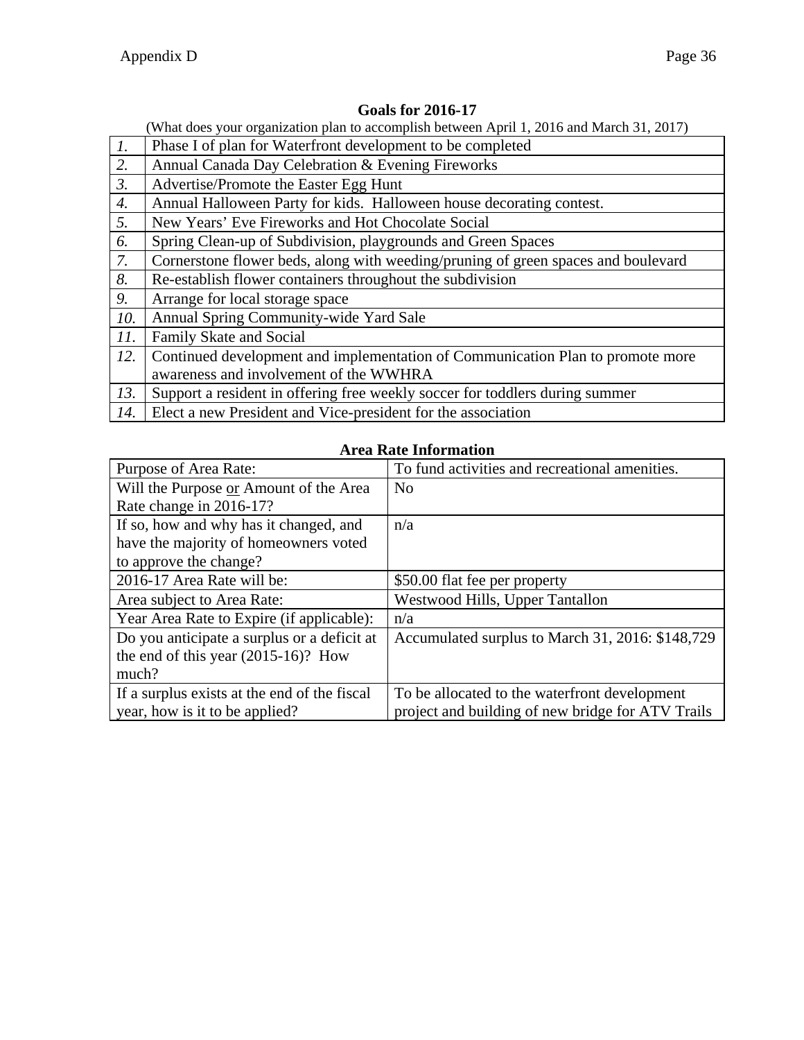|                  | What does your organization plan to accomplish between April 1, 2016 and March 31, 2017) |
|------------------|------------------------------------------------------------------------------------------|
| $\overline{1}$ . | Phase I of plan for Waterfront development to be completed                               |
| 2.               | Annual Canada Day Celebration & Evening Fireworks                                        |
| $\mathfrak{Z}.$  | Advertise/Promote the Easter Egg Hunt                                                    |
| 4.               | Annual Halloween Party for kids. Halloween house decorating contest.                     |
| 5.               | New Years' Eve Fireworks and Hot Chocolate Social                                        |
| 6.               | Spring Clean-up of Subdivision, playgrounds and Green Spaces                             |
| 7.               | Cornerstone flower beds, along with weeding/pruning of green spaces and boulevard        |
| 8.               | Re-establish flower containers throughout the subdivision                                |
| 9.               | Arrange for local storage space                                                          |
| 10.              | Annual Spring Community-wide Yard Sale                                                   |
| 11.              | Family Skate and Social                                                                  |
| 12.              | Continued development and implementation of Communication Plan to promote more           |
|                  | awareness and involvement of the WWHRA                                                   |
| 13.              | Support a resident in offering free weekly soccer for toddlers during summer             |
| 14.              | Elect a new President and Vice-president for the association                             |

#### **Goals for 2016-17**

#### **Area Rate Information**

| Purpose of Area Rate:                        | To fund activities and recreational amenities.    |
|----------------------------------------------|---------------------------------------------------|
| Will the Purpose or Amount of the Area       | N <sub>0</sub>                                    |
| Rate change in 2016-17?                      |                                                   |
| If so, how and why has it changed, and       | n/a                                               |
| have the majority of homeowners voted        |                                                   |
| to approve the change?                       |                                                   |
| 2016-17 Area Rate will be:                   | \$50.00 flat fee per property                     |
| Area subject to Area Rate:                   | Westwood Hills, Upper Tantallon                   |
| Year Area Rate to Expire (if applicable):    | n/a                                               |
| Do you anticipate a surplus or a deficit at  | Accumulated surplus to March 31, 2016: \$148,729  |
| the end of this year $(2015-16)$ ? How       |                                                   |
| much?                                        |                                                   |
| If a surplus exists at the end of the fiscal | To be allocated to the waterfront development     |
| year, how is it to be applied?               | project and building of new bridge for ATV Trails |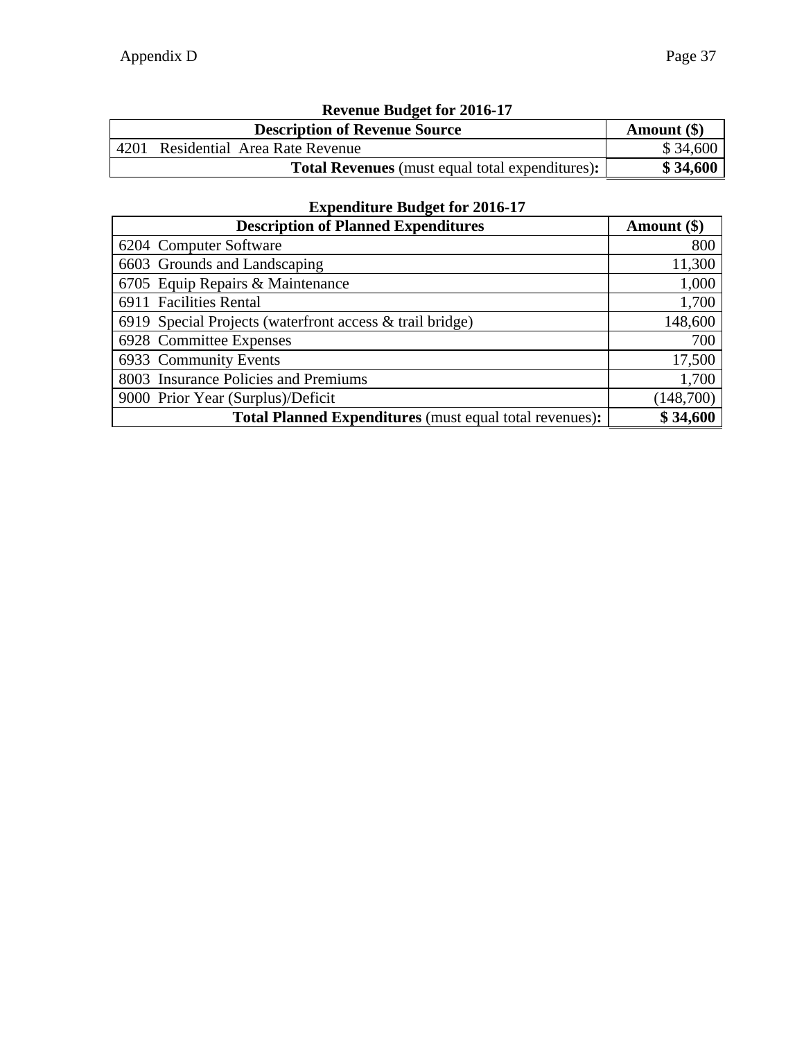| Revenue Budget for 2016-17 |                                                        |          |  |  |  |
|----------------------------|--------------------------------------------------------|----------|--|--|--|
|                            | <b>Description of Revenue Source</b><br>Amount $(\$)$  |          |  |  |  |
|                            | 4201 Residential Area Rate Revenue                     | \$34,600 |  |  |  |
|                            | <b>Total Revenues</b> (must equal total expenditures): | \$34,600 |  |  |  |

# **Revenue Budget for 2016-17**

| <b>Description of Planned Expenditures</b>                     | Amount (\$) |
|----------------------------------------------------------------|-------------|
| 6204 Computer Software                                         | 800         |
| 6603 Grounds and Landscaping                                   | 11,300      |
| 6705 Equip Repairs & Maintenance                               | 1,000       |
| 6911 Facilities Rental                                         | 1,700       |
| 6919 Special Projects (waterfront access & trail bridge)       | 148,600     |
| 6928 Committee Expenses                                        | 700         |
| 6933 Community Events                                          | 17,500      |
| 8003 Insurance Policies and Premiums                           | 1,700       |
| 9000 Prior Year (Surplus)/Deficit                              | (148,700)   |
| <b>Total Planned Expenditures</b> (must equal total revenues): | \$34,600    |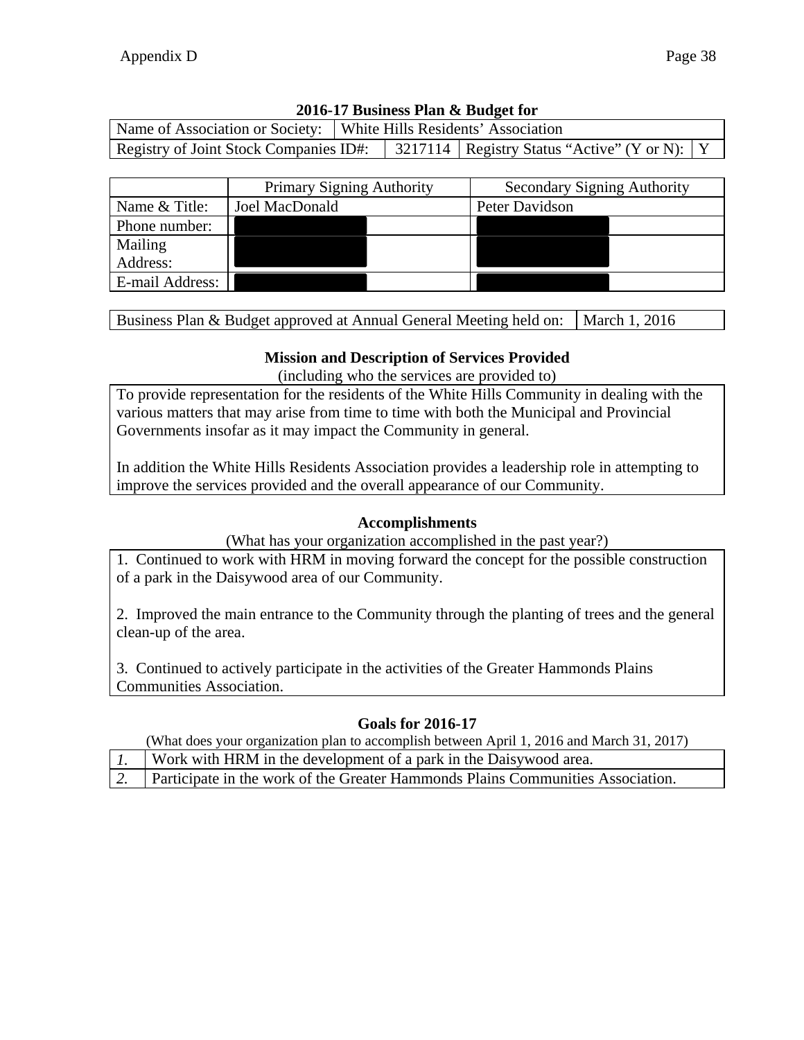| Name of Association or Society:   White Hills Residents' Association |  |                                                                                           |  |  |  |
|----------------------------------------------------------------------|--|-------------------------------------------------------------------------------------------|--|--|--|
|                                                                      |  | Registry of Joint Stock Companies ID#:   3217114   Registry Status "Active" (Y or N):   Y |  |  |  |

|                 | <b>Primary Signing Authority</b> |  | <b>Secondary Signing Authority</b> |  |  |  |
|-----------------|----------------------------------|--|------------------------------------|--|--|--|
| Name & Title:   | Joel MacDonald                   |  | Peter Davidson                     |  |  |  |
| Phone number:   |                                  |  |                                    |  |  |  |
| Mailing         |                                  |  |                                    |  |  |  |
| Address:        |                                  |  |                                    |  |  |  |
| E-mail Address: |                                  |  |                                    |  |  |  |

Business Plan & Budget approved at Annual General Meeting held on:  $\vert$  March 1, 2016

#### **Mission and Description of Services Provided**

(including who the services are provided to)

To provide representation for the residents of the White Hills Community in dealing with the various matters that may arise from time to time with both the Municipal and Provincial Governments insofar as it may impact the Community in general.

In addition the White Hills Residents Association provides a leadership role in attempting to improve the services provided and the overall appearance of our Community.

#### **Accomplishments**

(What has your organization accomplished in the past year?)

1. Continued to work with HRM in moving forward the concept for the possible construction of a park in the Daisywood area of our Community.

2. Improved the main entrance to the Community through the planting of trees and the general clean-up of the area.

3. Continued to actively participate in the activities of the Greater Hammonds Plains Communities Association.

### **Goals for 2016-17**

- *1.* Work with HRM in the development of a park in the Daisywood area.
- *2.* Participate in the work of the Greater Hammonds Plains Communities Association.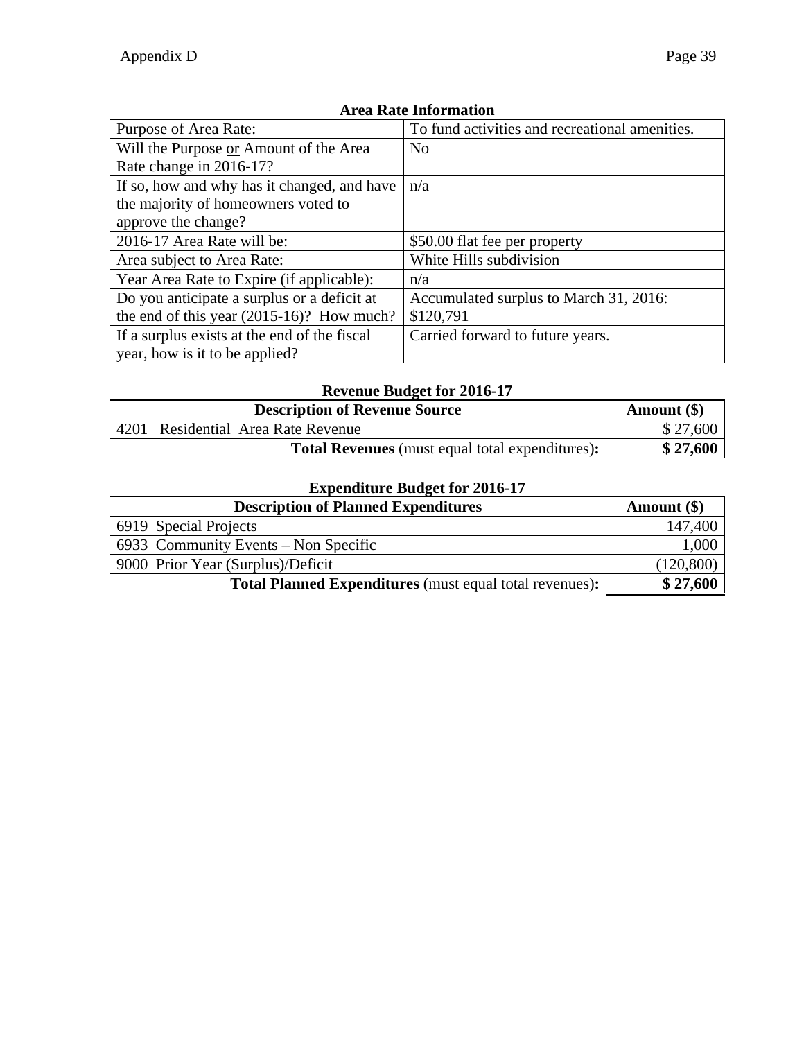| Purpose of Area Rate:                        | To fund activities and recreational amenities. |
|----------------------------------------------|------------------------------------------------|
| Will the Purpose or Amount of the Area       | No                                             |
| Rate change in 2016-17?                      |                                                |
| If so, how and why has it changed, and have  | n/a                                            |
| the majority of homeowners voted to          |                                                |
| approve the change?                          |                                                |
| 2016-17 Area Rate will be:                   | \$50.00 flat fee per property                  |
| Area subject to Area Rate:                   | White Hills subdivision                        |
| Year Area Rate to Expire (if applicable):    | n/a                                            |
| Do you anticipate a surplus or a deficit at  | Accumulated surplus to March 31, 2016:         |
| the end of this year $(2015-16)$ ? How much? | \$120,791                                      |
| If a surplus exists at the end of the fiscal | Carried forward to future years.               |
| year, how is it to be applied?               |                                                |

# **Revenue Budget for 2016-17**

|      | Amount $(\$)$                                          |          |
|------|--------------------------------------------------------|----------|
| 4201 | Residential Area Rate Revenue                          | \$27,600 |
|      | <b>Total Revenues</b> (must equal total expenditures): | \$27,600 |

| <b>Description of Planned Expenditures</b>                     | Amount (\$) |
|----------------------------------------------------------------|-------------|
| 6919 Special Projects                                          | 147,400     |
| $6933$ Community Events – Non Specific                         | 1,000       |
| 9000 Prior Year (Surplus)/Deficit                              | (120, 800)  |
| <b>Total Planned Expenditures</b> (must equal total revenues): | \$27,600    |